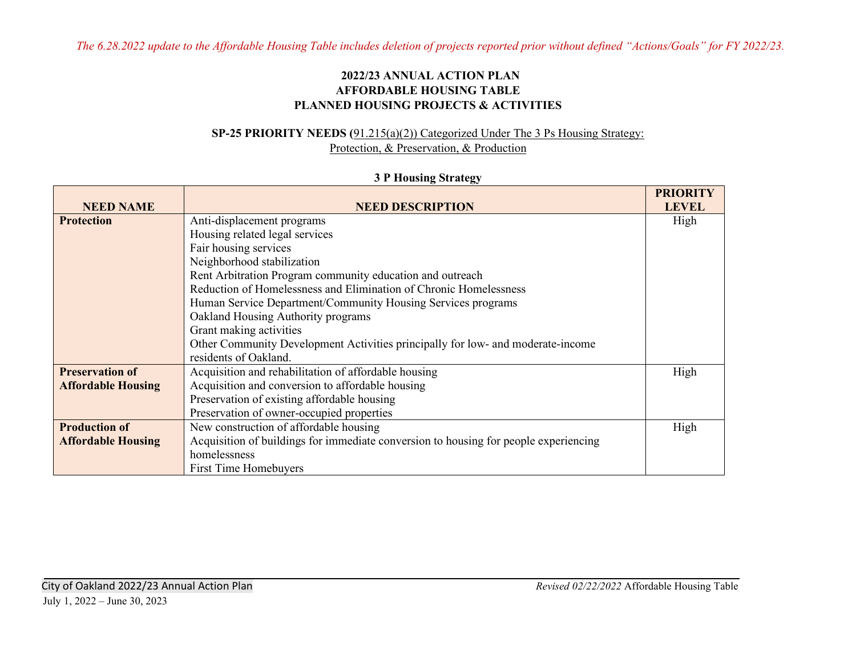*The 6.28.2022 update to the Affordable Housing Table includes deletion of projects reported prior without defined "Actions/Goals" for FY 2022/23.* 

#### **2022/23 ANNUAL ACTION PLAN AFFORDABLE HOUSING TABLE PLANNED HOUSING PROJECTS & ACTIVITIES**

#### **SP-25 PRIORITY NEEDS (**91.215(a)(2)) Categorized Under The 3 Ps Housing Strategy: Protection, & Preservation, & Production

#### **3 P Housing Strategy**

|                           |                                                                                      | <b>PRIORITY</b> |
|---------------------------|--------------------------------------------------------------------------------------|-----------------|
| <b>NEED NAME</b>          | <b>NEED DESCRIPTION</b>                                                              | <b>LEVEL</b>    |
| <b>Protection</b>         | Anti-displacement programs                                                           | High            |
|                           | Housing related legal services                                                       |                 |
|                           | Fair housing services                                                                |                 |
|                           | Neighborhood stabilization                                                           |                 |
|                           | Rent Arbitration Program community education and outreach                            |                 |
|                           | Reduction of Homelessness and Elimination of Chronic Homelessness                    |                 |
|                           | Human Service Department/Community Housing Services programs                         |                 |
|                           | Oakland Housing Authority programs                                                   |                 |
|                           | Grant making activities                                                              |                 |
|                           | Other Community Development Activities principally for low- and moderate-income      |                 |
|                           | residents of Oakland.                                                                |                 |
| <b>Preservation of</b>    | Acquisition and rehabilitation of affordable housing                                 | High            |
| <b>Affordable Housing</b> | Acquisition and conversion to affordable housing                                     |                 |
|                           | Preservation of existing affordable housing                                          |                 |
|                           | Preservation of owner-occupied properties                                            |                 |
| <b>Production of</b>      | New construction of affordable housing                                               | High            |
| <b>Affordable Housing</b> | Acquisition of buildings for immediate conversion to housing for people experiencing |                 |
|                           | homelessness                                                                         |                 |
|                           | First Time Homebuyers                                                                |                 |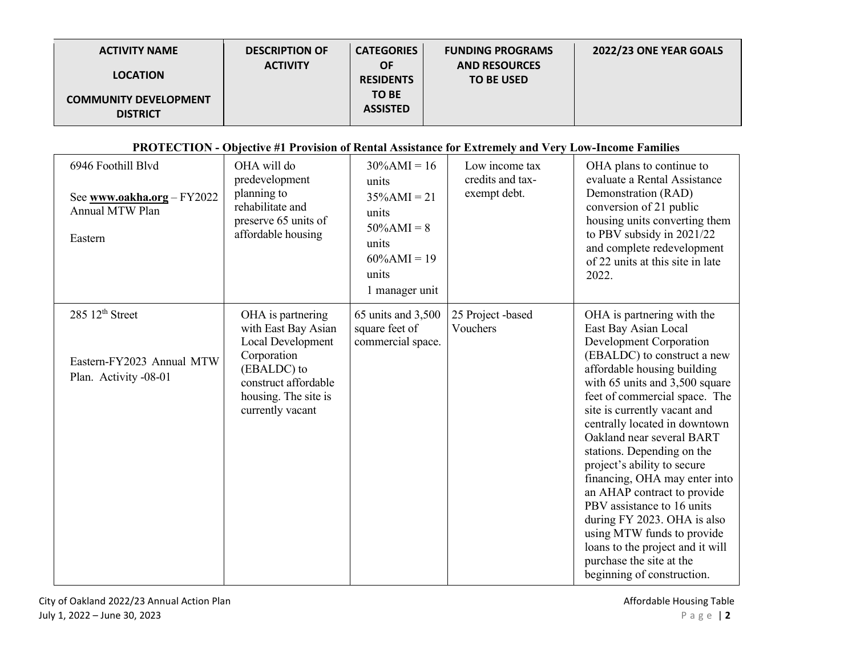| <b>ACTIVITY NAME</b>                            | <b>DESCRIPTION OF</b> | <b>CATEGORIES</b>             | <b>FUNDING PROGRAMS</b>                   | 2022/23 ONE YEAR GOALS |
|-------------------------------------------------|-----------------------|-------------------------------|-------------------------------------------|------------------------|
| <b>LOCATION</b>                                 | <b>ACTIVITY</b>       | <b>OF</b><br><b>RESIDENTS</b> | <b>AND RESOURCES</b><br><b>TO BE USED</b> |                        |
| <b>COMMUNITY DEVELOPMENT</b><br><b>DISTRICT</b> |                       | TO BE<br><b>ASSISTED</b>      |                                           |                        |

## **PROTECTION - Objective #1 Provision of Rental Assistance for Extremely and Very Low-Income Families**

| 6946 Foothill Blvd<br>See www.oakha.org - FY2022<br>Annual MTW Plan<br>Eastern    | OHA will do<br>predevelopment<br>planning to<br>rehabilitate and<br>preserve 65 units of<br>affordable housing                                                  | $30\%$ AMI = 16<br>units<br>$35\%$ AMI = 21<br>units<br>$50\%$ AMI = 8<br>units<br>$60\%$ AMI = 19<br>units<br>1 manager unit | Low income tax<br>credits and tax-<br>exempt debt. | OHA plans to continue to<br>evaluate a Rental Assistance<br>Demonstration (RAD)<br>conversion of 21 public<br>housing units converting them<br>to PBV subsidy in 2021/22<br>and complete redevelopment<br>of 22 units at this site in late<br>2022.                                                                                                                                                                                                                                                                                                                                                                                |
|-----------------------------------------------------------------------------------|-----------------------------------------------------------------------------------------------------------------------------------------------------------------|-------------------------------------------------------------------------------------------------------------------------------|----------------------------------------------------|------------------------------------------------------------------------------------------------------------------------------------------------------------------------------------------------------------------------------------------------------------------------------------------------------------------------------------------------------------------------------------------------------------------------------------------------------------------------------------------------------------------------------------------------------------------------------------------------------------------------------------|
| 285 12 <sup>th</sup> Street<br>Eastern-FY2023 Annual MTW<br>Plan. Activity -08-01 | OHA is partnering<br>with East Bay Asian<br>Local Development<br>Corporation<br>(EBALDC) to<br>construct affordable<br>housing. The site is<br>currently vacant | 65 units and 3,500<br>square feet of<br>commercial space.                                                                     | 25 Project -based<br>Vouchers                      | OHA is partnering with the<br>East Bay Asian Local<br>Development Corporation<br>(EBALDC) to construct a new<br>affordable housing building<br>with 65 units and 3,500 square<br>feet of commercial space. The<br>site is currently vacant and<br>centrally located in downtown<br>Oakland near several BART<br>stations. Depending on the<br>project's ability to secure<br>financing, OHA may enter into<br>an AHAP contract to provide<br>PBV assistance to 16 units<br>during FY 2023. OHA is also<br>using MTW funds to provide<br>loans to the project and it will<br>purchase the site at the<br>beginning of construction. |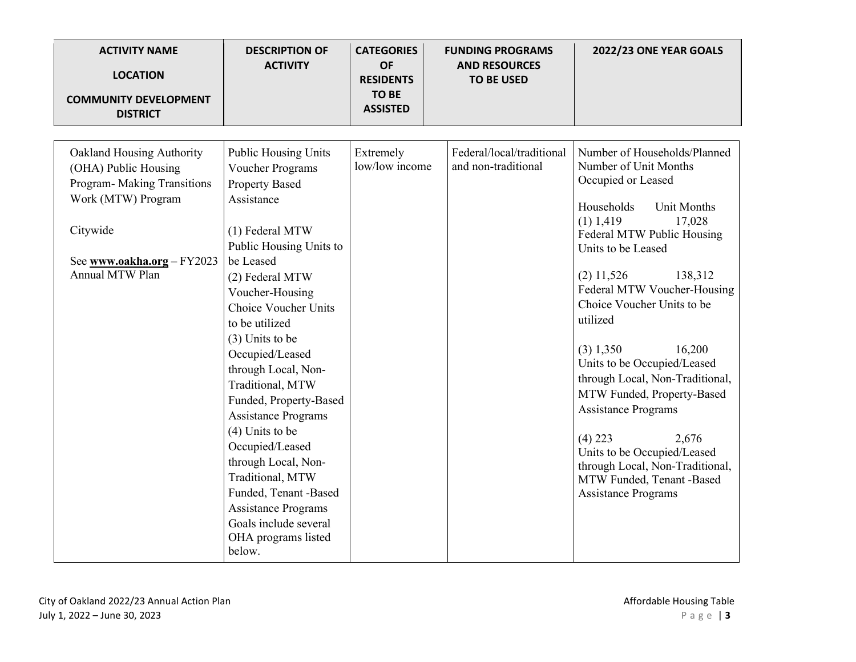| <b>ACTIVITY NAME</b><br><b>LOCATION</b><br><b>COMMUNITY DEVELOPMENT</b><br><b>DISTRICT</b>                                                                          | <b>DESCRIPTION OF</b><br><b>ACTIVITY</b>                                                                                                                                                                                                                                                                                                                                                                                                                                                                                                                                         | <b>CATEGORIES</b><br><b>OF</b><br><b>RESIDENTS</b><br><b>TO BE</b><br><b>ASSISTED</b> | <b>FUNDING PROGRAMS</b><br><b>AND RESOURCES</b><br><b>TO BE USED</b> | 2022/23 ONE YEAR GOALS                                                                                                                                                                                                                                                                                                                                                                                                                                                                                                                                                                                     |
|---------------------------------------------------------------------------------------------------------------------------------------------------------------------|----------------------------------------------------------------------------------------------------------------------------------------------------------------------------------------------------------------------------------------------------------------------------------------------------------------------------------------------------------------------------------------------------------------------------------------------------------------------------------------------------------------------------------------------------------------------------------|---------------------------------------------------------------------------------------|----------------------------------------------------------------------|------------------------------------------------------------------------------------------------------------------------------------------------------------------------------------------------------------------------------------------------------------------------------------------------------------------------------------------------------------------------------------------------------------------------------------------------------------------------------------------------------------------------------------------------------------------------------------------------------------|
|                                                                                                                                                                     |                                                                                                                                                                                                                                                                                                                                                                                                                                                                                                                                                                                  |                                                                                       |                                                                      |                                                                                                                                                                                                                                                                                                                                                                                                                                                                                                                                                                                                            |
| Oakland Housing Authority<br>(OHA) Public Housing<br>Program- Making Transitions<br>Work (MTW) Program<br>Citywide<br>See www.oakha.org - FY2023<br>Annual MTW Plan | <b>Public Housing Units</b><br>Voucher Programs<br><b>Property Based</b><br>Assistance<br>(1) Federal MTW<br>Public Housing Units to<br>be Leased<br>(2) Federal MTW<br>Voucher-Housing<br>Choice Voucher Units<br>to be utilized<br>$(3)$ Units to be<br>Occupied/Leased<br>through Local, Non-<br>Traditional, MTW<br>Funded, Property-Based<br><b>Assistance Programs</b><br>$(4)$ Units to be<br>Occupied/Leased<br>through Local, Non-<br>Traditional, MTW<br>Funded, Tenant -Based<br><b>Assistance Programs</b><br>Goals include several<br>OHA programs listed<br>below. | Extremely<br>low/low income                                                           | Federal/local/traditional<br>and non-traditional                     | Number of Households/Planned<br>Number of Unit Months<br>Occupied or Leased<br>Households<br><b>Unit Months</b><br>$(1)$ 1,419<br>17,028<br>Federal MTW Public Housing<br>Units to be Leased<br>$(2)$ 11,526<br>138,312<br>Federal MTW Voucher-Housing<br>Choice Voucher Units to be<br>utilized<br>16,200<br>$(3)$ 1,350<br>Units to be Occupied/Leased<br>through Local, Non-Traditional,<br>MTW Funded, Property-Based<br><b>Assistance Programs</b><br>$(4)$ 223<br>2,676<br>Units to be Occupied/Leased<br>through Local, Non-Traditional,<br>MTW Funded, Tenant -Based<br><b>Assistance Programs</b> |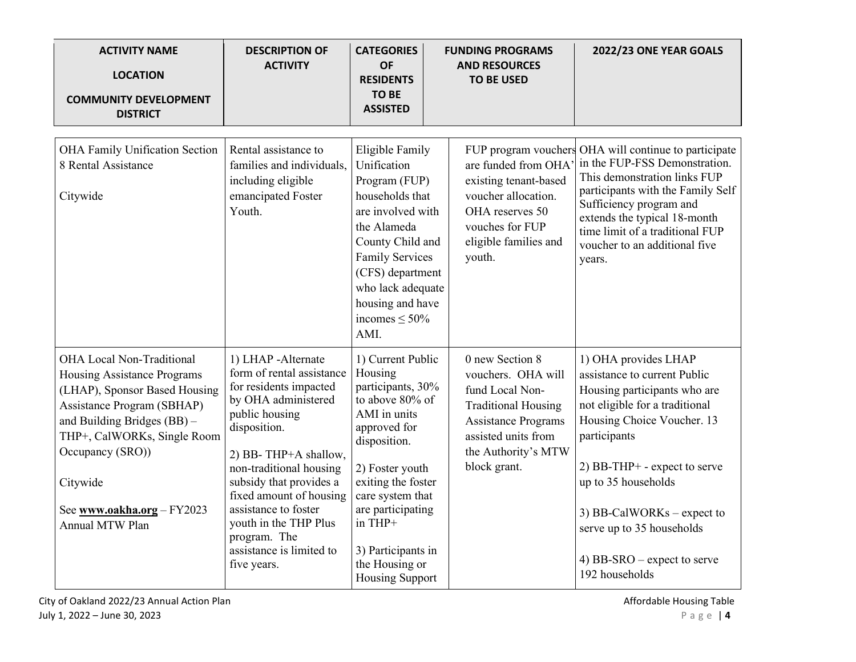| <b>ACTIVITY NAME</b><br><b>LOCATION</b><br><b>COMMUNITY DEVELOPMENT</b><br><b>DISTRICT</b>                                                                                                                                                                                    | <b>DESCRIPTION OF</b><br><b>ACTIVITY</b>                                                                                                                                                                                                                                                                                                                | <b>CATEGORIES</b><br><b>OF</b><br><b>RESIDENTS</b><br><b>TO BE</b><br><b>ASSISTED</b>                                                                                                                                                                                               | <b>FUNDING PROGRAMS</b><br><b>AND RESOURCES</b><br><b>TO BE USED</b>                                                                                                               | 2022/23 ONE YEAR GOALS                                                                                                                                                                                                                                                                                                                      |
|-------------------------------------------------------------------------------------------------------------------------------------------------------------------------------------------------------------------------------------------------------------------------------|---------------------------------------------------------------------------------------------------------------------------------------------------------------------------------------------------------------------------------------------------------------------------------------------------------------------------------------------------------|-------------------------------------------------------------------------------------------------------------------------------------------------------------------------------------------------------------------------------------------------------------------------------------|------------------------------------------------------------------------------------------------------------------------------------------------------------------------------------|---------------------------------------------------------------------------------------------------------------------------------------------------------------------------------------------------------------------------------------------------------------------------------------------------------------------------------------------|
| <b>OHA Family Unification Section</b><br>8 Rental Assistance<br>Citywide                                                                                                                                                                                                      | Rental assistance to<br>families and individuals,<br>including eligible<br>emancipated Foster<br>Youth.                                                                                                                                                                                                                                                 | Eligible Family<br>Unification<br>Program (FUP)<br>households that<br>are involved with<br>the Alameda<br>County Child and<br><b>Family Services</b><br>(CFS) department<br>who lack adequate<br>housing and have<br>incomes $\leq 50\%$<br>AMI.                                    | are funded from OHA'<br>existing tenant-based<br>voucher allocation.<br>OHA reserves 50<br>vouches for FUP<br>eligible families and<br>youth.                                      | FUP program vouchers OHA will continue to participate<br>in the FUP-FSS Demonstration.<br>This demonstration links FUP<br>participants with the Family Self<br>Sufficiency program and<br>extends the typical 18-month<br>time limit of a traditional FUP<br>voucher to an additional five<br>years.                                        |
| OHA Local Non-Traditional<br>Housing Assistance Programs<br>(LHAP), Sponsor Based Housing<br>Assistance Program (SBHAP)<br>and Building Bridges (BB) -<br>THP+, CalWORKs, Single Room<br>Occupancy (SRO))<br>Citywide<br>See www.oakha.org - FY2023<br><b>Annual MTW Plan</b> | 1) LHAP -Alternate<br>form of rental assistance<br>for residents impacted<br>by OHA administered<br>public housing<br>disposition.<br>2) BB-THP+A shallow,<br>non-traditional housing<br>subsidy that provides a<br>fixed amount of housing<br>assistance to foster<br>youth in the THP Plus<br>program. The<br>assistance is limited to<br>five years. | 1) Current Public<br>Housing<br>participants, 30%<br>to above 80% of<br>AMI in units<br>approved for<br>disposition.<br>2) Foster youth<br>exiting the foster<br>care system that<br>are participating<br>in THP+<br>3) Participants in<br>the Housing or<br><b>Housing Support</b> | 0 new Section 8<br>vouchers. OHA will<br>fund Local Non-<br><b>Traditional Housing</b><br><b>Assistance Programs</b><br>assisted units from<br>the Authority's MTW<br>block grant. | 1) OHA provides LHAP<br>assistance to current Public<br>Housing participants who are<br>not eligible for a traditional<br>Housing Choice Voucher. 13<br>participants<br>$2)$ BB-THP+ - expect to serve<br>up to 35 households<br>3) BB-CalWORKs – expect to<br>serve up to 35 households<br>4) BB-SRO $-$ expect to serve<br>192 households |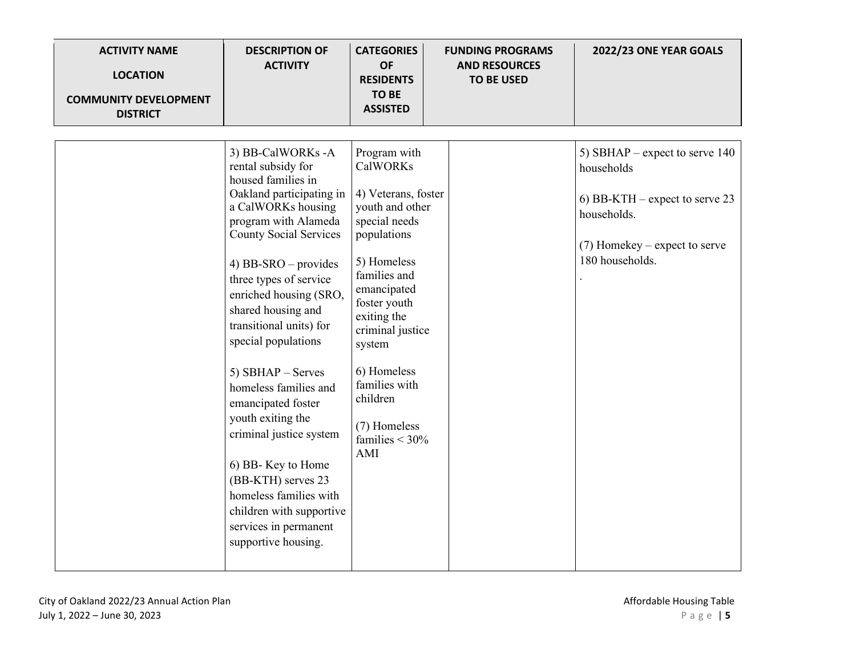| <b>ACTIVITY NAME</b><br><b>LOCATION</b><br><b>COMMUNITY DEVELOPMENT</b><br><b>DISTRICT</b> | <b>DESCRIPTION OF</b><br><b>ACTIVITY</b>                                                                                                                                                                                                                                                                                                                                                                                                                                                                                                                                                               | <b>CATEGORIES</b><br><b>OF</b><br><b>RESIDENTS</b><br><b>TO BE</b><br><b>ASSISTED</b>                                                                                                                                                                                                                       | <b>FUNDING PROGRAMS</b><br><b>AND RESOURCES</b><br><b>TO BE USED</b> | 2022/23 ONE YEAR GOALS                                                                                                                                |
|--------------------------------------------------------------------------------------------|--------------------------------------------------------------------------------------------------------------------------------------------------------------------------------------------------------------------------------------------------------------------------------------------------------------------------------------------------------------------------------------------------------------------------------------------------------------------------------------------------------------------------------------------------------------------------------------------------------|-------------------------------------------------------------------------------------------------------------------------------------------------------------------------------------------------------------------------------------------------------------------------------------------------------------|----------------------------------------------------------------------|-------------------------------------------------------------------------------------------------------------------------------------------------------|
|                                                                                            | 3) BB-CalWORKs -A<br>rental subsidy for<br>housed families in<br>Oakland participating in<br>a CalWORKs housing<br>program with Alameda<br><b>County Social Services</b><br>4) BB-SRO $-$ provides<br>three types of service<br>enriched housing (SRO,<br>shared housing and<br>transitional units) for<br>special populations<br>5) $SBHAP - Serves$<br>homeless families and<br>emancipated foster<br>youth exiting the<br>criminal justice system<br>6) BB- Key to Home<br>(BB-KTH) serves 23<br>homeless families with<br>children with supportive<br>services in permanent<br>supportive housing. | Program with<br><b>CalWORKs</b><br>4) Veterans, foster<br>youth and other<br>special needs<br>populations<br>5) Homeless<br>families and<br>emancipated<br>foster youth<br>exiting the<br>criminal justice<br>system<br>6) Homeless<br>families with<br>children<br>(7) Homeless<br>families $<$ 30%<br>AMI |                                                                      | 5) SBHAP – expect to serve $140$<br>households<br>6) BB-KTH – expect to serve 23<br>households.<br>$(7)$ Homekey – expect to serve<br>180 households. |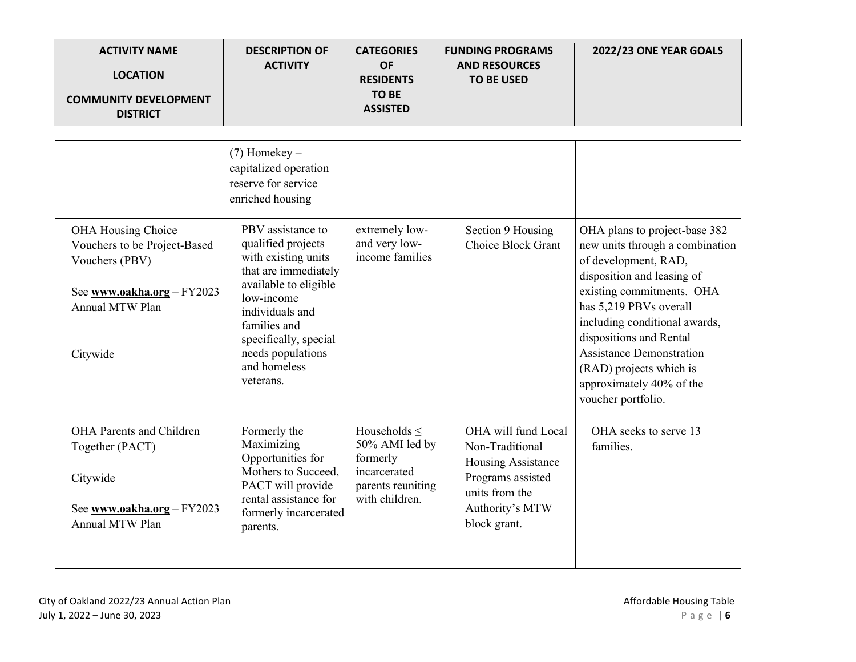| <b>ACTIVITY NAME</b><br><b>LOCATION</b><br><b>COMMUNITY DEVELOPMENT</b><br><b>DISTRICT</b>                                               | <b>DESCRIPTION OF</b><br><b>ACTIVITY</b>                                                                                                                                                                                                                                                                                           | <b>CATEGORIES</b><br><b>OF</b><br><b>RESIDENTS</b><br><b>TO BE</b><br><b>ASSISTED</b>                  | <b>FUNDING PROGRAMS</b><br><b>AND RESOURCES</b><br><b>TO BE USED</b>                                                                   | 2022/23 ONE YEAR GOALS                                                                                                                                                                                                                                                                                                                                    |
|------------------------------------------------------------------------------------------------------------------------------------------|------------------------------------------------------------------------------------------------------------------------------------------------------------------------------------------------------------------------------------------------------------------------------------------------------------------------------------|--------------------------------------------------------------------------------------------------------|----------------------------------------------------------------------------------------------------------------------------------------|-----------------------------------------------------------------------------------------------------------------------------------------------------------------------------------------------------------------------------------------------------------------------------------------------------------------------------------------------------------|
| OHA Housing Choice<br>Vouchers to be Project-Based<br>Vouchers (PBV)<br>See www.oakha.org - FY2023<br><b>Annual MTW Plan</b><br>Citywide | $(7)$ Homekey –<br>capitalized operation<br>reserve for service<br>enriched housing<br>PBV assistance to<br>qualified projects<br>with existing units<br>that are immediately<br>available to eligible<br>low-income<br>individuals and<br>families and<br>specifically, special<br>needs populations<br>and homeless<br>veterans. | extremely low-<br>and very low-<br>income families                                                     | Section 9 Housing<br>Choice Block Grant                                                                                                | OHA plans to project-base 382<br>new units through a combination<br>of development, RAD,<br>disposition and leasing of<br>existing commitments. OHA<br>has 5,219 PBVs overall<br>including conditional awards,<br>dispositions and Rental<br><b>Assistance Demonstration</b><br>(RAD) projects which is<br>approximately 40% of the<br>voucher portfolio. |
| OHA Parents and Children<br>Together (PACT)<br>Citywide<br>See www.oakha.org - FY2023<br><b>Annual MTW Plan</b>                          | Formerly the<br>Maximizing<br>Opportunities for<br>Mothers to Succeed,<br>PACT will provide<br>rental assistance for<br>formerly incarcerated<br>parents.                                                                                                                                                                          | Households $\leq$<br>50% AMI led by<br>formerly<br>incarcerated<br>parents reuniting<br>with children. | OHA will fund Local<br>Non-Traditional<br>Housing Assistance<br>Programs assisted<br>units from the<br>Authority's MTW<br>block grant. | OHA seeks to serve 13<br>families.                                                                                                                                                                                                                                                                                                                        |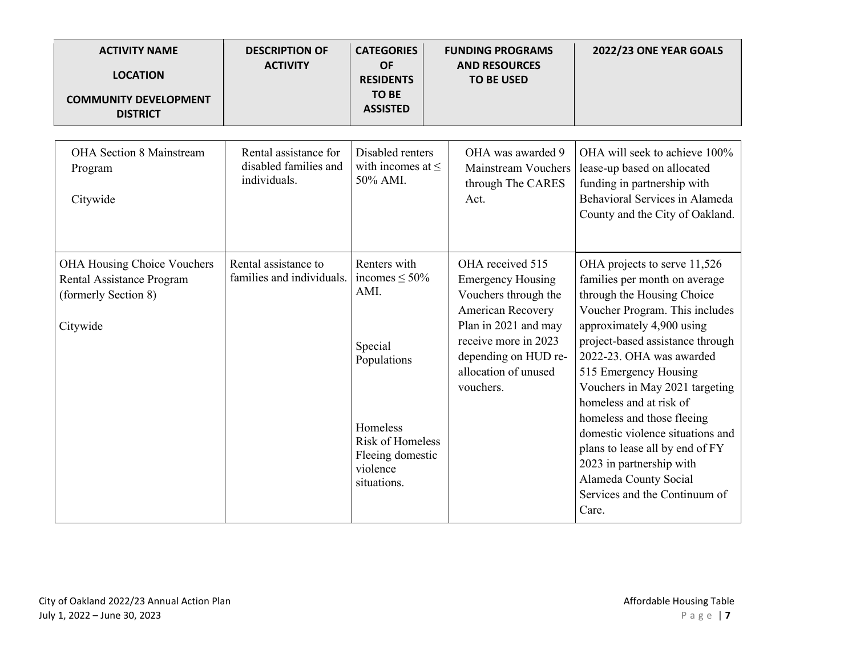| <b>ACTIVITY NAME</b><br><b>LOCATION</b><br><b>COMMUNITY DEVELOPMENT</b>                             | <b>DESCRIPTION OF</b><br><b>ACTIVITY</b>                       | <b>CATEGORIES</b><br><b>OF</b><br><b>RESIDENTS</b><br><b>TO BE</b><br><b>ASSISTED</b> | <b>FUNDING PROGRAMS</b><br><b>AND RESOURCES</b><br><b>TO BE USED</b>                                                                                                                                   | 2022/23 ONE YEAR GOALS                                                                                                                                                                                                                                                                |
|-----------------------------------------------------------------------------------------------------|----------------------------------------------------------------|---------------------------------------------------------------------------------------|--------------------------------------------------------------------------------------------------------------------------------------------------------------------------------------------------------|---------------------------------------------------------------------------------------------------------------------------------------------------------------------------------------------------------------------------------------------------------------------------------------|
| <b>DISTRICT</b>                                                                                     |                                                                |                                                                                       |                                                                                                                                                                                                        |                                                                                                                                                                                                                                                                                       |
| OHA Section 8 Mainstream<br>Program<br>Citywide                                                     | Rental assistance for<br>disabled families and<br>individuals. | Disabled renters<br>with incomes at $\leq$<br>50% AMI.                                | OHA was awarded 9<br><b>Mainstream Vouchers</b><br>through The CARES<br>Act.                                                                                                                           | OHA will seek to achieve 100%<br>lease-up based on allocated<br>funding in partnership with<br>Behavioral Services in Alameda<br>County and the City of Oakland.                                                                                                                      |
| <b>OHA Housing Choice Vouchers</b><br>Rental Assistance Program<br>(formerly Section 8)<br>Citywide | Rental assistance to<br>families and individuals.              | Renters with<br>incomes $\leq 50\%$<br>AMI.<br>Special<br>Populations                 | OHA received 515<br><b>Emergency Housing</b><br>Vouchers through the<br>American Recovery<br>Plan in 2021 and may<br>receive more in 2023<br>depending on HUD re-<br>allocation of unused<br>vouchers. | OHA projects to serve 11,526<br>families per month on average<br>through the Housing Choice<br>Voucher Program. This includes<br>approximately 4,900 using<br>project-based assistance through<br>2022-23. OHA was awarded<br>515 Emergency Housing<br>Vouchers in May 2021 targeting |
|                                                                                                     |                                                                | Homeless<br><b>Risk of Homeless</b><br>Fleeing domestic<br>violence<br>situations.    |                                                                                                                                                                                                        | homeless and at risk of<br>homeless and those fleeing<br>domestic violence situations and<br>plans to lease all by end of FY<br>2023 in partnership with<br>Alameda County Social<br>Services and the Continuum of<br>Care.                                                           |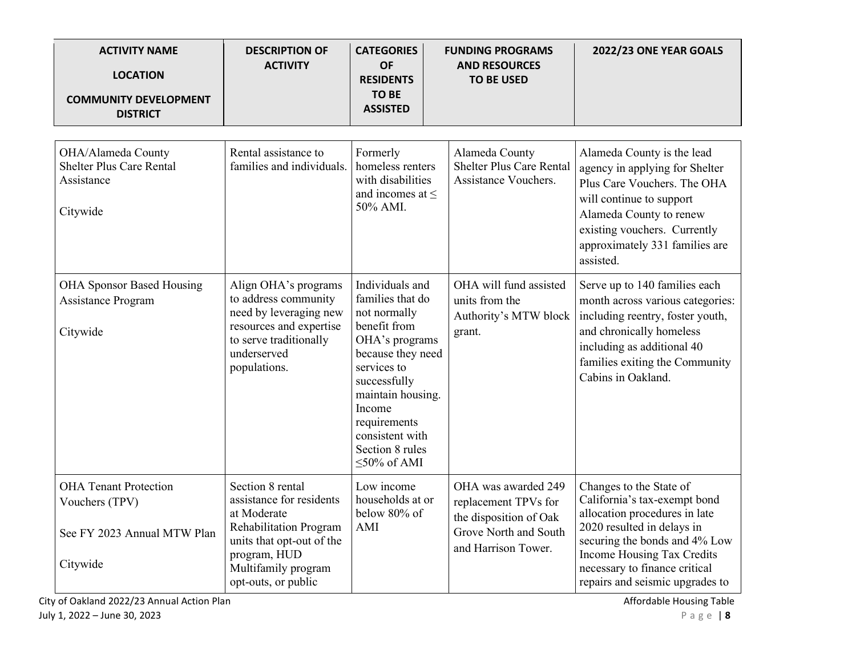| <b>ACTIVITY NAME</b><br><b>LOCATION</b><br><b>COMMUNITY DEVELOPMENT</b><br><b>DISTRICT</b> | <b>DESCRIPTION OF</b><br><b>ACTIVITY</b>                                                                                                                                                | <b>CATEGORIES</b><br><b>OF</b><br><b>RESIDENTS</b><br><b>TO BE</b><br><b>ASSISTED</b>                                                                                                                                                                | <b>FUNDING PROGRAMS</b><br><b>AND RESOURCES</b><br><b>TO BE USED</b>                                                  | 2022/23 ONE YEAR GOALS                                                                                                                                                                                                                                    |
|--------------------------------------------------------------------------------------------|-----------------------------------------------------------------------------------------------------------------------------------------------------------------------------------------|------------------------------------------------------------------------------------------------------------------------------------------------------------------------------------------------------------------------------------------------------|-----------------------------------------------------------------------------------------------------------------------|-----------------------------------------------------------------------------------------------------------------------------------------------------------------------------------------------------------------------------------------------------------|
| OHA/Alameda County<br><b>Shelter Plus Care Rental</b><br>Assistance<br>Citywide            | Rental assistance to<br>families and individuals.                                                                                                                                       | Formerly<br>homeless renters<br>with disabilities<br>and incomes at $\leq$<br>50% AMI.                                                                                                                                                               | Alameda County<br><b>Shelter Plus Care Rental</b><br>Assistance Vouchers.                                             | Alameda County is the lead<br>agency in applying for Shelter<br>Plus Care Vouchers. The OHA<br>will continue to support<br>Alameda County to renew<br>existing vouchers. Currently<br>approximately 331 families are<br>assisted.                         |
| <b>OHA Sponsor Based Housing</b><br><b>Assistance Program</b><br>Citywide                  | Align OHA's programs<br>to address community<br>need by leveraging new<br>resources and expertise<br>to serve traditionally<br>underserved<br>populations.                              | Individuals and<br>families that do<br>not normally<br>benefit from<br>OHA's programs<br>because they need<br>services to<br>successfully<br>maintain housing.<br>Income<br>requirements<br>consistent with<br>Section 8 rules<br>$\leq 50\%$ of AMI | OHA will fund assisted<br>units from the<br>Authority's MTW block<br>grant.                                           | Serve up to 140 families each<br>month across various categories:<br>including reentry, foster youth,<br>and chronically homeless<br>including as additional 40<br>families exiting the Community<br>Cabins in Oakland.                                   |
| <b>OHA Tenant Protection</b><br>Vouchers (TPV)<br>See FY 2023 Annual MTW Plan<br>Citywide  | Section 8 rental<br>assistance for residents<br>at Moderate<br><b>Rehabilitation Program</b><br>units that opt-out of the<br>program, HUD<br>Multifamily program<br>opt-outs, or public | Low income<br>households at or<br>below 80% of<br>$\mathop{\rm AMI}\nolimits$                                                                                                                                                                        | OHA was awarded 249<br>replacement TPVs for<br>the disposition of Oak<br>Grove North and South<br>and Harrison Tower. | Changes to the State of<br>California's tax-exempt bond<br>allocation procedures in late<br>2020 resulted in delays in<br>securing the bonds and 4% Low<br>Income Housing Tax Credits<br>necessary to finance critical<br>repairs and seismic upgrades to |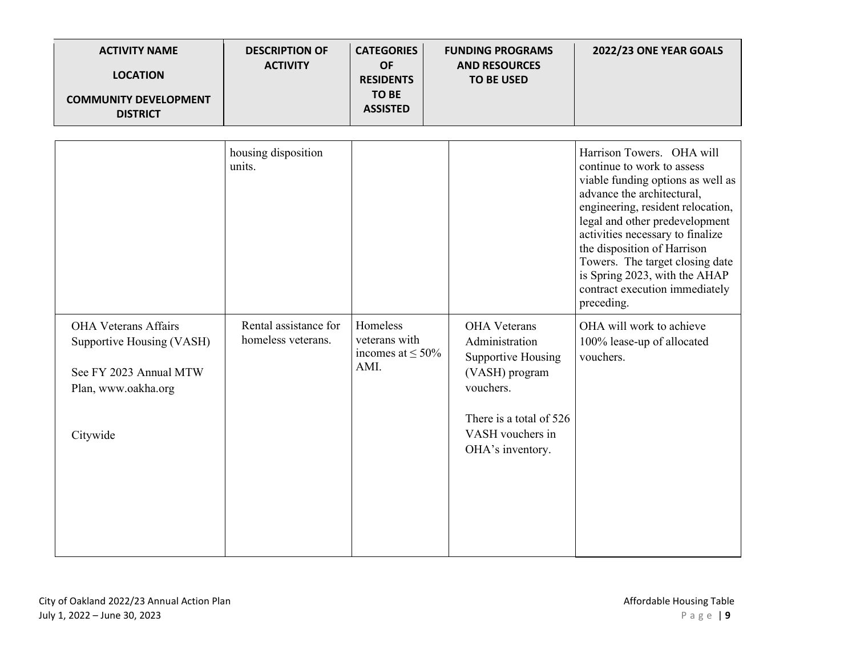| <b>ACTIVITY NAME</b><br><b>LOCATION</b><br><b>COMMUNITY DEVELOPMENT</b><br><b>DISTRICT</b>                            | <b>DESCRIPTION OF</b><br><b>ACTIVITY</b>    | <b>CATEGORIES</b><br><b>OF</b><br><b>RESIDENTS</b><br><b>TO BE</b><br><b>ASSISTED</b> | <b>FUNDING PROGRAMS</b><br><b>AND RESOURCES</b><br><b>TO BE USED</b>                                                                                                 | 2022/23 ONE YEAR GOALS                                                                                                                                                                                                                                                                                                                                                                   |
|-----------------------------------------------------------------------------------------------------------------------|---------------------------------------------|---------------------------------------------------------------------------------------|----------------------------------------------------------------------------------------------------------------------------------------------------------------------|------------------------------------------------------------------------------------------------------------------------------------------------------------------------------------------------------------------------------------------------------------------------------------------------------------------------------------------------------------------------------------------|
|                                                                                                                       | housing disposition<br>units.               |                                                                                       |                                                                                                                                                                      | Harrison Towers. OHA will<br>continue to work to assess<br>viable funding options as well as<br>advance the architectural,<br>engineering, resident relocation,<br>legal and other predevelopment<br>activities necessary to finalize<br>the disposition of Harrison<br>Towers. The target closing date<br>is Spring 2023, with the AHAP<br>contract execution immediately<br>preceding. |
| <b>OHA Veterans Affairs</b><br>Supportive Housing (VASH)<br>See FY 2023 Annual MTW<br>Plan, www.oakha.org<br>Citywide | Rental assistance for<br>homeless veterans. | Homeless<br>veterans with<br>incomes at $\leq 50\%$<br>AMI.                           | <b>OHA</b> Veterans<br>Administration<br><b>Supportive Housing</b><br>(VASH) program<br>vouchers.<br>There is a total of 526<br>VASH vouchers in<br>OHA's inventory. | OHA will work to achieve<br>100% lease-up of allocated<br>vouchers.                                                                                                                                                                                                                                                                                                                      |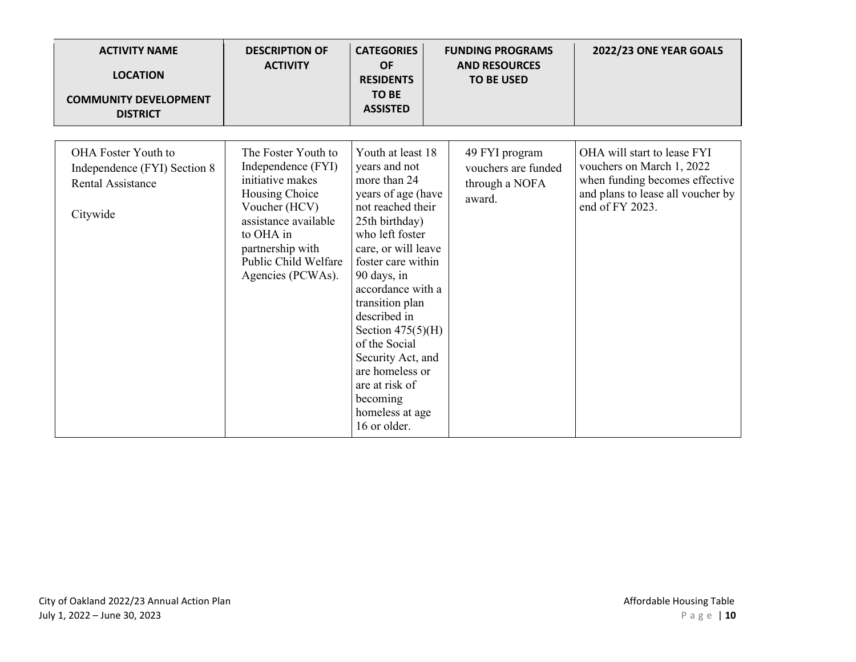| <b>ACTIVITY NAME</b><br><b>LOCATION</b><br><b>COMMUNITY DEVELOPMENT</b><br><b>DISTRICT</b>  | <b>DESCRIPTION OF</b><br><b>ACTIVITY</b>                                                                                                                                                               | <b>CATEGORIES</b><br><b>OF</b><br><b>RESIDENTS</b><br><b>TO BE</b><br><b>ASSISTED</b>                                                                                                                                                                                                                                                                                                                   | <b>FUNDING PROGRAMS</b><br><b>AND RESOURCES</b><br><b>TO BE USED</b> | 2022/23 ONE YEAR GOALS                                                                                                                             |
|---------------------------------------------------------------------------------------------|--------------------------------------------------------------------------------------------------------------------------------------------------------------------------------------------------------|---------------------------------------------------------------------------------------------------------------------------------------------------------------------------------------------------------------------------------------------------------------------------------------------------------------------------------------------------------------------------------------------------------|----------------------------------------------------------------------|----------------------------------------------------------------------------------------------------------------------------------------------------|
| <b>OHA Foster Youth to</b><br>Independence (FYI) Section 8<br>Rental Assistance<br>Citywide | The Foster Youth to<br>Independence (FYI)<br>initiative makes<br>Housing Choice<br>Voucher (HCV)<br>assistance available<br>to OHA in<br>partnership with<br>Public Child Welfare<br>Agencies (PCWAs). | Youth at least 18<br>years and not<br>more than 24<br>years of age (have<br>not reached their<br>25th birthday)<br>who left foster<br>care, or will leave<br>foster care within<br>90 days, in<br>accordance with a<br>transition plan<br>described in<br>Section $475(5)(H)$<br>of the Social<br>Security Act, and<br>are homeless or<br>are at risk of<br>becoming<br>homeless at age<br>16 or older. | 49 FYI program<br>vouchers are funded<br>through a NOFA<br>award.    | OHA will start to lease FYI<br>vouchers on March 1, 2022<br>when funding becomes effective<br>and plans to lease all voucher by<br>end of FY 2023. |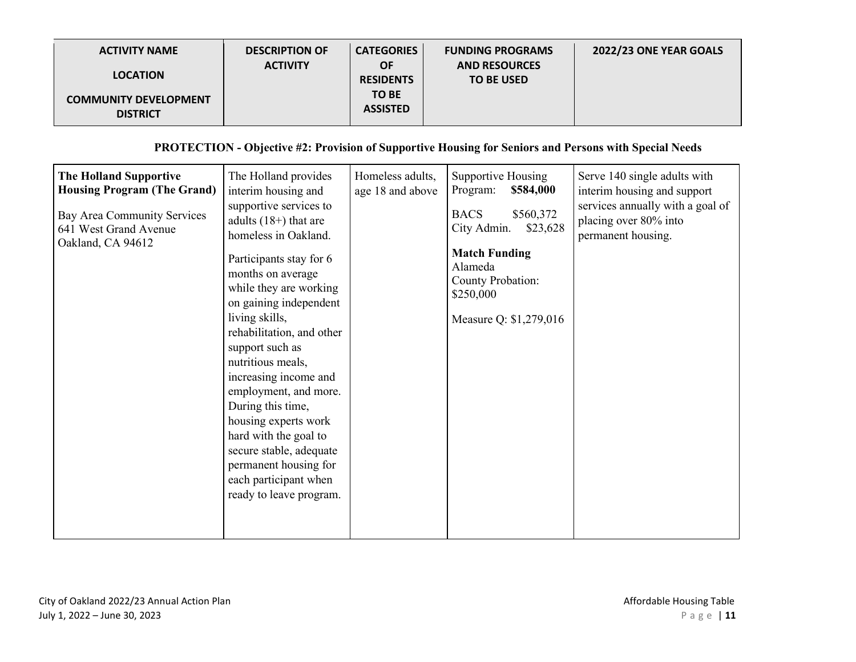| <b>ACTIVITY NAME</b>                            | <b>DESCRIPTION OF</b> | <b>CATEGORIES</b>               | <b>FUNDING PROGRAMS</b>                   | 2022/23 ONE YEAR GOALS |
|-------------------------------------------------|-----------------------|---------------------------------|-------------------------------------------|------------------------|
| <b>LOCATION</b>                                 | <b>ACTIVITY</b>       | <b>OF</b><br><b>RESIDENTS</b>   | <b>AND RESOURCES</b><br><b>TO BE USED</b> |                        |
| <b>COMMUNITY DEVELOPMENT</b><br><b>DISTRICT</b> |                       | <b>TO BE</b><br><b>ASSISTED</b> |                                           |                        |

#### **PROTECTION - Objective #2: Provision of Supportive Housing for Seniors and Persons with Special Needs**

| <b>The Holland Supportive</b><br><b>Housing Program (The Grand)</b><br>Bay Area Community Services<br>641 West Grand Avenue<br>Oakland, CA 94612 | The Holland provides<br>interim housing and<br>supportive services to<br>adults $(18+)$ that are<br>homeless in Oakland.<br>Participants stay for 6<br>months on average<br>while they are working<br>on gaining independent<br>living skills,<br>rehabilitation, and other<br>support such as<br>nutritious meals,<br>increasing income and<br>employment, and more.<br>During this time,<br>housing experts work<br>hard with the goal to<br>secure stable, adequate<br>permanent housing for<br>each participant when<br>ready to leave program. | Homeless adults,<br>age 18 and above | Supportive Housing<br>Program:<br>\$584,000<br><b>BACS</b><br>\$560,372<br>City Admin.<br>\$23,628<br><b>Match Funding</b><br>Alameda<br>County Probation:<br>\$250,000<br>Measure Q: \$1,279,016 | Serve 140 single adults with<br>interim housing and support<br>services annually with a goal of<br>placing over 80% into<br>permanent housing. |
|--------------------------------------------------------------------------------------------------------------------------------------------------|-----------------------------------------------------------------------------------------------------------------------------------------------------------------------------------------------------------------------------------------------------------------------------------------------------------------------------------------------------------------------------------------------------------------------------------------------------------------------------------------------------------------------------------------------------|--------------------------------------|---------------------------------------------------------------------------------------------------------------------------------------------------------------------------------------------------|------------------------------------------------------------------------------------------------------------------------------------------------|
|                                                                                                                                                  |                                                                                                                                                                                                                                                                                                                                                                                                                                                                                                                                                     |                                      |                                                                                                                                                                                                   |                                                                                                                                                |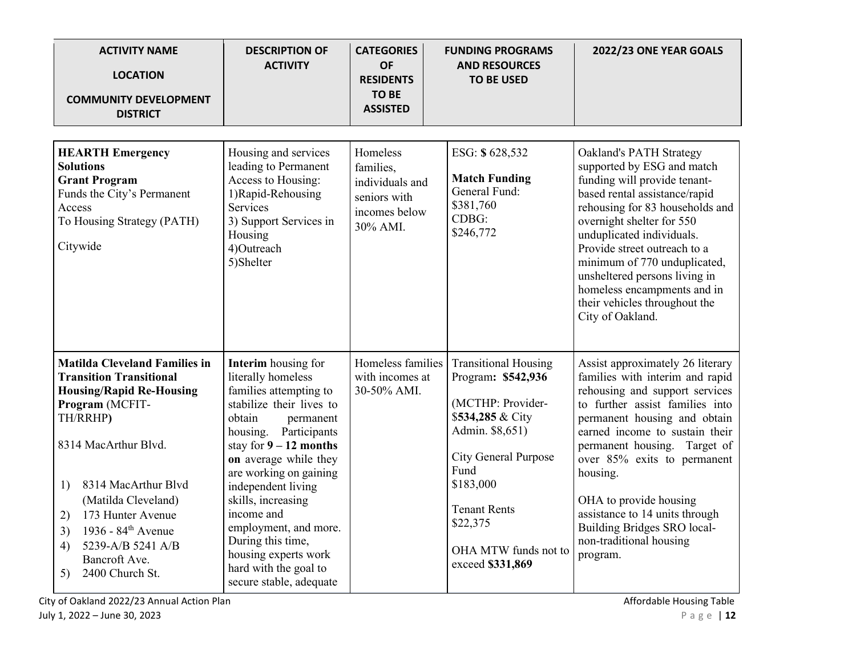| <b>ACTIVITY NAME</b><br><b>LOCATION</b><br><b>COMMUNITY DEVELOPMENT</b><br><b>DISTRICT</b>                                                                                                                                                                                                                                                                   | <b>DESCRIPTION OF</b><br><b>ACTIVITY</b>                                                                                                                                                                                                                                                                                                                                                                           | <b>CATEGORIES</b><br><b>OF</b><br><b>RESIDENTS</b><br><b>TO BE</b><br><b>ASSISTED</b> | <b>FUNDING PROGRAMS</b><br><b>AND RESOURCES</b><br><b>TO BE USED</b>                                                                                                                                                                             | 2022/23 ONE YEAR GOALS                                                                                                                                                                                                                                                                                                                                                                                                  |
|--------------------------------------------------------------------------------------------------------------------------------------------------------------------------------------------------------------------------------------------------------------------------------------------------------------------------------------------------------------|--------------------------------------------------------------------------------------------------------------------------------------------------------------------------------------------------------------------------------------------------------------------------------------------------------------------------------------------------------------------------------------------------------------------|---------------------------------------------------------------------------------------|--------------------------------------------------------------------------------------------------------------------------------------------------------------------------------------------------------------------------------------------------|-------------------------------------------------------------------------------------------------------------------------------------------------------------------------------------------------------------------------------------------------------------------------------------------------------------------------------------------------------------------------------------------------------------------------|
| <b>HEARTH</b> Emergency<br><b>Solutions</b><br><b>Grant Program</b><br>Funds the City's Permanent<br>Access<br>To Housing Strategy (PATH)<br>Citywide                                                                                                                                                                                                        | Housing and services<br>leading to Permanent<br>Access to Housing:<br>1) Rapid-Rehousing<br><b>Services</b><br>3) Support Services in<br>Housing<br>4)Outreach<br>5)Shelter                                                                                                                                                                                                                                        | Homeless<br>families,<br>individuals and<br>seniors with<br>incomes below<br>30% AMI. | ESG: \$628,532<br><b>Match Funding</b><br>General Fund:<br>\$381,760<br>CDBG:<br>\$246,772                                                                                                                                                       | Oakland's PATH Strategy<br>supported by ESG and match<br>funding will provide tenant-<br>based rental assistance/rapid<br>rehousing for 83 households and<br>overnight shelter for 550<br>unduplicated individuals.<br>Provide street outreach to a<br>minimum of 770 unduplicated,<br>unsheltered persons living in<br>homeless encampments and in<br>their vehicles throughout the<br>City of Oakland.                |
| <b>Matilda Cleveland Families in</b><br><b>Transition Transitional</b><br><b>Housing/Rapid Re-Housing</b><br>Program (MCFIT-<br>TH/RRHP)<br>8314 MacArthur Blvd.<br>8314 MacArthur Blvd<br>1)<br>(Matilda Cleveland)<br>173 Hunter Avenue<br>2)<br>1936 - 84 <sup>th</sup> Avenue<br>3)<br>5239-A/B 5241 A/B<br>4)<br>Bancroft Ave.<br>5)<br>2400 Church St. | Interim housing for<br>literally homeless<br>families attempting to<br>stabilize their lives to<br>obtain<br>permanent<br>housing. Participants<br>stay for $9 - 12$ months<br>on average while they<br>are working on gaining<br>independent living<br>skills, increasing<br>income and<br>employment, and more.<br>During this time,<br>housing experts work<br>hard with the goal to<br>secure stable, adequate | Homeless families<br>with incomes at<br>30-50% AMI.                                   | <b>Transitional Housing</b><br>Program: \$542,936<br>(MCTHP: Provider-<br>\$534,285 & City<br>Admin. \$8,651)<br><b>City General Purpose</b><br>Fund<br>\$183,000<br><b>Tenant Rents</b><br>\$22,375<br>OHA MTW funds not to<br>exceed \$331,869 | Assist approximately 26 literary<br>families with interim and rapid<br>rehousing and support services<br>to further assist families into<br>permanent housing and obtain<br>earned income to sustain their<br>permanent housing. Target of<br>over 85% exits to permanent<br>housing.<br>OHA to provide housing<br>assistance to 14 units through<br>Building Bridges SRO local-<br>non-traditional housing<br>program. |

City of Oakland 2022/23 Annual Action Plan Affordable Housing Table Affordable Housing Table July 1, 2022 – June 30, 2023 **Page | 12**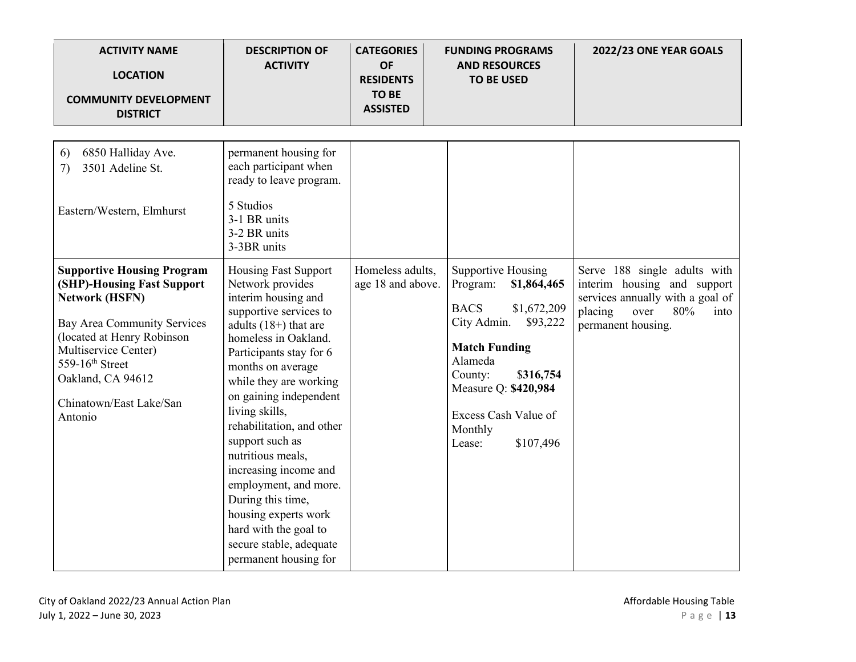| <b>ACTIVITY NAME</b><br><b>LOCATION</b><br><b>COMMUNITY DEVELOPMENT</b><br><b>DISTRICT</b>                                                                                                                                                                  | <b>DESCRIPTION OF</b><br><b>ACTIVITY</b>                                                                                                                                                                                                                                                                                                                                                                                                                                                                                   | <b>CATEGORIES</b><br><b>OF</b><br><b>RESIDENTS</b><br><b>TO BE</b><br><b>ASSISTED</b> | <b>FUNDING PROGRAMS</b><br><b>AND RESOURCES</b><br><b>TO BE USED</b>                                                                                                                                                                                | 2022/23 ONE YEAR GOALS                                                                                                                                  |
|-------------------------------------------------------------------------------------------------------------------------------------------------------------------------------------------------------------------------------------------------------------|----------------------------------------------------------------------------------------------------------------------------------------------------------------------------------------------------------------------------------------------------------------------------------------------------------------------------------------------------------------------------------------------------------------------------------------------------------------------------------------------------------------------------|---------------------------------------------------------------------------------------|-----------------------------------------------------------------------------------------------------------------------------------------------------------------------------------------------------------------------------------------------------|---------------------------------------------------------------------------------------------------------------------------------------------------------|
| 6850 Halliday Ave.<br>6)<br>3501 Adeline St.<br>7)<br>Eastern/Western, Elmhurst                                                                                                                                                                             | permanent housing for<br>each participant when<br>ready to leave program.<br>5 Studios<br>3-1 BR units<br>3-2 BR units<br>3-3BR units                                                                                                                                                                                                                                                                                                                                                                                      |                                                                                       |                                                                                                                                                                                                                                                     |                                                                                                                                                         |
| <b>Supportive Housing Program</b><br>(SHP)-Housing Fast Support<br><b>Network (HSFN)</b><br>Bay Area Community Services<br>(located at Henry Robinson<br>Multiservice Center)<br>559-16th Street<br>Oakland, CA 94612<br>Chinatown/East Lake/San<br>Antonio | <b>Housing Fast Support</b><br>Network provides<br>interim housing and<br>supportive services to<br>adults $(18+)$ that are<br>homeless in Oakland.<br>Participants stay for 6<br>months on average<br>while they are working<br>on gaining independent<br>living skills,<br>rehabilitation, and other<br>support such as<br>nutritious meals,<br>increasing income and<br>employment, and more.<br>During this time,<br>housing experts work<br>hard with the goal to<br>secure stable, adequate<br>permanent housing for | Homeless adults,<br>age 18 and above.                                                 | Supportive Housing<br>Program:<br>\$1,864,465<br><b>BACS</b><br>\$1,672,209<br>City Admin.<br>\$93,222<br><b>Match Funding</b><br>Alameda<br>County:<br>\$316,754<br>Measure Q: \$420,984<br>Excess Cash Value of<br>Monthly<br>\$107,496<br>Lease: | Serve 188 single adults with<br>interim housing and support<br>services annually with a goal of<br>placing<br>over<br>80%<br>into<br>permanent housing. |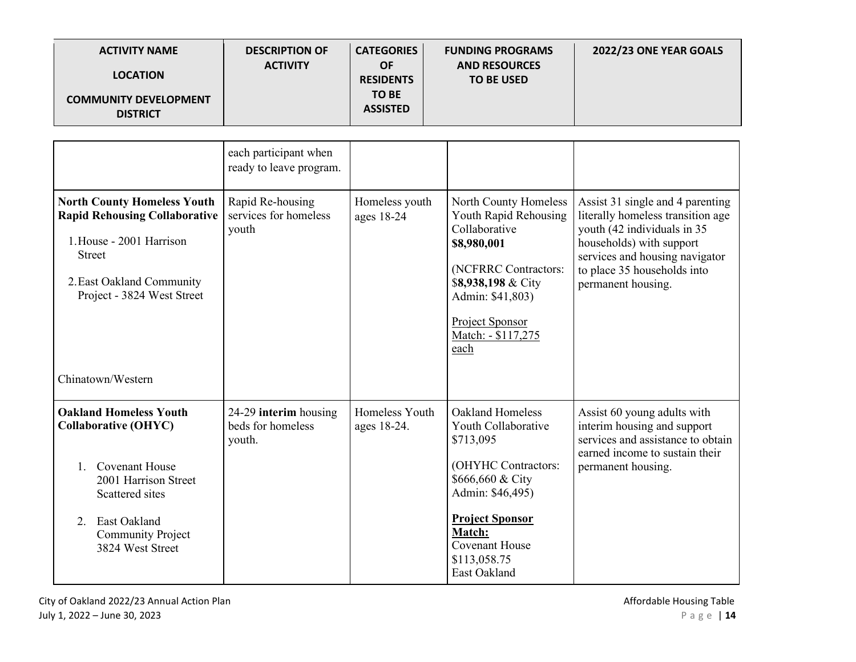| <b>ACTIVITY NAME</b><br><b>LOCATION</b><br><b>COMMUNITY DEVELOPMENT</b><br><b>DISTRICT</b>                                                                                                              | <b>DESCRIPTION OF</b><br><b>ACTIVITY</b>             | <b>CATEGORIES</b><br><b>OF</b><br><b>RESIDENTS</b><br><b>TO BE</b><br><b>ASSISTED</b> | <b>FUNDING PROGRAMS</b><br><b>AND RESOURCES</b><br><b>TO BE USED</b>                                                                                                                                             | 2022/23 ONE YEAR GOALS                                                                                                                                                                                                  |
|---------------------------------------------------------------------------------------------------------------------------------------------------------------------------------------------------------|------------------------------------------------------|---------------------------------------------------------------------------------------|------------------------------------------------------------------------------------------------------------------------------------------------------------------------------------------------------------------|-------------------------------------------------------------------------------------------------------------------------------------------------------------------------------------------------------------------------|
|                                                                                                                                                                                                         | each participant when<br>ready to leave program.     |                                                                                       |                                                                                                                                                                                                                  |                                                                                                                                                                                                                         |
| <b>North County Homeless Youth</b><br><b>Rapid Rehousing Collaborative</b><br>1. House - 2001 Harrison<br><b>Street</b><br>2. East Oakland Community<br>Project - 3824 West Street<br>Chinatown/Western | Rapid Re-housing<br>services for homeless<br>youth   | Homeless youth<br>ages 18-24                                                          | North County Homeless<br>Youth Rapid Rehousing<br>Collaborative<br>\$8,980,001<br>(NCFRRC Contractors:<br>\$8,938,198 & City<br>Admin: \$41,803)<br>Project Sponsor<br>Match: - \$117,275<br>each                | Assist 31 single and 4 parenting<br>literally homeless transition age<br>youth (42 individuals in 35<br>households) with support<br>services and housing navigator<br>to place 35 households into<br>permanent housing. |
| <b>Oakland Homeless Youth</b><br><b>Collaborative (OHYC)</b><br>1. Covenant House<br>2001 Harrison Street<br>Scattered sites<br>East Oakland<br>2.<br><b>Community Project</b><br>3824 West Street      | 24-29 interim housing<br>beds for homeless<br>youth. | Homeless Youth<br>ages 18-24.                                                         | Oakland Homeless<br>Youth Collaborative<br>\$713,095<br>(OHYHC Contractors:<br>\$666,660 & City<br>Admin: \$46,495)<br><b>Project Sponsor</b><br>Match:<br><b>Covenant House</b><br>\$113,058.75<br>East Oakland | Assist 60 young adults with<br>interim housing and support<br>services and assistance to obtain<br>earned income to sustain their<br>permanent housing.                                                                 |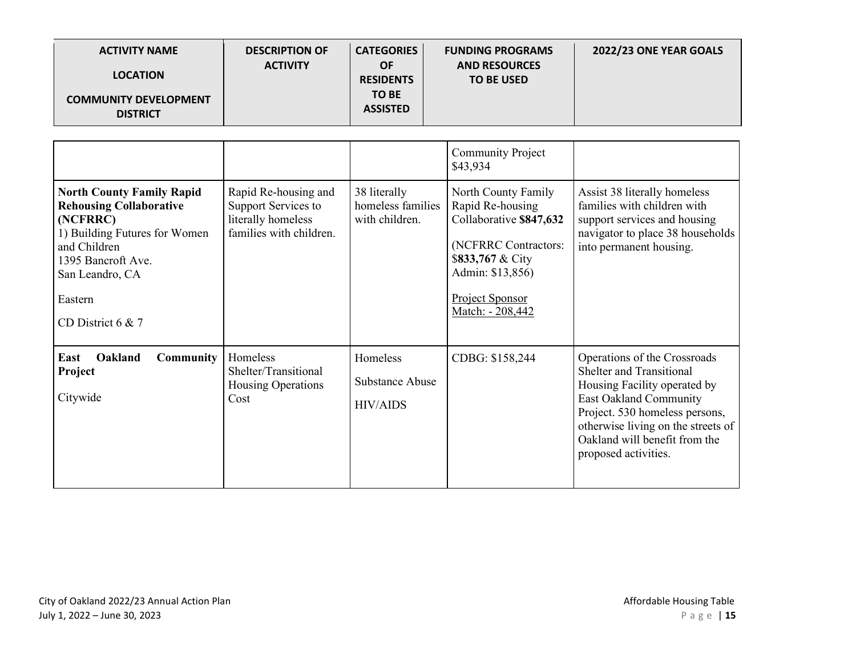| <b>ACTIVITY NAME</b><br><b>LOCATION</b><br><b>COMMUNITY DEVELOPMENT</b><br><b>DISTRICT</b>                                                                                                               | <b>DESCRIPTION OF</b><br><b>ACTIVITY</b>                                                     | <b>CATEGORIES</b><br><b>OF</b><br><b>RESIDENTS</b><br><b>TO BE</b><br><b>ASSISTED</b> | <b>FUNDING PROGRAMS</b><br><b>AND RESOURCES</b><br><b>TO BE USED</b>                                                                                                                                              | 2022/23 ONE YEAR GOALS                                                                                                                                                                                                                                     |
|----------------------------------------------------------------------------------------------------------------------------------------------------------------------------------------------------------|----------------------------------------------------------------------------------------------|---------------------------------------------------------------------------------------|-------------------------------------------------------------------------------------------------------------------------------------------------------------------------------------------------------------------|------------------------------------------------------------------------------------------------------------------------------------------------------------------------------------------------------------------------------------------------------------|
| <b>North County Family Rapid</b><br><b>Rehousing Collaborative</b><br>(NCFRRC)<br>1) Building Futures for Women<br>and Children<br>1395 Bancroft Ave.<br>San Leandro, CA<br>Eastern<br>CD District 6 & 7 | Rapid Re-housing and<br>Support Services to<br>literally homeless<br>families with children. | 38 literally<br>homeless families<br>with children.                                   | <b>Community Project</b><br>\$43,934<br>North County Family<br>Rapid Re-housing<br>Collaborative \$847,632<br>(NCFRRC Contractors:<br>\$833,767 & City<br>Admin: \$13,856)<br>Project Sponsor<br>Match: - 208,442 | Assist 38 literally homeless<br>families with children with<br>support services and housing<br>navigator to place 38 households<br>into permanent housing.                                                                                                 |
| East<br>Oakland<br><b>Community</b><br>Project<br>Citywide                                                                                                                                               | Homeless<br>Shelter/Transitional<br>Housing Operations<br>Cost                               | Homeless<br><b>Substance Abuse</b><br><b>HIV/AIDS</b>                                 | CDBG: \$158,244                                                                                                                                                                                                   | Operations of the Crossroads<br><b>Shelter and Transitional</b><br>Housing Facility operated by<br>East Oakland Community<br>Project. 530 homeless persons,<br>otherwise living on the streets of<br>Oakland will benefit from the<br>proposed activities. |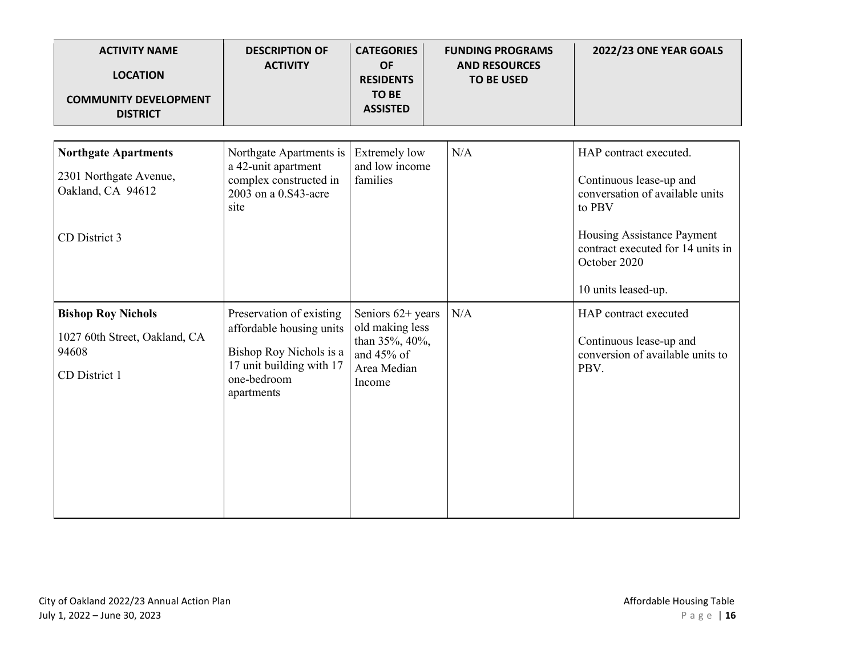| <b>ACTIVITY NAME</b><br><b>LOCATION</b><br><b>COMMUNITY DEVELOPMENT</b><br><b>DISTRICT</b>  | <b>DESCRIPTION OF</b><br><b>ACTIVITY</b>                                                                                                 | <b>CATEGORIES</b><br><b>OF</b><br><b>RESIDENTS</b><br><b>TO BE</b><br><b>ASSISTED</b>           | <b>FUNDING PROGRAMS</b><br><b>AND RESOURCES</b><br><b>TO BE USED</b> | 2022/23 ONE YEAR GOALS                                                                                                                                                                                   |
|---------------------------------------------------------------------------------------------|------------------------------------------------------------------------------------------------------------------------------------------|-------------------------------------------------------------------------------------------------|----------------------------------------------------------------------|----------------------------------------------------------------------------------------------------------------------------------------------------------------------------------------------------------|
| <b>Northgate Apartments</b><br>2301 Northgate Avenue,<br>Oakland, CA 94612<br>CD District 3 | Northgate Apartments is<br>a 42-unit apartment<br>complex constructed in<br>2003 on a 0.S43-acre<br>site                                 | <b>Extremely low</b><br>and low income<br>families                                              | N/A                                                                  | HAP contract executed.<br>Continuous lease-up and<br>conversation of available units<br>to PBV<br>Housing Assistance Payment<br>contract executed for 14 units in<br>October 2020<br>10 units leased-up. |
| <b>Bishop Roy Nichols</b><br>1027 60th Street, Oakland, CA<br>94608<br>CD District 1        | Preservation of existing<br>affordable housing units<br>Bishop Roy Nichols is a<br>17 unit building with 17<br>one-bedroom<br>apartments | Seniors $62+$ years<br>old making less<br>than 35%, 40%,<br>and 45% of<br>Area Median<br>Income | N/A                                                                  | HAP contract executed<br>Continuous lease-up and<br>conversion of available units to<br>PBV.                                                                                                             |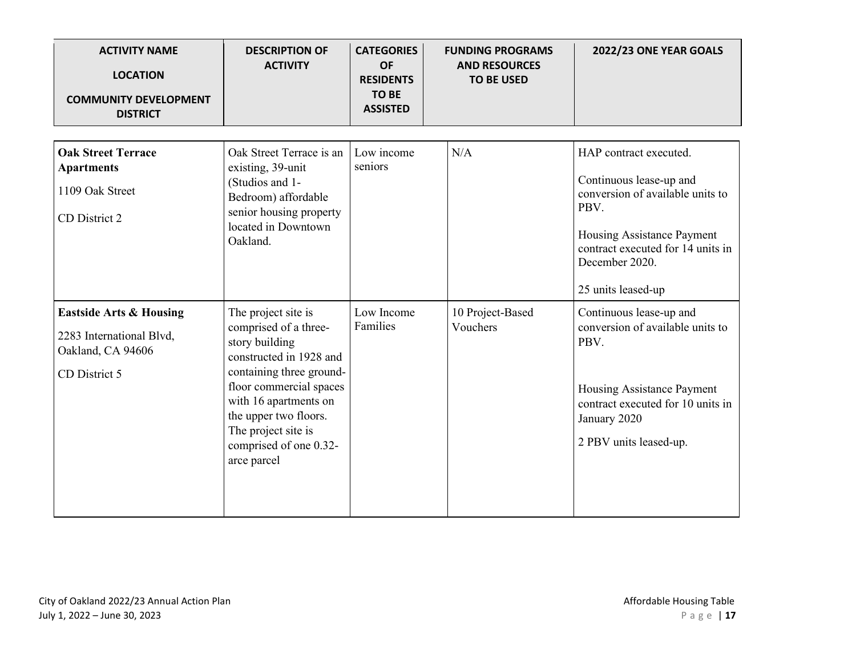| <b>ACTIVITY NAME</b><br><b>LOCATION</b><br><b>COMMUNITY DEVELOPMENT</b><br><b>DISTRICT</b>           | <b>DESCRIPTION OF</b><br><b>ACTIVITY</b>                                                                                                                                                                                                                           | <b>CATEGORIES</b><br><b>OF</b><br><b>RESIDENTS</b><br><b>TO BE</b><br><b>ASSISTED</b> | <b>FUNDING PROGRAMS</b><br><b>AND RESOURCES</b><br><b>TO BE USED</b> | 2022/23 ONE YEAR GOALS                                                                                                                                                                                   |
|------------------------------------------------------------------------------------------------------|--------------------------------------------------------------------------------------------------------------------------------------------------------------------------------------------------------------------------------------------------------------------|---------------------------------------------------------------------------------------|----------------------------------------------------------------------|----------------------------------------------------------------------------------------------------------------------------------------------------------------------------------------------------------|
| <b>Oak Street Terrace</b><br><b>Apartments</b><br>1109 Oak Street<br>CD District 2                   | Oak Street Terrace is an<br>existing, 39-unit<br>(Studios and 1-<br>Bedroom) affordable<br>senior housing property<br>located in Downtown<br>Oakland.                                                                                                              | Low income<br>seniors                                                                 | N/A                                                                  | HAP contract executed.<br>Continuous lease-up and<br>conversion of available units to<br>PBV.<br>Housing Assistance Payment<br>contract executed for 14 units in<br>December 2020.<br>25 units leased-up |
| <b>Eastside Arts &amp; Housing</b><br>2283 International Blvd,<br>Oakland, CA 94606<br>CD District 5 | The project site is<br>comprised of a three-<br>story building<br>constructed in 1928 and<br>containing three ground-<br>floor commercial spaces<br>with 16 apartments on<br>the upper two floors.<br>The project site is<br>comprised of one 0.32-<br>arce parcel | Low Income<br>Families                                                                | 10 Project-Based<br>Vouchers                                         | Continuous lease-up and<br>conversion of available units to<br>PBV.<br>Housing Assistance Payment<br>contract executed for 10 units in<br>January 2020<br>2 PBV units leased-up.                         |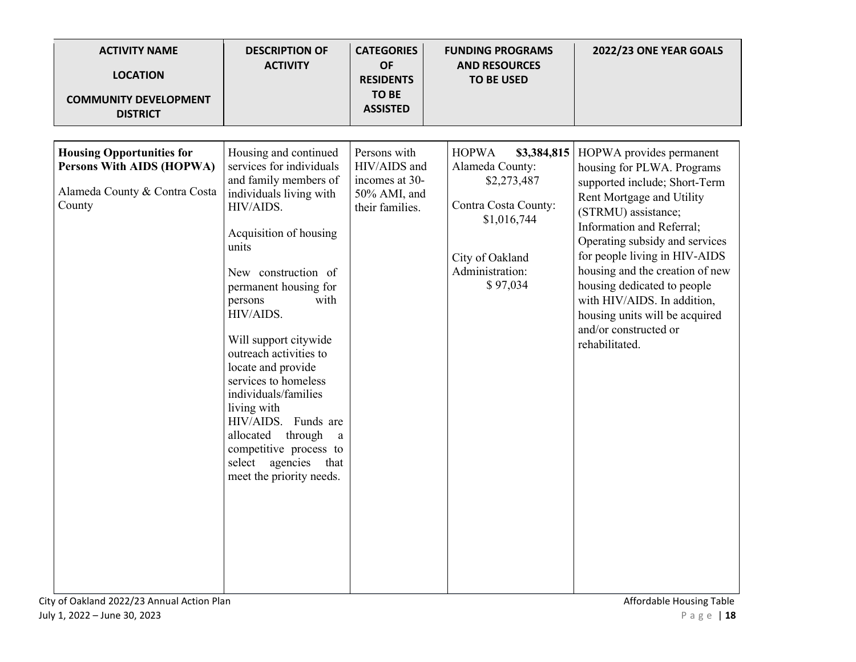| <b>ACTIVITY NAME</b><br><b>LOCATION</b><br><b>COMMUNITY DEVELOPMENT</b><br><b>DISTRICT</b>               | <b>DESCRIPTION OF</b><br><b>ACTIVITY</b>                                                                                                                                                                                                                                                                                                                                                                                                                                                                           | <b>CATEGORIES</b><br><b>OF</b><br><b>RESIDENTS</b><br><b>TO BE</b><br><b>ASSISTED</b> | <b>FUNDING PROGRAMS</b><br><b>AND RESOURCES</b><br><b>TO BE USED</b>                                                                                   | 2022/23 ONE YEAR GOALS                                                                                                                                                                                                                                                                                                                                                                                                    |
|----------------------------------------------------------------------------------------------------------|--------------------------------------------------------------------------------------------------------------------------------------------------------------------------------------------------------------------------------------------------------------------------------------------------------------------------------------------------------------------------------------------------------------------------------------------------------------------------------------------------------------------|---------------------------------------------------------------------------------------|--------------------------------------------------------------------------------------------------------------------------------------------------------|---------------------------------------------------------------------------------------------------------------------------------------------------------------------------------------------------------------------------------------------------------------------------------------------------------------------------------------------------------------------------------------------------------------------------|
| <b>Housing Opportunities for</b><br>Persons With AIDS (HOPWA)<br>Alameda County & Contra Costa<br>County | Housing and continued<br>services for individuals<br>and family members of<br>individuals living with<br>HIV/AIDS.<br>Acquisition of housing<br>units<br>New construction of<br>permanent housing for<br>with<br>persons<br>HIV/AIDS.<br>Will support citywide<br>outreach activities to<br>locate and provide<br>services to homeless<br>individuals/families<br>living with<br>HIV/AIDS. Funds are<br>allocated<br>through<br>a<br>competitive process to<br>select agencies<br>that<br>meet the priority needs. | Persons with<br>HIV/AIDS and<br>incomes at 30-<br>50% AMI, and<br>their families.     | <b>HOPWA</b><br>\$3,384,815<br>Alameda County:<br>\$2,273,487<br>Contra Costa County:<br>\$1,016,744<br>City of Oakland<br>Administration:<br>\$97,034 | HOPWA provides permanent<br>housing for PLWA. Programs<br>supported include; Short-Term<br>Rent Mortgage and Utility<br>(STRMU) assistance;<br>Information and Referral;<br>Operating subsidy and services<br>for people living in HIV-AIDS<br>housing and the creation of new<br>housing dedicated to people<br>with HIV/AIDS. In addition,<br>housing units will be acquired<br>and/or constructed or<br>rehabilitated. |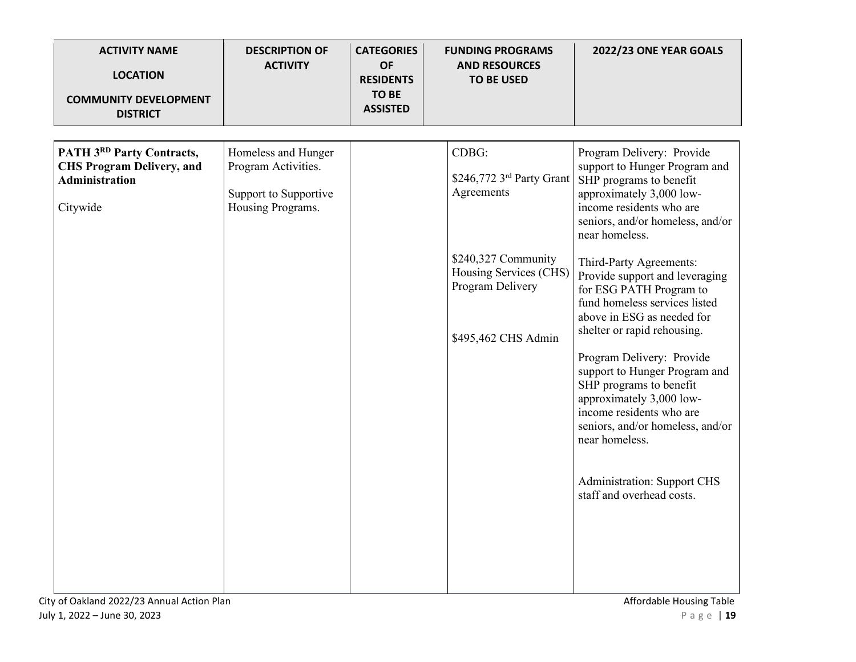| <b>ACTIVITY NAME</b><br><b>LOCATION</b><br><b>COMMUNITY DEVELOPMENT</b><br><b>DISTRICT</b>                | <b>DESCRIPTION OF</b><br><b>ACTIVITY</b>                                                 | <b>CATEGORIES</b><br><b>OF</b><br><b>RESIDENTS</b><br><b>TO BE</b><br><b>ASSISTED</b> | <b>FUNDING PROGRAMS</b><br><b>AND RESOURCES</b><br><b>TO BE USED</b>                                                                         | 2022/23 ONE YEAR GOALS                                                                                                                                                                                                                                                                                                                                                                                                                                                                                                                                                                                                                                              |
|-----------------------------------------------------------------------------------------------------------|------------------------------------------------------------------------------------------|---------------------------------------------------------------------------------------|----------------------------------------------------------------------------------------------------------------------------------------------|---------------------------------------------------------------------------------------------------------------------------------------------------------------------------------------------------------------------------------------------------------------------------------------------------------------------------------------------------------------------------------------------------------------------------------------------------------------------------------------------------------------------------------------------------------------------------------------------------------------------------------------------------------------------|
| <b>PATH 3RD Party Contracts,</b><br><b>CHS Program Delivery, and</b><br><b>Administration</b><br>Citywide | Homeless and Hunger<br>Program Activities.<br>Support to Supportive<br>Housing Programs. |                                                                                       | CDBG:<br>\$246,772 3rd Party Grant<br>Agreements<br>\$240,327 Community<br>Housing Services (CHS)<br>Program Delivery<br>\$495,462 CHS Admin | Program Delivery: Provide<br>support to Hunger Program and<br>SHP programs to benefit<br>approximately 3,000 low-<br>income residents who are<br>seniors, and/or homeless, and/or<br>near homeless.<br>Third-Party Agreements:<br>Provide support and leveraging<br>for ESG PATH Program to<br>fund homeless services listed<br>above in ESG as needed for<br>shelter or rapid rehousing.<br>Program Delivery: Provide<br>support to Hunger Program and<br>SHP programs to benefit<br>approximately 3,000 low-<br>income residents who are<br>seniors, and/or homeless, and/or<br>near homeless.<br><b>Administration: Support CHS</b><br>staff and overhead costs. |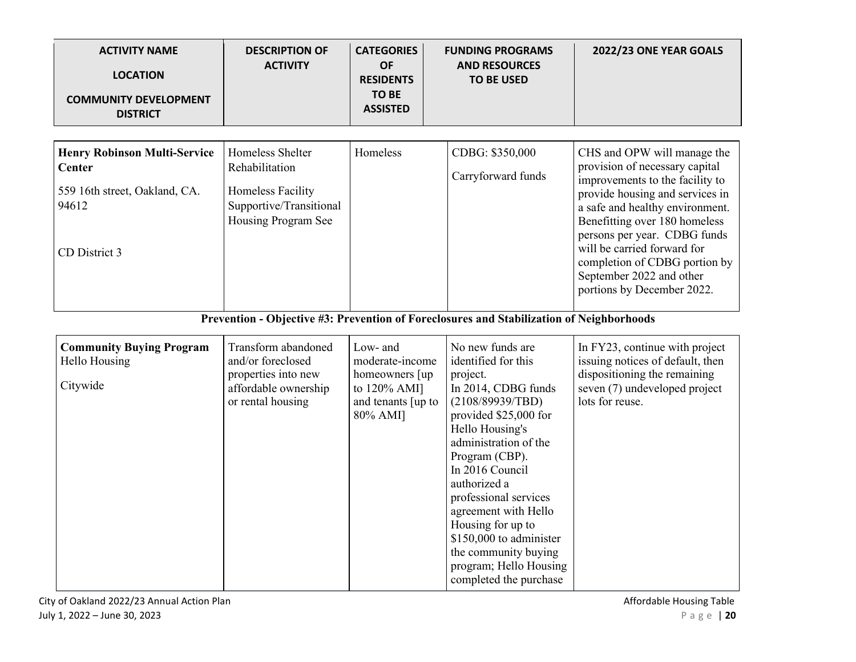| <b>ACTIVITY NAME</b><br><b>LOCATION</b><br><b>COMMUNITY DEVELOPMENT</b><br><b>DISTRICT</b>                      | <b>DESCRIPTION OF</b><br><b>ACTIVITY</b>                                                                     | <b>CATEGORIES</b><br><b>OF</b><br><b>RESIDENTS</b><br><b>TO BE</b><br><b>ASSISTED</b>           | <b>FUNDING PROGRAMS</b><br><b>AND RESOURCES</b><br><b>TO BE USED</b>                                                                                                                                                                                                                                                                                                                                  | 2022/23 ONE YEAR GOALS                                                                                                                                                                                                                                                                                                                                            |
|-----------------------------------------------------------------------------------------------------------------|--------------------------------------------------------------------------------------------------------------|-------------------------------------------------------------------------------------------------|-------------------------------------------------------------------------------------------------------------------------------------------------------------------------------------------------------------------------------------------------------------------------------------------------------------------------------------------------------------------------------------------------------|-------------------------------------------------------------------------------------------------------------------------------------------------------------------------------------------------------------------------------------------------------------------------------------------------------------------------------------------------------------------|
| <b>Henry Robinson Multi-Service</b><br><b>Center</b><br>559 16th street, Oakland, CA.<br>94612<br>CD District 3 | Homeless Shelter<br>Rehabilitation<br>Homeless Facility<br>Supportive/Transitional<br>Housing Program See    | Homeless                                                                                        | CDBG: \$350,000<br>Carryforward funds                                                                                                                                                                                                                                                                                                                                                                 | CHS and OPW will manage the<br>provision of necessary capital<br>improvements to the facility to<br>provide housing and services in<br>a safe and healthy environment.<br>Benefitting over 180 homeless<br>persons per year. CDBG funds<br>will be carried forward for<br>completion of CDBG portion by<br>September 2022 and other<br>portions by December 2022. |
|                                                                                                                 |                                                                                                              |                                                                                                 | Prevention - Objective #3: Prevention of Foreclosures and Stabilization of Neighborhoods                                                                                                                                                                                                                                                                                                              |                                                                                                                                                                                                                                                                                                                                                                   |
| <b>Community Buying Program</b><br>Hello Housing<br>Citywide                                                    | Transform abandoned<br>and/or foreclosed<br>properties into new<br>affordable ownership<br>or rental housing | Low- and<br>moderate-income<br>homeowners [up<br>to 120% AMI]<br>and tenants [up to<br>80% AMI] | No new funds are<br>identified for this<br>project.<br>In 2014, CDBG funds<br>(2108/89939/TBD)<br>provided \$25,000 for<br>Hello Housing's<br>administration of the<br>Program (CBP).<br>In 2016 Council<br>authorized a<br>professional services<br>agreement with Hello<br>Housing for up to<br>\$150,000 to administer<br>the community buying<br>program; Hello Housing<br>completed the purchase | In FY23, continue with project<br>issuing notices of default, then<br>dispositioning the remaining<br>seven (7) undeveloped project<br>lots for reuse.                                                                                                                                                                                                            |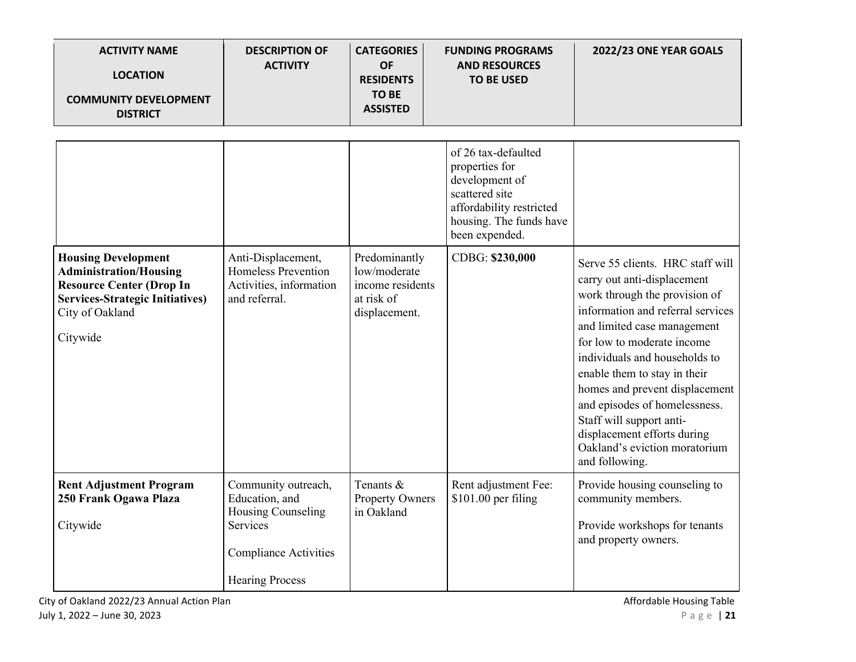| <b>ACTIVITY NAME</b><br><b>LOCATION</b><br><b>COMMUNITY DEVELOPMENT</b><br><b>DISTRICT</b>                                                                              | <b>DESCRIPTION OF</b><br><b>ACTIVITY</b>                                                                                          | <b>CATEGORIES</b><br><b>OF</b><br><b>RESIDENTS</b><br><b>TO BE</b><br><b>ASSISTED</b> | <b>FUNDING PROGRAMS</b><br><b>AND RESOURCES</b><br><b>TO BE USED</b>                                                                               | 2022/23 ONE YEAR GOALS                                                                                                                                                                                                                                                                                                                                                                                                                               |
|-------------------------------------------------------------------------------------------------------------------------------------------------------------------------|-----------------------------------------------------------------------------------------------------------------------------------|---------------------------------------------------------------------------------------|----------------------------------------------------------------------------------------------------------------------------------------------------|------------------------------------------------------------------------------------------------------------------------------------------------------------------------------------------------------------------------------------------------------------------------------------------------------------------------------------------------------------------------------------------------------------------------------------------------------|
|                                                                                                                                                                         |                                                                                                                                   |                                                                                       | of 26 tax-defaulted<br>properties for<br>development of<br>scattered site<br>affordability restricted<br>housing. The funds have<br>been expended. |                                                                                                                                                                                                                                                                                                                                                                                                                                                      |
| <b>Housing Development</b><br><b>Administration/Housing</b><br><b>Resource Center (Drop In</b><br><b>Services-Strategic Initiatives)</b><br>City of Oakland<br>Citywide | Anti-Displacement,<br>Homeless Prevention<br>Activities, information<br>and referral.                                             | Predominantly<br>low/moderate<br>income residents<br>at risk of<br>displacement.      | CDBG: \$230,000                                                                                                                                    | Serve 55 clients. HRC staff will<br>carry out anti-displacement<br>work through the provision of<br>information and referral services<br>and limited case management<br>for low to moderate income<br>individuals and households to<br>enable them to stay in their<br>homes and prevent displacement<br>and episodes of homelessness.<br>Staff will support anti-<br>displacement efforts during<br>Oakland's eviction moratorium<br>and following. |
| <b>Rent Adjustment Program</b><br>250 Frank Ogawa Plaza<br>Citywide                                                                                                     | Community outreach,<br>Education, and<br>Housing Counseling<br>Services<br><b>Compliance Activities</b><br><b>Hearing Process</b> | Tenants &<br>Property Owners<br>in Oakland                                            | Rent adjustment Fee:<br>\$101.00 per filing                                                                                                        | Provide housing counseling to<br>community members.<br>Provide workshops for tenants<br>and property owners.                                                                                                                                                                                                                                                                                                                                         |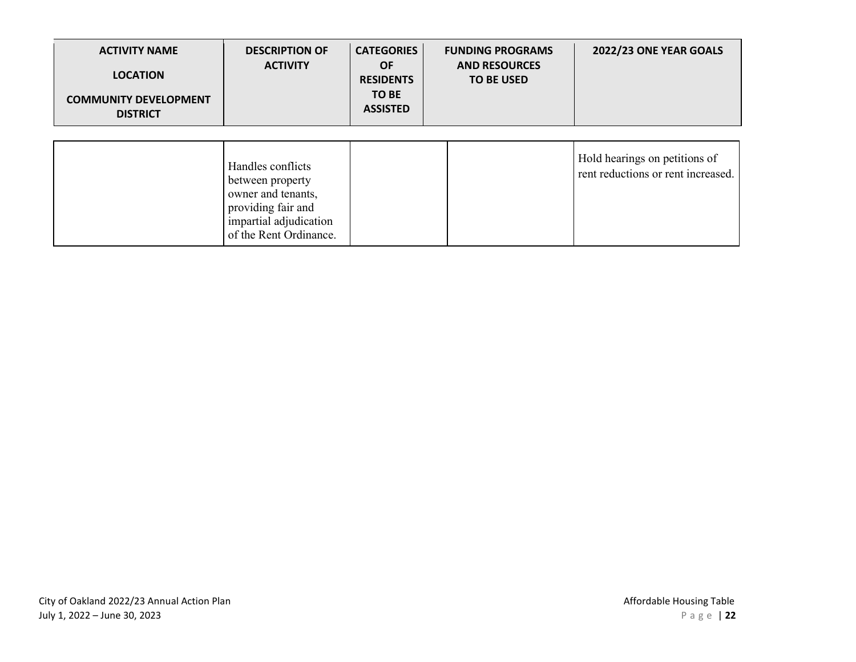| <b>ACTIVITY NAME</b><br><b>LOCATION</b><br><b>COMMUNITY DEVELOPMENT</b><br><b>DISTRICT</b> | <b>DESCRIPTION OF</b><br><b>ACTIVITY</b>                                                                                              | <b>CATEGORIES</b><br><b>OF</b><br><b>RESIDENTS</b><br>TO BE<br><b>ASSISTED</b> | <b>FUNDING PROGRAMS</b><br><b>AND RESOURCES</b><br><b>TO BE USED</b> | 2022/23 ONE YEAR GOALS                                              |
|--------------------------------------------------------------------------------------------|---------------------------------------------------------------------------------------------------------------------------------------|--------------------------------------------------------------------------------|----------------------------------------------------------------------|---------------------------------------------------------------------|
|                                                                                            |                                                                                                                                       |                                                                                |                                                                      |                                                                     |
|                                                                                            | Handles conflicts<br>between property<br>owner and tenants,<br>providing fair and<br>impartial adjudication<br>of the Rent Ordinance. |                                                                                |                                                                      | Hold hearings on petitions of<br>rent reductions or rent increased. |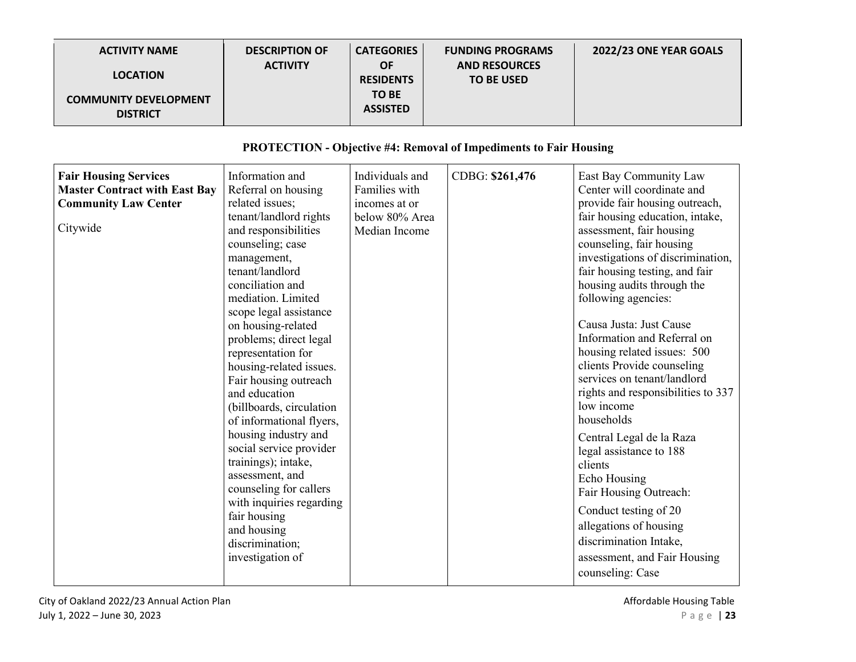| <b>ACTIVITY NAME</b><br><b>LOCATION</b><br><b>COMMUNITY DEVELOPMENT</b><br><b>DISTRICT</b>                      | <b>DESCRIPTION OF</b><br><b>ACTIVITY</b>                                                                                                                                                                                                                                                                                                                                                                                                                                                                                                                                                                                                                          | <b>CATEGORIES</b><br><b>OF</b><br><b>RESIDENTS</b><br><b>TO BE</b><br><b>ASSISTED</b> | <b>FUNDING PROGRAMS</b><br><b>AND RESOURCES</b><br><b>TO BE USED</b>     | 2022/23 ONE YEAR GOALS                                                                                                                                                                                                                                                                                                                                                                                                                                                                                                                                                                                                                                                                                                                                                             |
|-----------------------------------------------------------------------------------------------------------------|-------------------------------------------------------------------------------------------------------------------------------------------------------------------------------------------------------------------------------------------------------------------------------------------------------------------------------------------------------------------------------------------------------------------------------------------------------------------------------------------------------------------------------------------------------------------------------------------------------------------------------------------------------------------|---------------------------------------------------------------------------------------|--------------------------------------------------------------------------|------------------------------------------------------------------------------------------------------------------------------------------------------------------------------------------------------------------------------------------------------------------------------------------------------------------------------------------------------------------------------------------------------------------------------------------------------------------------------------------------------------------------------------------------------------------------------------------------------------------------------------------------------------------------------------------------------------------------------------------------------------------------------------|
|                                                                                                                 |                                                                                                                                                                                                                                                                                                                                                                                                                                                                                                                                                                                                                                                                   |                                                                                       | <b>PROTECTION - Objective #4: Removal of Impediments to Fair Housing</b> |                                                                                                                                                                                                                                                                                                                                                                                                                                                                                                                                                                                                                                                                                                                                                                                    |
| <b>Fair Housing Services</b><br><b>Master Contract with East Bay</b><br><b>Community Law Center</b><br>Citywide | Information and<br>Referral on housing<br>related issues;<br>tenant/landlord rights<br>and responsibilities<br>counseling; case<br>management,<br>tenant/landlord<br>conciliation and<br>mediation. Limited<br>scope legal assistance<br>on housing-related<br>problems; direct legal<br>representation for<br>housing-related issues.<br>Fair housing outreach<br>and education<br>(billboards, circulation<br>of informational flyers,<br>housing industry and<br>social service provider<br>trainings); intake,<br>assessment, and<br>counseling for callers<br>with inquiries regarding<br>fair housing<br>and housing<br>discrimination;<br>investigation of | Individuals and<br>Families with<br>incomes at or<br>below 80% Area<br>Median Income  | CDBG: \$261,476                                                          | East Bay Community Law<br>Center will coordinate and<br>provide fair housing outreach,<br>fair housing education, intake,<br>assessment, fair housing<br>counseling, fair housing<br>investigations of discrimination,<br>fair housing testing, and fair<br>housing audits through the<br>following agencies:<br>Causa Justa: Just Cause<br>Information and Referral on<br>housing related issues: 500<br>clients Provide counseling<br>services on tenant/landlord<br>rights and responsibilities to 337<br>low income<br>households<br>Central Legal de la Raza<br>legal assistance to 188<br>clients<br>Echo Housing<br>Fair Housing Outreach:<br>Conduct testing of 20<br>allegations of housing<br>discrimination Intake,<br>assessment, and Fair Housing<br>counseling: Case |

City of Oakland 2022/23 Annual Action Plan Affordable Housing Table Affordable Housing Table July 1, 2022 – June 30, 2023 **Page | 23** 

 $\blacksquare$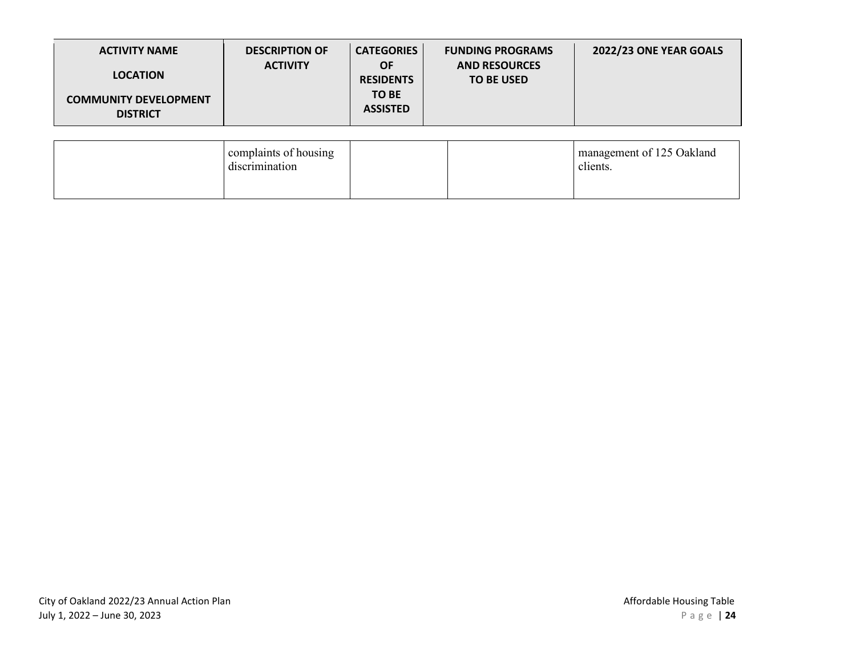| <b>ACTIVITY NAME</b><br><b>LOCATION</b><br><b>COMMUNITY DEVELOPMENT</b><br><b>DISTRICT</b> | <b>DESCRIPTION OF</b><br><b>ACTIVITY</b> | <b>CATEGORIES</b><br><b>OF</b><br><b>RESIDENTS</b><br>TO BE<br><b>ASSISTED</b> | <b>FUNDING PROGRAMS</b><br><b>AND RESOURCES</b><br><b>TO BE USED</b> | 2022/23 ONE YEAR GOALS                |
|--------------------------------------------------------------------------------------------|------------------------------------------|--------------------------------------------------------------------------------|----------------------------------------------------------------------|---------------------------------------|
|                                                                                            | complaints of housing<br>discrimination  |                                                                                |                                                                      | management of 125 Oakland<br>clients. |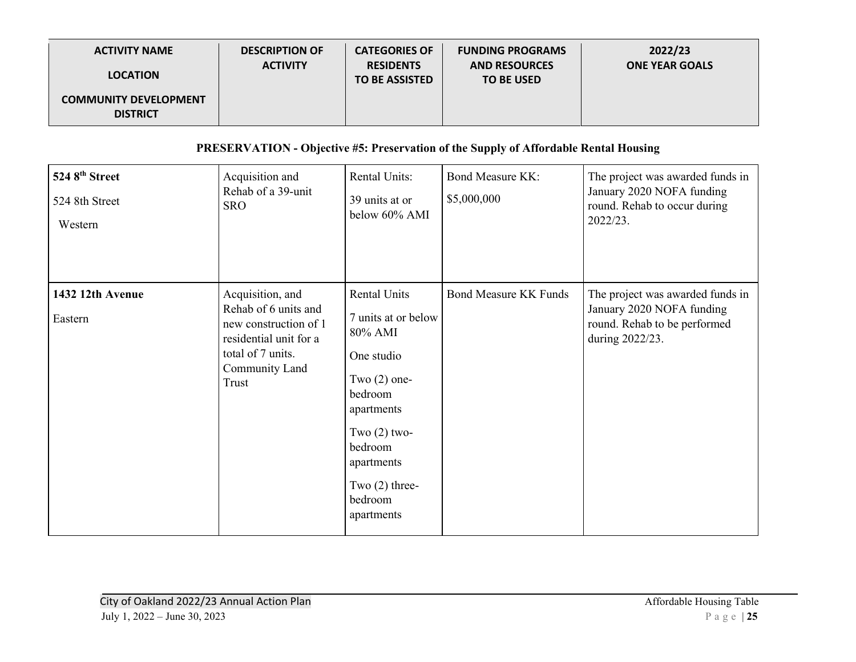| <b>ACTIVITY NAME</b>                            | <b>DESCRIPTION OF</b><br><b>ACTIVITY</b> | <b>CATEGORIES OF</b><br><b>RESIDENTS</b> | <b>FUNDING PROGRAMS</b><br><b>AND RESOURCES</b> | 2022/23<br><b>ONE YEAR GOALS</b> |
|-------------------------------------------------|------------------------------------------|------------------------------------------|-------------------------------------------------|----------------------------------|
| <b>LOCATION</b>                                 |                                          | <b>TO BE ASSISTED</b>                    | <b>TO BE USED</b>                               |                                  |
| <b>COMMUNITY DEVELOPMENT</b><br><b>DISTRICT</b> |                                          |                                          |                                                 |                                  |

## **PRESERVATION - Objective #5: Preservation of the Supply of Affordable Rental Housing**

| 524 8th Street<br>524 8th Street<br>Western | Acquisition and<br>Rehab of a 39-unit<br><b>SRO</b>                                                                                         | <b>Rental Units:</b><br>39 units at or<br>below 60% AMI                                                                                                                                                | <b>Bond Measure KK:</b><br>\$5,000,000 | The project was awarded funds in<br>January 2020 NOFA funding<br>round. Rehab to occur during<br>2022/23.        |
|---------------------------------------------|---------------------------------------------------------------------------------------------------------------------------------------------|--------------------------------------------------------------------------------------------------------------------------------------------------------------------------------------------------------|----------------------------------------|------------------------------------------------------------------------------------------------------------------|
| 1432 12th Avenue<br>Eastern                 | Acquisition, and<br>Rehab of 6 units and<br>new construction of 1<br>residential unit for a<br>total of 7 units.<br>Community Land<br>Trust | <b>Rental Units</b><br>7 units at or below<br>80% AMI<br>One studio<br>Two $(2)$ one-<br>bedroom<br>apartments<br>Two $(2)$ two-<br>bedroom<br>apartments<br>Two $(2)$ three-<br>bedroom<br>apartments | <b>Bond Measure KK Funds</b>           | The project was awarded funds in<br>January 2020 NOFA funding<br>round. Rehab to be performed<br>during 2022/23. |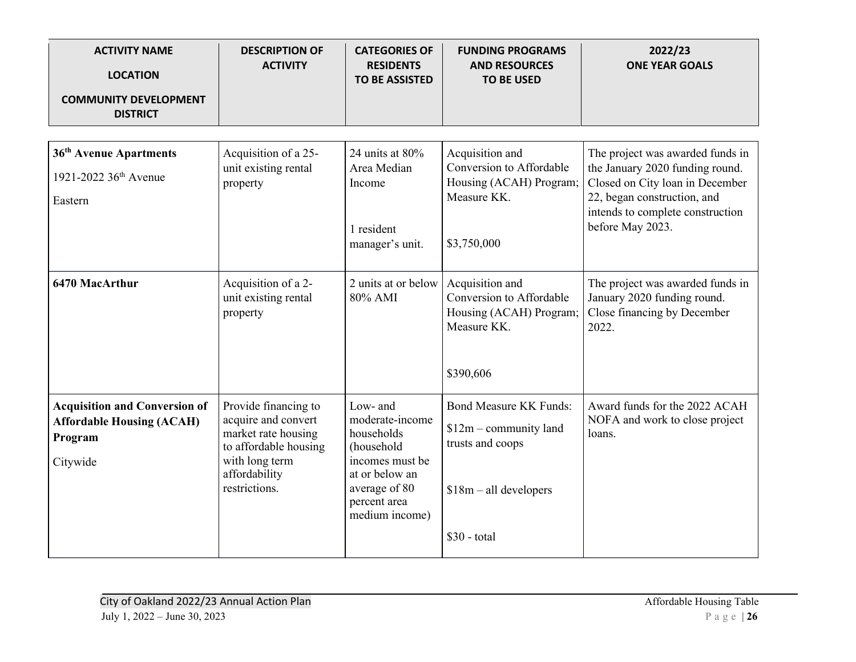| <b>ACTIVITY NAME</b><br><b>LOCATION</b><br><b>COMMUNITY DEVELOPMENT</b>                         | <b>DESCRIPTION OF</b><br><b>ACTIVITY</b>                                                                                                        | <b>CATEGORIES OF</b><br><b>RESIDENTS</b><br><b>TO BE ASSISTED</b>                                                                               | <b>FUNDING PROGRAMS</b><br><b>AND RESOURCES</b><br><b>TO BE USED</b>                                                     | 2022/23<br><b>ONE YEAR GOALS</b>                                                                                                                                                              |
|-------------------------------------------------------------------------------------------------|-------------------------------------------------------------------------------------------------------------------------------------------------|-------------------------------------------------------------------------------------------------------------------------------------------------|--------------------------------------------------------------------------------------------------------------------------|-----------------------------------------------------------------------------------------------------------------------------------------------------------------------------------------------|
| <b>DISTRICT</b>                                                                                 |                                                                                                                                                 |                                                                                                                                                 |                                                                                                                          |                                                                                                                                                                                               |
| 36 <sup>th</sup> Avenue Apartments<br>1921-2022 36 <sup>th</sup> Avenue<br>Eastern              | Acquisition of a 25-<br>unit existing rental<br>property                                                                                        | 24 units at 80%<br>Area Median<br>Income<br>1 resident<br>manager's unit.                                                                       | Acquisition and<br>Conversion to Affordable<br>Housing (ACAH) Program;<br>Measure KK.<br>\$3,750,000                     | The project was awarded funds in<br>the January 2020 funding round.<br>Closed on City loan in December<br>22, began construction, and<br>intends to complete construction<br>before May 2023. |
| 6470 MacArthur                                                                                  | Acquisition of a 2-<br>unit existing rental<br>property                                                                                         | 2 units at or below<br>80% AMI                                                                                                                  | Acquisition and<br>Conversion to Affordable<br>Housing (ACAH) Program;<br>Measure KK.<br>\$390,606                       | The project was awarded funds in<br>January 2020 funding round.<br>Close financing by December<br>2022.                                                                                       |
| <b>Acquisition and Conversion of</b><br><b>Affordable Housing (ACAH)</b><br>Program<br>Citywide | Provide financing to<br>acquire and convert<br>market rate housing<br>to affordable housing<br>with long term<br>affordability<br>restrictions. | Low- and<br>moderate-income<br>households<br>(household<br>incomes must be<br>at or below an<br>average of 80<br>percent area<br>medium income) | <b>Bond Measure KK Funds:</b><br>$$12m$ – community land<br>trusts and coops<br>$$18m - all developers$<br>$$30$ - total | Award funds for the 2022 ACAH<br>NOFA and work to close project<br>loans.                                                                                                                     |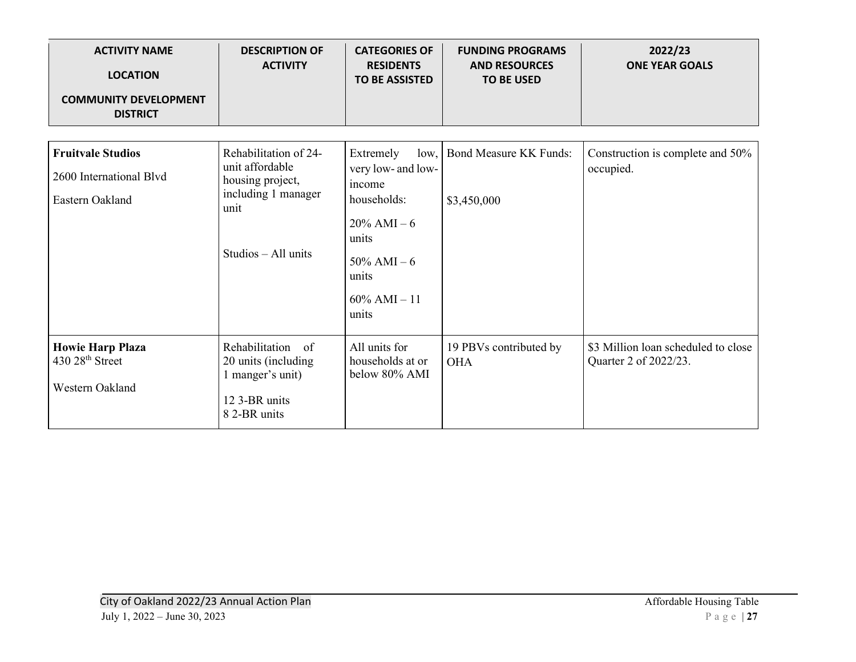| <b>ACTIVITY NAME</b><br><b>LOCATION</b>                | <b>DESCRIPTION OF</b><br><b>ACTIVITY</b>                        | <b>CATEGORIES OF</b><br><b>RESIDENTS</b><br><b>TO BE ASSISTED</b> | <b>FUNDING PROGRAMS</b><br><b>AND RESOURCES</b><br><b>TO BE USED</b> | 2022/23<br><b>ONE YEAR GOALS</b>                             |
|--------------------------------------------------------|-----------------------------------------------------------------|-------------------------------------------------------------------|----------------------------------------------------------------------|--------------------------------------------------------------|
| <b>COMMUNITY DEVELOPMENT</b><br><b>DISTRICT</b>        |                                                                 |                                                                   |                                                                      |                                                              |
|                                                        |                                                                 |                                                                   |                                                                      |                                                              |
| <b>Fruitvale Studios</b><br>2600 International Blvd    | Rehabilitation of 24-<br>unit affordable<br>housing project,    | Extremely<br>very low- and low-<br>income                         | low, Bond Measure KK Funds:                                          | Construction is complete and 50%<br>occupied.                |
| Eastern Oakland                                        | including 1 manager<br>unit                                     | households:<br>$20\%$ AMI $-6$<br>units                           | \$3,450,000                                                          |                                                              |
|                                                        | $Studios - All units$                                           | $50\%$ AMI $-6$<br>units                                          |                                                                      |                                                              |
|                                                        |                                                                 | $60\%$ AMI $-11$<br>units                                         |                                                                      |                                                              |
| <b>Howie Harp Plaza</b><br>430 28 <sup>th</sup> Street | Rehabilitation<br>of<br>20 units (including<br>1 manger's unit) | All units for<br>households at or<br>below 80% AMI                | 19 PBVs contributed by<br><b>OHA</b>                                 | \$3 Million loan scheduled to close<br>Quarter 2 of 2022/23. |
| Western Oakland                                        | 12 3-BR units<br>8 2-BR units                                   |                                                                   |                                                                      |                                                              |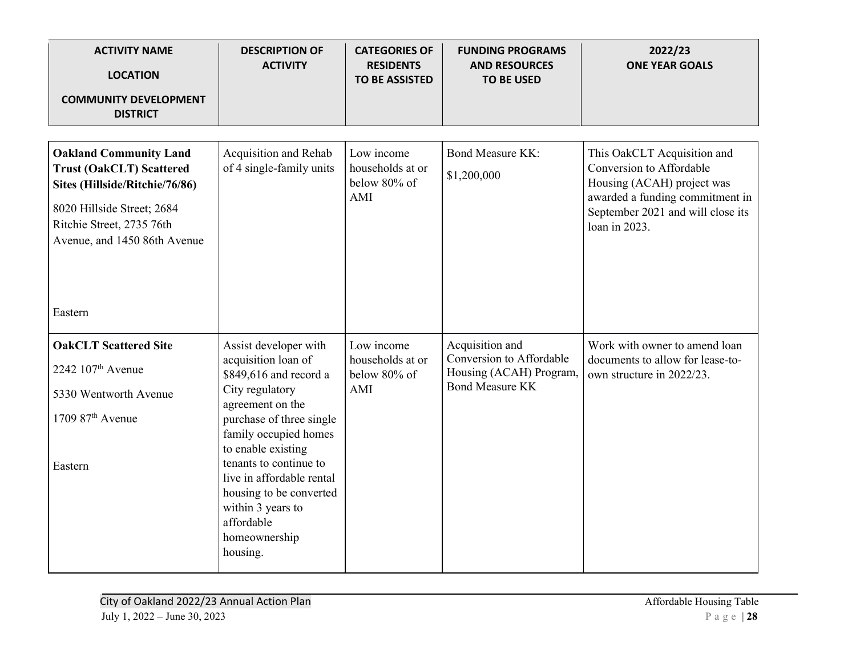| <b>ACTIVITY NAME</b><br><b>LOCATION</b>                                                                                                                                                       | <b>DESCRIPTION OF</b><br><b>ACTIVITY</b>                                                                                                                                                     | <b>CATEGORIES OF</b><br><b>RESIDENTS</b><br><b>TO BE ASSISTED</b> | <b>FUNDING PROGRAMS</b><br><b>AND RESOURCES</b><br><b>TO BE USED</b>   | 2022/23<br><b>ONE YEAR GOALS</b>                                                                                                                                               |
|-----------------------------------------------------------------------------------------------------------------------------------------------------------------------------------------------|----------------------------------------------------------------------------------------------------------------------------------------------------------------------------------------------|-------------------------------------------------------------------|------------------------------------------------------------------------|--------------------------------------------------------------------------------------------------------------------------------------------------------------------------------|
| <b>COMMUNITY DEVELOPMENT</b><br><b>DISTRICT</b>                                                                                                                                               |                                                                                                                                                                                              |                                                                   |                                                                        |                                                                                                                                                                                |
| <b>Oakland Community Land</b><br><b>Trust (OakCLT) Scattered</b><br>Sites (Hillside/Ritchie/76/86)<br>8020 Hillside Street; 2684<br>Ritchie Street, 2735 76th<br>Avenue, and 1450 86th Avenue | Acquisition and Rehab<br>of 4 single-family units                                                                                                                                            | Low income<br>households at or<br>below 80% of<br>AMI             | <b>Bond Measure KK:</b><br>\$1,200,000                                 | This OakCLT Acquisition and<br>Conversion to Affordable<br>Housing (ACAH) project was<br>awarded a funding commitment in<br>September 2021 and will close its<br>loan in 2023. |
| Eastern                                                                                                                                                                                       |                                                                                                                                                                                              |                                                                   |                                                                        |                                                                                                                                                                                |
| <b>OakCLT</b> Scattered Site<br>2242 107 <sup>th</sup> Avenue                                                                                                                                 | Assist developer with<br>acquisition loan of<br>\$849,616 and record a                                                                                                                       | Low income<br>households at or<br>below 80% of                    | Acquisition and<br>Conversion to Affordable<br>Housing (ACAH) Program, | Work with owner to amend loan<br>documents to allow for lease-to-<br>own structure in 2022/23.                                                                                 |
| 5330 Wentworth Avenue                                                                                                                                                                         | City regulatory<br>agreement on the                                                                                                                                                          | AMI                                                               | <b>Bond Measure KK</b>                                                 |                                                                                                                                                                                |
| $1709$ $87th$ Avenue<br>Eastern                                                                                                                                                               | purchase of three single<br>family occupied homes<br>to enable existing<br>tenants to continue to<br>live in affordable rental<br>housing to be converted<br>within 3 years to<br>affordable |                                                                   |                                                                        |                                                                                                                                                                                |
|                                                                                                                                                                                               | homeownership<br>housing.                                                                                                                                                                    |                                                                   |                                                                        |                                                                                                                                                                                |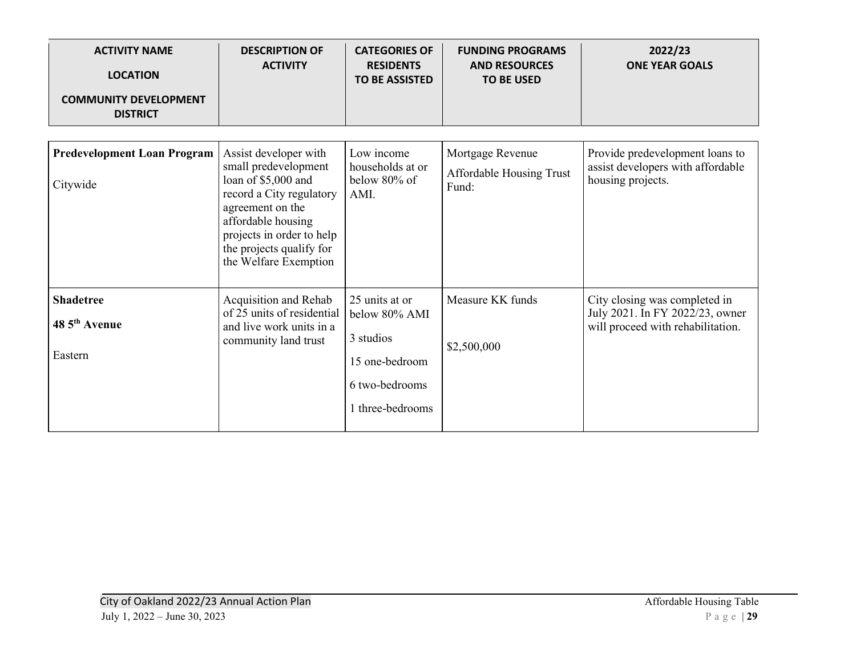| <b>ACTIVITY NAME</b><br><b>LOCATION</b><br><b>COMMUNITY DEVELOPMENT</b><br><b>DISTRICT</b> | <b>DESCRIPTION OF</b><br><b>ACTIVITY</b>                                                                                                                                                                                     | <b>CATEGORIES OF</b><br><b>RESIDENTS</b><br><b>TO BE ASSISTED</b>                                    | <b>FUNDING PROGRAMS</b><br><b>AND RESOURCES</b><br><b>TO BE USED</b> | 2022/23<br><b>ONE YEAR GOALS</b>                                                                      |
|--------------------------------------------------------------------------------------------|------------------------------------------------------------------------------------------------------------------------------------------------------------------------------------------------------------------------------|------------------------------------------------------------------------------------------------------|----------------------------------------------------------------------|-------------------------------------------------------------------------------------------------------|
|                                                                                            |                                                                                                                                                                                                                              |                                                                                                      |                                                                      |                                                                                                       |
| <b>Predevelopment Loan Program</b><br>Citywide                                             | Assist developer with<br>small predevelopment<br>loan of \$5,000 and<br>record a City regulatory<br>agreement on the<br>affordable housing<br>projects in order to help<br>the projects qualify for<br>the Welfare Exemption | Low income<br>households at or<br>below 80% of<br>AMI.                                               | Mortgage Revenue<br>Affordable Housing Trust<br>Fund:                | Provide predevelopment loans to<br>assist developers with affordable<br>housing projects.             |
| <b>Shadetree</b><br>48 5 <sup>th</sup> Avenue<br>Eastern                                   | Acquisition and Rehab<br>of 25 units of residential<br>and live work units in a<br>community land trust                                                                                                                      | 25 units at or<br>below 80% AMI<br>3 studios<br>15 one-bedroom<br>6 two-bedrooms<br>I three-bedrooms | Measure KK funds<br>\$2,500,000                                      | City closing was completed in<br>July 2021. In FY 2022/23, owner<br>will proceed with rehabilitation. |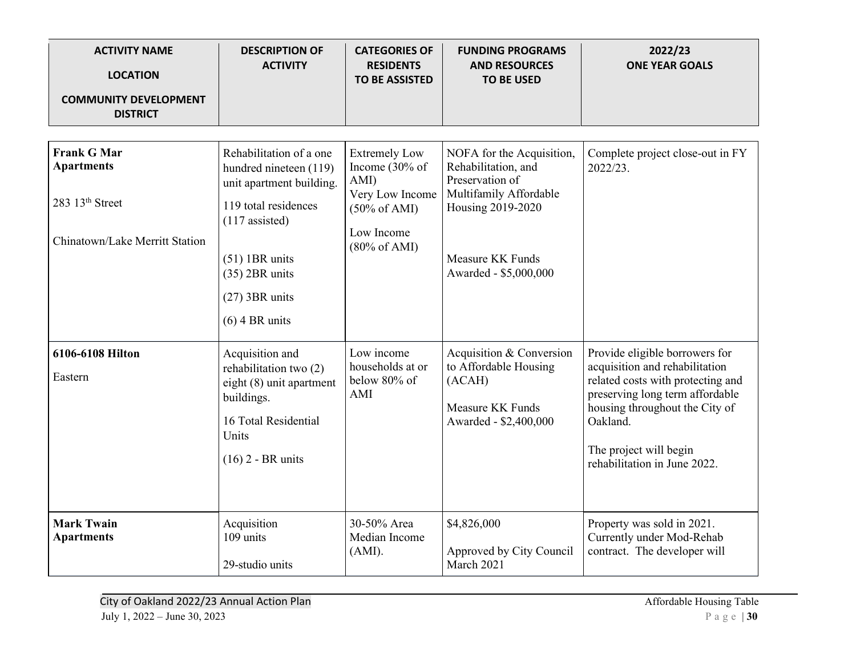| <b>ACTIVITY NAME</b><br><b>LOCATION</b><br><b>COMMUNITY DEVELOPMENT</b><br><b>DISTRICT</b>               | <b>DESCRIPTION OF</b><br><b>ACTIVITY</b>                                                                                                                                                                  | <b>CATEGORIES OF</b><br><b>RESIDENTS</b><br><b>TO BE ASSISTED</b>                                                                     | <b>FUNDING PROGRAMS</b><br><b>AND RESOURCES</b><br><b>TO BE USED</b>                                                                                            | 2022/23<br><b>ONE YEAR GOALS</b>                                                                                                                                                                                                                 |
|----------------------------------------------------------------------------------------------------------|-----------------------------------------------------------------------------------------------------------------------------------------------------------------------------------------------------------|---------------------------------------------------------------------------------------------------------------------------------------|-----------------------------------------------------------------------------------------------------------------------------------------------------------------|--------------------------------------------------------------------------------------------------------------------------------------------------------------------------------------------------------------------------------------------------|
| <b>Frank G Mar</b><br><b>Apartments</b><br>283 13 <sup>th</sup> Street<br>Chinatown/Lake Merritt Station | Rehabilitation of a one<br>hundred nineteen (119)<br>unit apartment building.<br>119 total residences<br>$(117$ assisted)<br>$(51)$ 1BR units<br>$(35)$ 2BR units<br>$(27)$ 3BR units<br>$(6)$ 4 BR units | <b>Extremely Low</b><br>Income (30% of<br>AMI)<br>Very Low Income<br>$(50\% \text{ of AMI})$<br>Low Income<br>$(80\% \text{ of AMI})$ | NOFA for the Acquisition,<br>Rehabilitation, and<br>Preservation of<br>Multifamily Affordable<br>Housing 2019-2020<br>Measure KK Funds<br>Awarded - \$5,000,000 | Complete project close-out in FY<br>2022/23.                                                                                                                                                                                                     |
| 6106-6108 Hilton<br>Eastern                                                                              | Acquisition and<br>rehabilitation two (2)<br>eight (8) unit apartment<br>buildings.<br>16 Total Residential<br>Units<br>$(16)$ 2 - BR units                                                               | Low income<br>households at or<br>below 80% of<br>AMI                                                                                 | Acquisition & Conversion<br>to Affordable Housing<br>(ACAH)<br><b>Measure KK Funds</b><br>Awarded - \$2,400,000                                                 | Provide eligible borrowers for<br>acquisition and rehabilitation<br>related costs with protecting and<br>preserving long term affordable<br>housing throughout the City of<br>Oakland.<br>The project will begin<br>rehabilitation in June 2022. |
| <b>Mark Twain</b><br><b>Apartments</b>                                                                   | Acquisition<br>109 units<br>29-studio units                                                                                                                                                               | 30-50% Area<br>Median Income<br>(AMI).                                                                                                | \$4,826,000<br>Approved by City Council<br>March 2021                                                                                                           | Property was sold in 2021.<br>Currently under Mod-Rehab<br>contract. The developer will                                                                                                                                                          |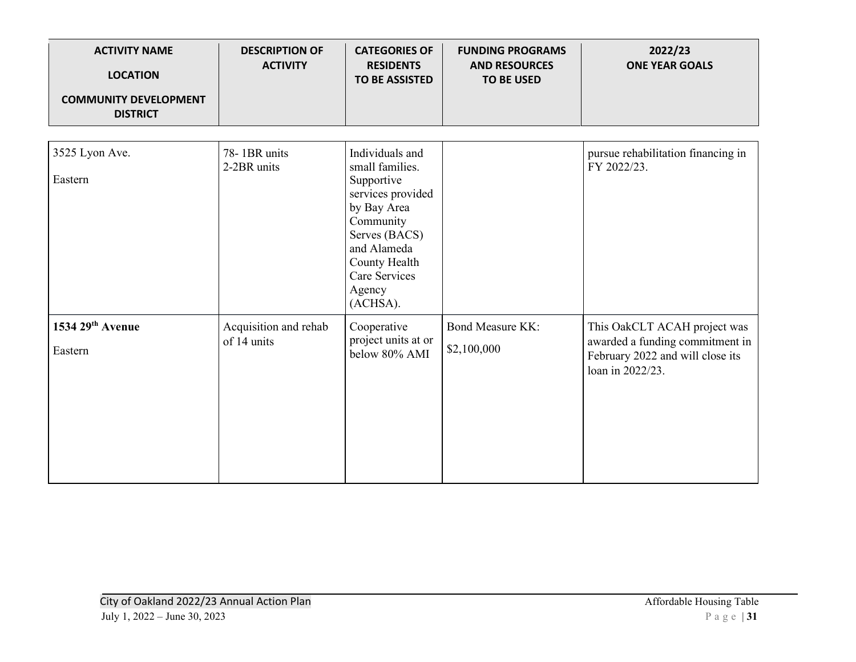| <b>ACTIVITY NAME</b><br><b>LOCATION</b><br><b>COMMUNITY DEVELOPMENT</b><br><b>DISTRICT</b> | <b>DESCRIPTION OF</b><br><b>ACTIVITY</b> | <b>CATEGORIES OF</b><br><b>RESIDENTS</b><br><b>TO BE ASSISTED</b>                                                                                                                         | <b>FUNDING PROGRAMS</b><br><b>AND RESOURCES</b><br><b>TO BE USED</b> | 2022/23<br><b>ONE YEAR GOALS</b>                                                                                        |
|--------------------------------------------------------------------------------------------|------------------------------------------|-------------------------------------------------------------------------------------------------------------------------------------------------------------------------------------------|----------------------------------------------------------------------|-------------------------------------------------------------------------------------------------------------------------|
| 3525 Lyon Ave.<br>Eastern                                                                  | 78-1BR units<br>2-2BR units              | Individuals and<br>small families.<br>Supportive<br>services provided<br>by Bay Area<br>Community<br>Serves (BACS)<br>and Alameda<br>County Health<br>Care Services<br>Agency<br>(ACHSA). |                                                                      | pursue rehabilitation financing in<br>FY 2022/23.                                                                       |
| 1534 29th Avenue<br>Eastern                                                                | Acquisition and rehab<br>of 14 units     | Cooperative<br>project units at or<br>below 80% AMI                                                                                                                                       | <b>Bond Measure KK:</b><br>\$2,100,000                               | This OakCLT ACAH project was<br>awarded a funding commitment in<br>February 2022 and will close its<br>loan in 2022/23. |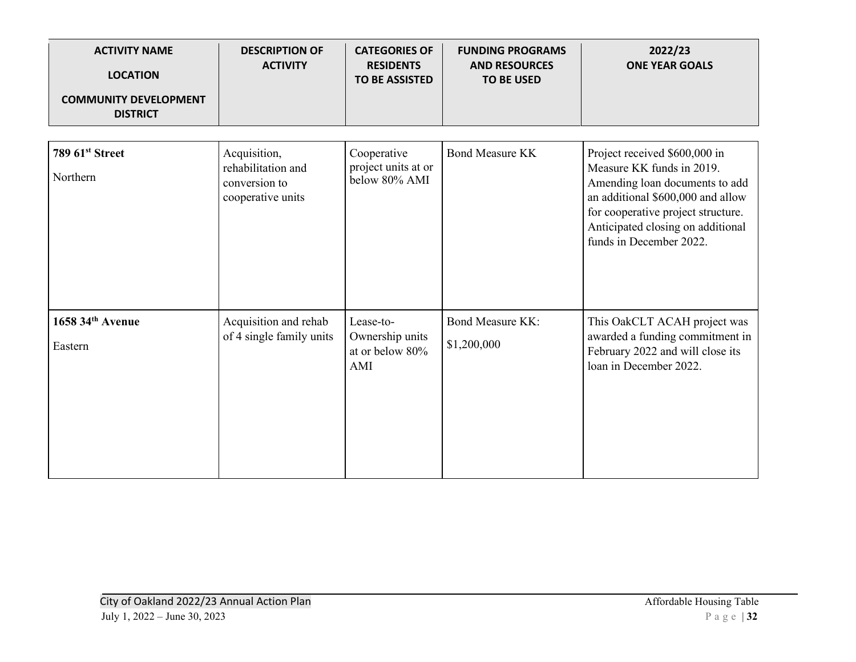| <b>ACTIVITY NAME</b><br><b>LOCATION</b><br><b>COMMUNITY DEVELOPMENT</b><br><b>DISTRICT</b> | <b>DESCRIPTION OF</b><br><b>ACTIVITY</b>                                 | <b>CATEGORIES OF</b><br><b>RESIDENTS</b><br><b>TO BE ASSISTED</b> | <b>FUNDING PROGRAMS</b><br><b>AND RESOURCES</b><br><b>TO BE USED</b> | 2022/23<br><b>ONE YEAR GOALS</b>                                                                                                                                                                                                        |
|--------------------------------------------------------------------------------------------|--------------------------------------------------------------------------|-------------------------------------------------------------------|----------------------------------------------------------------------|-----------------------------------------------------------------------------------------------------------------------------------------------------------------------------------------------------------------------------------------|
|                                                                                            |                                                                          |                                                                   |                                                                      |                                                                                                                                                                                                                                         |
| 789 61 <sup>st</sup> Street<br>Northern                                                    | Acquisition,<br>rehabilitation and<br>conversion to<br>cooperative units | Cooperative<br>project units at or<br>below 80% AMI               | <b>Bond Measure KK</b>                                               | Project received \$600,000 in<br>Measure KK funds in 2019.<br>Amending loan documents to add<br>an additional \$600,000 and allow<br>for cooperative project structure.<br>Anticipated closing on additional<br>funds in December 2022. |
| 1658 34th Avenue                                                                           | Acquisition and rehab                                                    | Lease-to-                                                         | <b>Bond Measure KK:</b>                                              | This OakCLT ACAH project was                                                                                                                                                                                                            |
| Eastern                                                                                    | of 4 single family units                                                 | Ownership units<br>at or below 80%<br>AMI                         | \$1,200,000                                                          | awarded a funding commitment in<br>February 2022 and will close its<br>loan in December 2022.                                                                                                                                           |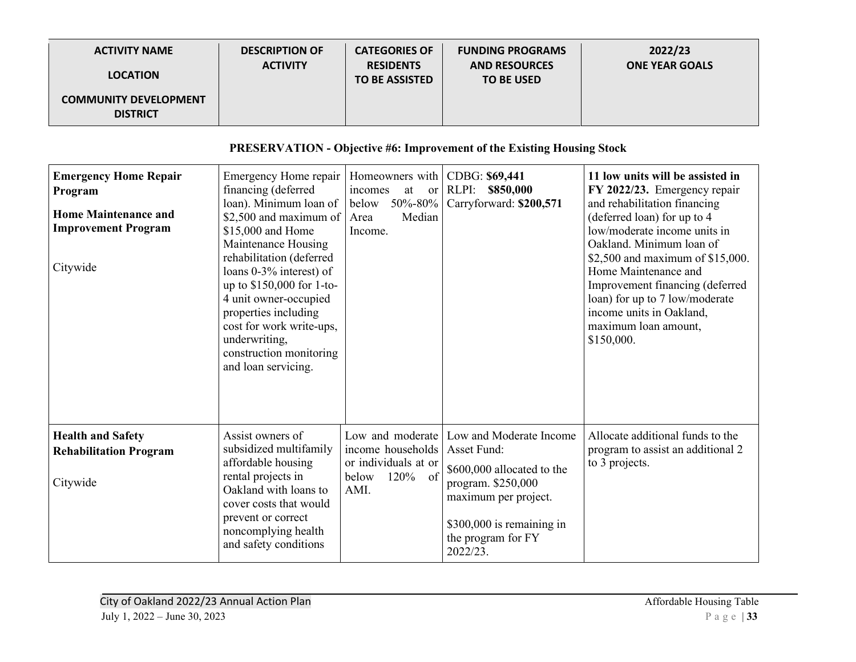| <b>ACTIVITY NAME</b>                            | <b>DESCRIPTION OF</b> | <b>CATEGORIES OF</b>                      | <b>FUNDING PROGRAMS</b>                   | 2022/23               |
|-------------------------------------------------|-----------------------|-------------------------------------------|-------------------------------------------|-----------------------|
| <b>LOCATION</b>                                 | <b>ACTIVITY</b>       | <b>RESIDENTS</b><br><b>TO BE ASSISTED</b> | <b>AND RESOURCES</b><br><b>TO BE USED</b> | <b>ONE YEAR GOALS</b> |
| <b>COMMUNITY DEVELOPMENT</b><br><b>DISTRICT</b> |                       |                                           |                                           |                       |

## **PRESERVATION - Objective #6: Improvement of the Existing Housing Stock**

| <b>Emergency Home Repair</b><br>Program<br><b>Home Maintenance and</b><br><b>Improvement Program</b><br>Citywide | Emergency Home repair<br>financing (deferred<br>loan). Minimum loan of<br>\$2,500 and maximum of<br>\$15,000 and Home<br>Maintenance Housing<br>rehabilitation (deferred<br>loans 0-3% interest) of<br>up to \$150,000 for 1-to-<br>4 unit owner-occupied<br>properties including<br>cost for work write-ups,<br>underwriting,<br>construction monitoring<br>and loan servicing. | Homeowners with<br>incomes<br>at<br><sub>or</sub><br>50%-80%<br>below<br>Median<br>Area<br>Income. | CDBG: \$69,441<br>RLPI:<br>\$850,000<br>Carryforward: \$200,571                                                                                                                   | 11 low units will be assisted in<br>FY 2022/23. Emergency repair<br>and rehabilitation financing<br>(deferred loan) for up to 4<br>low/moderate income units in<br>Oakland. Minimum loan of<br>\$2,500 and maximum of \$15,000.<br>Home Maintenance and<br>Improvement financing (deferred<br>loan) for up to 7 low/moderate<br>income units in Oakland,<br>maximum loan amount,<br>\$150,000. |
|------------------------------------------------------------------------------------------------------------------|----------------------------------------------------------------------------------------------------------------------------------------------------------------------------------------------------------------------------------------------------------------------------------------------------------------------------------------------------------------------------------|----------------------------------------------------------------------------------------------------|-----------------------------------------------------------------------------------------------------------------------------------------------------------------------------------|------------------------------------------------------------------------------------------------------------------------------------------------------------------------------------------------------------------------------------------------------------------------------------------------------------------------------------------------------------------------------------------------|
| <b>Health and Safety</b><br><b>Rehabilitation Program</b><br>Citywide                                            | Assist owners of<br>subsidized multifamily<br>affordable housing<br>rental projects in<br>Oakland with loans to<br>cover costs that would<br>prevent or correct<br>noncomplying health<br>and safety conditions                                                                                                                                                                  | Low and moderate<br>income households<br>or individuals at or<br>below<br>$120%$ of<br>AMI.        | Low and Moderate Income<br>Asset Fund:<br>\$600,000 allocated to the<br>program. \$250,000<br>maximum per project.<br>\$300,000 is remaining in<br>the program for FY<br>2022/23. | Allocate additional funds to the<br>program to assist an additional 2<br>to 3 projects.                                                                                                                                                                                                                                                                                                        |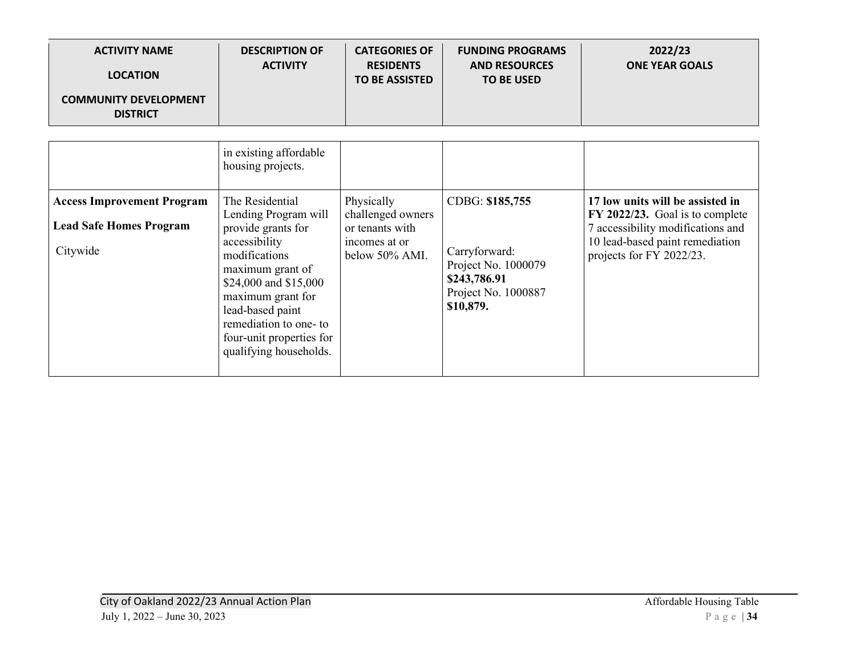| <b>ACTIVITY NAME</b>                            | <b>DESCRIPTION OF</b> | <b>CATEGORIES OF</b>                      | <b>FUNDING PROGRAMS</b>                   | 2022/23               |
|-------------------------------------------------|-----------------------|-------------------------------------------|-------------------------------------------|-----------------------|
| <b>LOCATION</b>                                 | <b>ACTIVITY</b>       | <b>RESIDENTS</b><br><b>TO BE ASSISTED</b> | <b>AND RESOURCES</b><br><b>TO BE USED</b> | <b>ONE YEAR GOALS</b> |
| <b>COMMUNITY DEVELOPMENT</b><br><b>DISTRICT</b> |                       |                                           |                                           |                       |

|                                                                                 | in existing affordable<br>housing projects.                                                                                                                                                                                                                          |                                                                                       |                                                                                                             |                                                                                                                                                                         |
|---------------------------------------------------------------------------------|----------------------------------------------------------------------------------------------------------------------------------------------------------------------------------------------------------------------------------------------------------------------|---------------------------------------------------------------------------------------|-------------------------------------------------------------------------------------------------------------|-------------------------------------------------------------------------------------------------------------------------------------------------------------------------|
| <b>Access Improvement Program</b><br><b>Lead Safe Homes Program</b><br>Citywide | The Residential<br>Lending Program will<br>provide grants for<br>accessibility<br>modifications<br>maximum grant of<br>\$24,000 and \$15,000<br>maximum grant for<br>lead-based paint<br>remediation to one-to<br>four-unit properties for<br>qualifying households. | Physically<br>challenged owners<br>or tenants with<br>incomes at or<br>below 50% AMI. | CDBG: \$185,755<br>Carryforward:<br>Project No. 1000079<br>\$243,786.91<br>Project No. 1000887<br>\$10,879. | 17 low units will be assisted in<br>FY 2022/23. Goal is to complete<br>7 accessibility modifications and<br>10 lead-based paint remediation<br>projects for FY 2022/23. |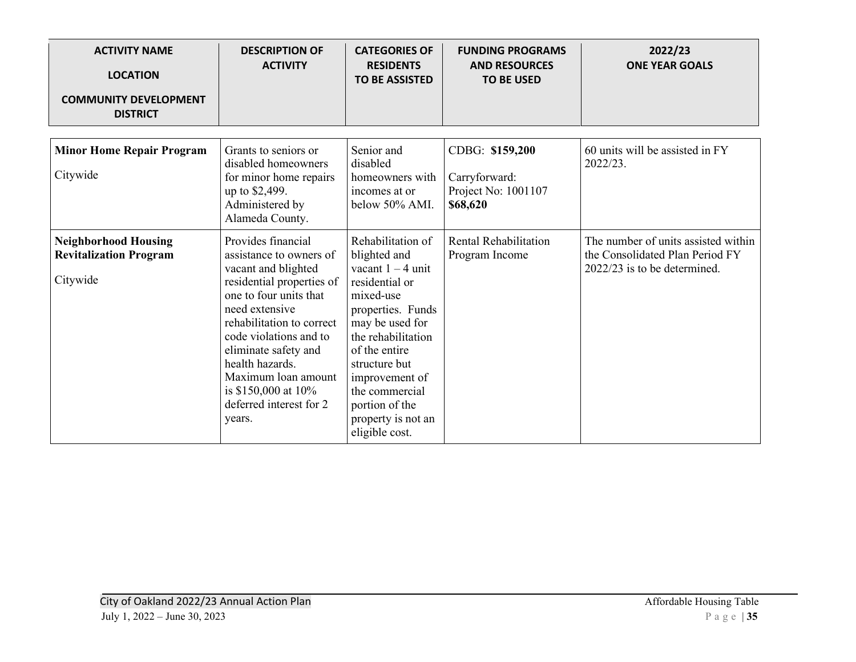| <b>ACTIVITY NAME</b><br><b>LOCATION</b><br><b>COMMUNITY DEVELOPMENT</b><br><b>DISTRICT</b> | <b>DESCRIPTION OF</b><br><b>ACTIVITY</b>                                                                                                                                                                                                                                                                                               | <b>CATEGORIES OF</b><br><b>RESIDENTS</b><br><b>TO BE ASSISTED</b>                                                                                                                                                                                                                     | <b>FUNDING PROGRAMS</b><br><b>AND RESOURCES</b><br><b>TO BE USED</b> | 2022/23<br><b>ONE YEAR GOALS</b>                                                                       |
|--------------------------------------------------------------------------------------------|----------------------------------------------------------------------------------------------------------------------------------------------------------------------------------------------------------------------------------------------------------------------------------------------------------------------------------------|---------------------------------------------------------------------------------------------------------------------------------------------------------------------------------------------------------------------------------------------------------------------------------------|----------------------------------------------------------------------|--------------------------------------------------------------------------------------------------------|
| <b>Minor Home Repair Program</b><br>Citywide                                               | Grants to seniors or<br>disabled homeowners<br>for minor home repairs<br>up to \$2,499.<br>Administered by<br>Alameda County.                                                                                                                                                                                                          | Senior and<br>disabled<br>homeowners with<br>incomes at or<br>below 50% AMI.                                                                                                                                                                                                          | CDBG: \$159,200<br>Carryforward:<br>Project No: 1001107<br>\$68,620  | 60 units will be assisted in FY<br>2022/23.                                                            |
| <b>Neighborhood Housing</b><br><b>Revitalization Program</b><br>Citywide                   | Provides financial<br>assistance to owners of<br>vacant and blighted<br>residential properties of<br>one to four units that<br>need extensive<br>rehabilitation to correct<br>code violations and to<br>eliminate safety and<br>health hazards.<br>Maximum loan amount<br>is $$150,000$ at $10\%$<br>deferred interest for 2<br>years. | Rehabilitation of<br>blighted and<br>vacant $1 - 4$ unit<br>residential or<br>mixed-use<br>properties. Funds<br>may be used for<br>the rehabilitation<br>of the entire<br>structure but<br>improvement of<br>the commercial<br>portion of the<br>property is not an<br>eligible cost. | <b>Rental Rehabilitation</b><br>Program Income                       | The number of units assisted within<br>the Consolidated Plan Period FY<br>2022/23 is to be determined. |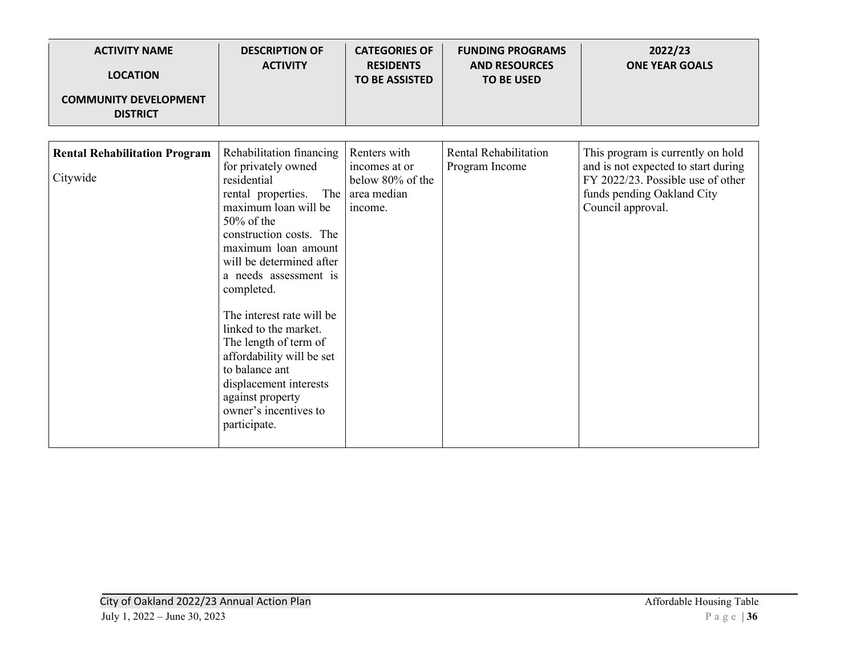| <b>ACTIVITY NAME</b><br><b>LOCATION</b><br><b>COMMUNITY DEVELOPMENT</b><br><b>DISTRICT</b> | <b>DESCRIPTION OF</b><br><b>ACTIVITY</b>                                                                                                                                                                                                                                                                                                                                                                                                                                       | <b>CATEGORIES OF</b><br><b>RESIDENTS</b><br><b>TO BE ASSISTED</b>           | <b>FUNDING PROGRAMS</b><br><b>AND RESOURCES</b><br><b>TO BE USED</b> | 2022/23<br><b>ONE YEAR GOALS</b>                                                                                                                                 |
|--------------------------------------------------------------------------------------------|--------------------------------------------------------------------------------------------------------------------------------------------------------------------------------------------------------------------------------------------------------------------------------------------------------------------------------------------------------------------------------------------------------------------------------------------------------------------------------|-----------------------------------------------------------------------------|----------------------------------------------------------------------|------------------------------------------------------------------------------------------------------------------------------------------------------------------|
| <b>Rental Rehabilitation Program</b><br>Citywide                                           | Rehabilitation financing<br>for privately owned<br>residential<br>rental properties.<br>The<br>maximum loan will be<br>$50\%$ of the<br>construction costs. The<br>maximum loan amount<br>will be determined after<br>a needs assessment is<br>completed.<br>The interest rate will be<br>linked to the market.<br>The length of term of<br>affordability will be set<br>to balance ant<br>displacement interests<br>against property<br>owner's incentives to<br>participate. | Renters with<br>incomes at or<br>below 80% of the<br>area median<br>income. | Rental Rehabilitation<br>Program Income                              | This program is currently on hold<br>and is not expected to start during<br>FY 2022/23. Possible use of other<br>funds pending Oakland City<br>Council approval. |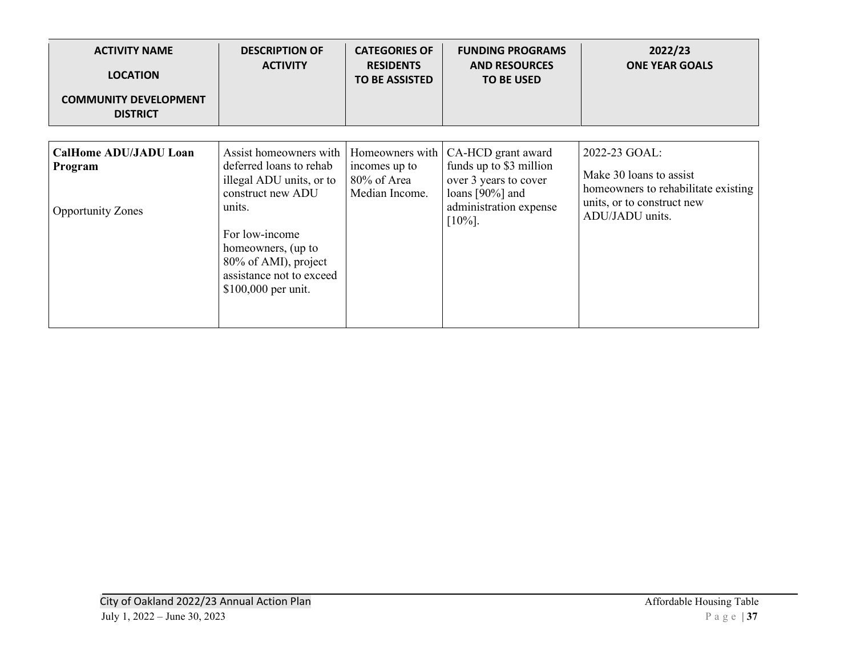| <b>ACTIVITY NAME</b><br><b>LOCATION</b><br><b>COMMUNITY DEVELOPMENT</b><br><b>DISTRICT</b> | <b>DESCRIPTION OF</b><br><b>ACTIVITY</b>                                                                                                                                                                                        | <b>CATEGORIES OF</b><br><b>RESIDENTS</b><br><b>TO BE ASSISTED</b> | <b>FUNDING PROGRAMS</b><br><b>AND RESOURCES</b><br><b>TO BE USED</b>                                                              | 2022/23<br><b>ONE YEAR GOALS</b>                                                                                                 |
|--------------------------------------------------------------------------------------------|---------------------------------------------------------------------------------------------------------------------------------------------------------------------------------------------------------------------------------|-------------------------------------------------------------------|-----------------------------------------------------------------------------------------------------------------------------------|----------------------------------------------------------------------------------------------------------------------------------|
| <b>CalHome ADU/JADU Loan</b><br>Program<br><b>Opportunity Zones</b>                        | Assist homeowners with<br>deferred loans to rehab<br>illegal ADU units, or to<br>construct new ADU<br>units.<br>For low-income<br>homeowners, (up to<br>80% of AMI), project<br>assistance not to exceed<br>\$100,000 per unit. | Homeowners with<br>incomes up to<br>80% of Area<br>Median Income. | CA-HCD grant award<br>funds up to \$3 million<br>over 3 years to cover<br>loans [90%] and<br>administration expense<br>$[10\%]$ . | 2022-23 GOAL:<br>Make 30 loans to assist<br>homeowners to rehabilitate existing<br>units, or to construct new<br>ADU/JADU units. |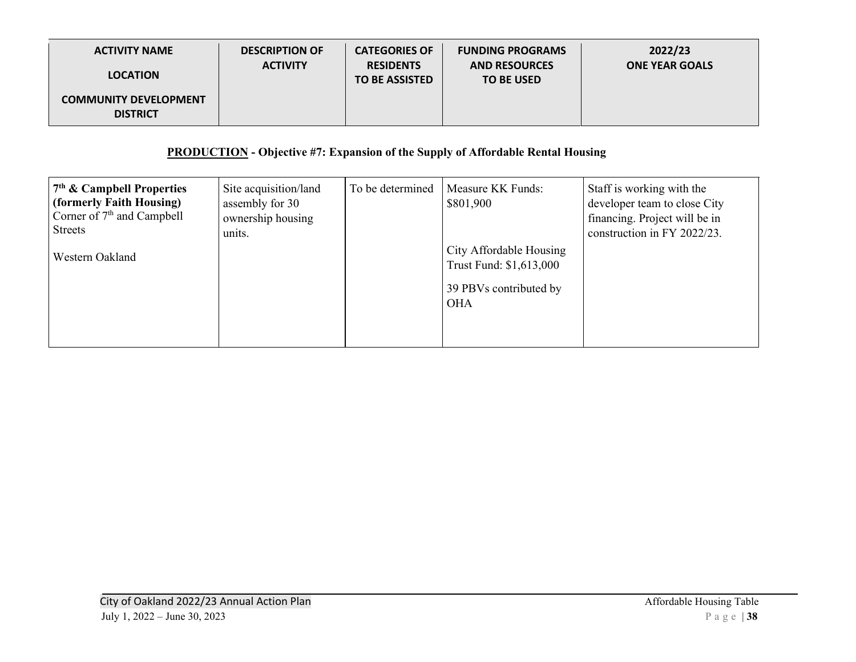| <b>ACTIVITY NAME</b>                            | <b>DESCRIPTION OF</b> | <b>CATEGORIES OF</b>                      | <b>FUNDING PROGRAMS</b>                   | 2022/23               |
|-------------------------------------------------|-----------------------|-------------------------------------------|-------------------------------------------|-----------------------|
| <b>LOCATION</b>                                 | <b>ACTIVITY</b>       | <b>RESIDENTS</b><br><b>TO BE ASSISTED</b> | <b>AND RESOURCES</b><br><b>TO BE USED</b> | <b>ONE YEAR GOALS</b> |
| <b>COMMUNITY DEVELOPMENT</b><br><b>DISTRICT</b> |                       |                                           |                                           |                       |

# **PRODUCTION - Objective #7: Expansion of the Supply of Affordable Rental Housing**

| $7th$ & Campbell Properties<br>(formerly Faith Housing)<br>Corner of 7 <sup>th</sup> and Campbell<br><b>Streets</b><br>Western Oakland | Site acquisition/land<br>assembly for 30<br>ownership housing<br>units. | To be determined | Measure KK Funds:<br>\$801,900<br>City Affordable Housing<br>Trust Fund: \$1,613,000 | Staff is working with the<br>developer team to close City<br>financing. Project will be in<br>construction in FY 2022/23. |
|----------------------------------------------------------------------------------------------------------------------------------------|-------------------------------------------------------------------------|------------------|--------------------------------------------------------------------------------------|---------------------------------------------------------------------------------------------------------------------------|
|                                                                                                                                        |                                                                         |                  | 39 PBVs contributed by<br><b>OHA</b>                                                 |                                                                                                                           |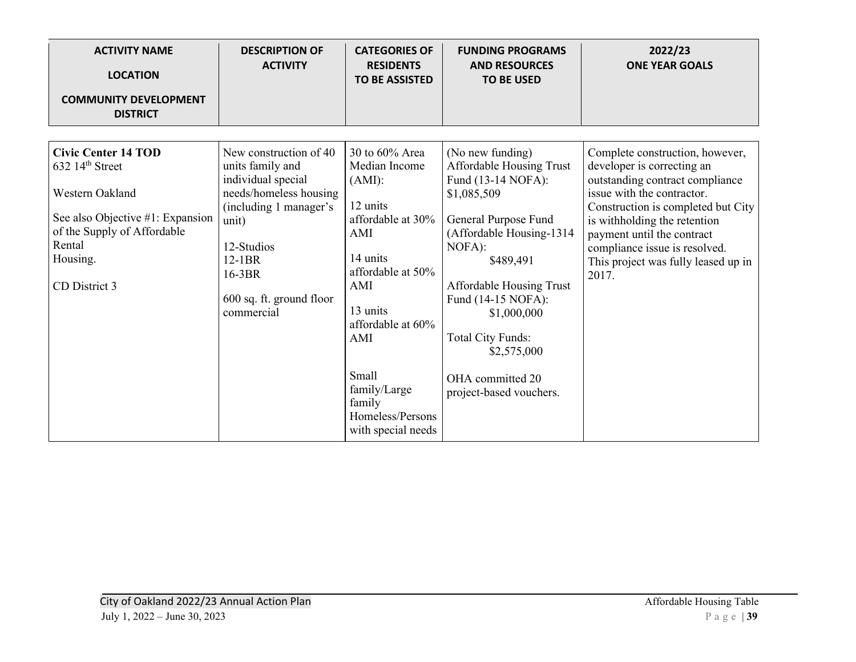| <b>ACTIVITY NAME</b><br><b>LOCATION</b>                                                                                                                                                  | <b>DESCRIPTION OF</b><br><b>ACTIVITY</b>                                                                                                                                                                    | <b>CATEGORIES OF</b><br><b>RESIDENTS</b><br><b>TO BE ASSISTED</b>                                                                                                                                                                                    | <b>FUNDING PROGRAMS</b><br><b>AND RESOURCES</b><br><b>TO BE USED</b>                                                                                                                                                                                                                                                    | 2022/23<br><b>ONE YEAR GOALS</b>                                                                                                                                                                                                                                                                                    |
|------------------------------------------------------------------------------------------------------------------------------------------------------------------------------------------|-------------------------------------------------------------------------------------------------------------------------------------------------------------------------------------------------------------|------------------------------------------------------------------------------------------------------------------------------------------------------------------------------------------------------------------------------------------------------|-------------------------------------------------------------------------------------------------------------------------------------------------------------------------------------------------------------------------------------------------------------------------------------------------------------------------|---------------------------------------------------------------------------------------------------------------------------------------------------------------------------------------------------------------------------------------------------------------------------------------------------------------------|
| <b>COMMUNITY DEVELOPMENT</b><br><b>DISTRICT</b>                                                                                                                                          |                                                                                                                                                                                                             |                                                                                                                                                                                                                                                      |                                                                                                                                                                                                                                                                                                                         |                                                                                                                                                                                                                                                                                                                     |
| <b>Civic Center 14 TOD</b><br>$632$ 14 <sup>th</sup> Street<br>Western Oakland<br>See also Objective #1: Expansion<br>of the Supply of Affordable<br>Rental<br>Housing.<br>CD District 3 | New construction of 40<br>units family and<br>individual special<br>needs/homeless housing<br>(including 1 manager's<br>unit)<br>12-Studios<br>$12-1BR$<br>16-3BR<br>600 sq. ft. ground floor<br>commercial | 30 to $60\%$ Area<br>Median Income<br>$(AMI)$ :<br>12 units<br>affordable at 30%<br>AMI<br>14 units<br>affordable at 50%<br>AMI<br>13 units<br>affordable at 60%<br>AMI<br>Small<br>family/Large<br>family<br>Homeless/Persons<br>with special needs | (No new funding)<br>Affordable Housing Trust<br>Fund (13-14 NOFA):<br>\$1,085,509<br>General Purpose Fund<br>(Affordable Housing-1314<br>NOFA):<br>\$489,491<br>Affordable Housing Trust<br>Fund (14-15 NOFA):<br>\$1,000,000<br><b>Total City Funds:</b><br>\$2,575,000<br>OHA committed 20<br>project-based vouchers. | Complete construction, however,<br>developer is correcting an<br>outstanding contract compliance<br>issue with the contractor.<br>Construction is completed but City<br>is withholding the retention<br>payment until the contract<br>compliance issue is resolved.<br>This project was fully leased up in<br>2017. |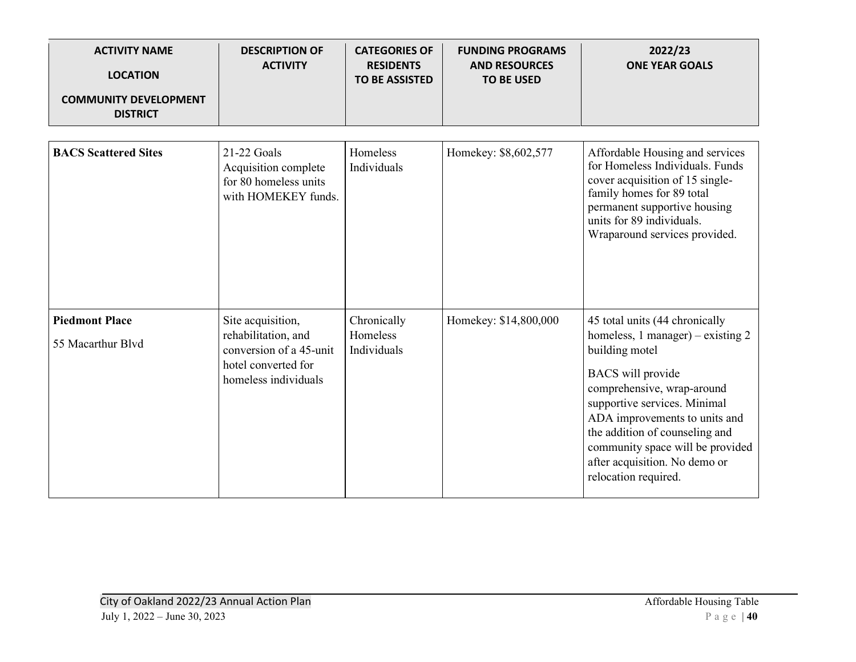| <b>ACTIVITY NAME</b><br><b>LOCATION</b><br><b>COMMUNITY DEVELOPMENT</b> | <b>DESCRIPTION OF</b><br><b>ACTIVITY</b>                                                                           | <b>CATEGORIES OF</b><br><b>RESIDENTS</b><br><b>TO BE ASSISTED</b> | <b>FUNDING PROGRAMS</b><br><b>AND RESOURCES</b><br><b>TO BE USED</b> | 2022/23<br><b>ONE YEAR GOALS</b>                                                                                                                                                                                                                                                                                                                    |
|-------------------------------------------------------------------------|--------------------------------------------------------------------------------------------------------------------|-------------------------------------------------------------------|----------------------------------------------------------------------|-----------------------------------------------------------------------------------------------------------------------------------------------------------------------------------------------------------------------------------------------------------------------------------------------------------------------------------------------------|
| <b>DISTRICT</b>                                                         |                                                                                                                    |                                                                   |                                                                      |                                                                                                                                                                                                                                                                                                                                                     |
| <b>BACS Scattered Sites</b>                                             | 21-22 Goals<br>Acquisition complete<br>for 80 homeless units<br>with HOMEKEY funds.                                | Homeless<br>Individuals                                           | Homekey: \$8,602,577                                                 | Affordable Housing and services<br>for Homeless Individuals. Funds<br>cover acquisition of 15 single-<br>family homes for 89 total<br>permanent supportive housing<br>units for 89 individuals.<br>Wraparound services provided.                                                                                                                    |
| <b>Piedmont Place</b><br>55 Macarthur Blvd                              | Site acquisition,<br>rehabilitation, and<br>conversion of a 45-unit<br>hotel converted for<br>homeless individuals | Chronically<br>Homeless<br>Individuals                            | Homekey: \$14,800,000                                                | 45 total units (44 chronically<br>homeless, $1$ manager) – existing $2$<br>building motel<br><b>BACS</b> will provide<br>comprehensive, wrap-around<br>supportive services. Minimal<br>ADA improvements to units and<br>the addition of counseling and<br>community space will be provided<br>after acquisition. No demo or<br>relocation required. |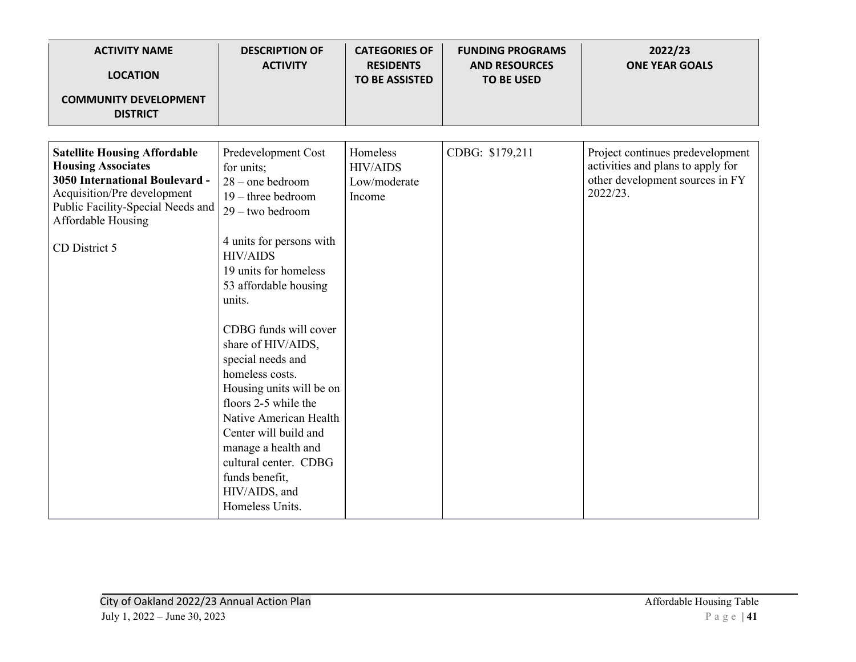| <b>ACTIVITY NAME</b><br><b>LOCATION</b>                                                                                                                                                                              | <b>DESCRIPTION OF</b><br><b>ACTIVITY</b>                                                                                                                                                                                                                                                                                                                                                                                                                                                                             | <b>CATEGORIES OF</b><br><b>RESIDENTS</b><br><b>TO BE ASSISTED</b> | <b>FUNDING PROGRAMS</b><br><b>AND RESOURCES</b><br><b>TO BE USED</b> | 2022/23<br><b>ONE YEAR GOALS</b>                                                                                     |
|----------------------------------------------------------------------------------------------------------------------------------------------------------------------------------------------------------------------|----------------------------------------------------------------------------------------------------------------------------------------------------------------------------------------------------------------------------------------------------------------------------------------------------------------------------------------------------------------------------------------------------------------------------------------------------------------------------------------------------------------------|-------------------------------------------------------------------|----------------------------------------------------------------------|----------------------------------------------------------------------------------------------------------------------|
| <b>COMMUNITY DEVELOPMENT</b><br><b>DISTRICT</b>                                                                                                                                                                      |                                                                                                                                                                                                                                                                                                                                                                                                                                                                                                                      |                                                                   |                                                                      |                                                                                                                      |
| <b>Satellite Housing Affordable</b><br><b>Housing Associates</b><br><b>3050 International Boulevard -</b><br>Acquisition/Pre development<br>Public Facility-Special Needs and<br>Affordable Housing<br>CD District 5 | Predevelopment Cost<br>for units;<br>$28$ – one bedroom<br>$19$ – three bedroom<br>$29 -$ two bedroom<br>4 units for persons with<br><b>HIV/AIDS</b><br>19 units for homeless<br>53 affordable housing<br>units.<br>CDBG funds will cover<br>share of HIV/AIDS,<br>special needs and<br>homeless costs.<br>Housing units will be on<br>floors 2-5 while the<br>Native American Health<br>Center will build and<br>manage a health and<br>cultural center. CDBG<br>funds benefit,<br>HIV/AIDS, and<br>Homeless Units. | Homeless<br><b>HIV/AIDS</b><br>Low/moderate<br>Income             | CDBG: \$179,211                                                      | Project continues predevelopment<br>activities and plans to apply for<br>other development sources in FY<br>2022/23. |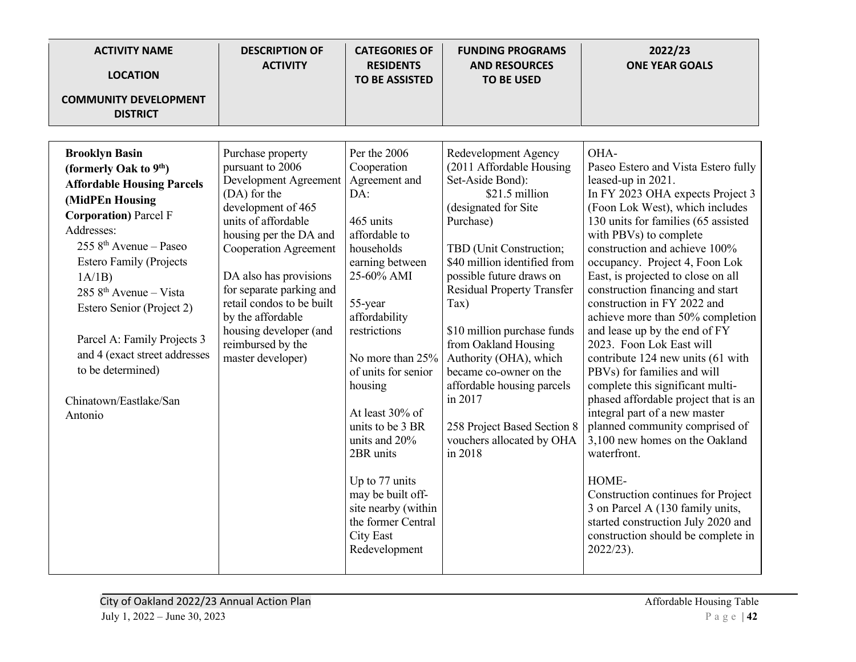| <b>ACTIVITY NAME</b><br><b>LOCATION</b><br><b>COMMUNITY DEVELOPMENT</b>                                                                                                                                                                                                                                                                                                                                                               | <b>DESCRIPTION OF</b><br><b>ACTIVITY</b>                                                                                                                                                                                                                                                                                                                          | <b>CATEGORIES OF</b><br><b>RESIDENTS</b><br><b>TO BE ASSISTED</b>                                                                                                                                                                                                                                                                                                                                                                | <b>FUNDING PROGRAMS</b><br><b>AND RESOURCES</b><br><b>TO BE USED</b>                                                                                                                                                                                                                                                                                                                                                                                                                | 2022/23<br><b>ONE YEAR GOALS</b>                                                                                                                                                                                                                                                                                                                                                                                                                                                                                                                                                                                                                                                                                                                                                                                                                                                                                                       |
|---------------------------------------------------------------------------------------------------------------------------------------------------------------------------------------------------------------------------------------------------------------------------------------------------------------------------------------------------------------------------------------------------------------------------------------|-------------------------------------------------------------------------------------------------------------------------------------------------------------------------------------------------------------------------------------------------------------------------------------------------------------------------------------------------------------------|----------------------------------------------------------------------------------------------------------------------------------------------------------------------------------------------------------------------------------------------------------------------------------------------------------------------------------------------------------------------------------------------------------------------------------|-------------------------------------------------------------------------------------------------------------------------------------------------------------------------------------------------------------------------------------------------------------------------------------------------------------------------------------------------------------------------------------------------------------------------------------------------------------------------------------|----------------------------------------------------------------------------------------------------------------------------------------------------------------------------------------------------------------------------------------------------------------------------------------------------------------------------------------------------------------------------------------------------------------------------------------------------------------------------------------------------------------------------------------------------------------------------------------------------------------------------------------------------------------------------------------------------------------------------------------------------------------------------------------------------------------------------------------------------------------------------------------------------------------------------------------|
| <b>DISTRICT</b>                                                                                                                                                                                                                                                                                                                                                                                                                       |                                                                                                                                                                                                                                                                                                                                                                   |                                                                                                                                                                                                                                                                                                                                                                                                                                  |                                                                                                                                                                                                                                                                                                                                                                                                                                                                                     |                                                                                                                                                                                                                                                                                                                                                                                                                                                                                                                                                                                                                                                                                                                                                                                                                                                                                                                                        |
| <b>Brooklyn Basin</b><br>(formerly Oak to 9 <sup>th</sup> )<br><b>Affordable Housing Parcels</b><br>(MidPEn Housing<br><b>Corporation</b> ) Parcel F<br>Addresses:<br>$2558^{\text{th}}$ Avenue – Paseo<br><b>Estero Family (Projects</b><br>1A/1B<br>285 $8th$ Avenue – Vista<br>Estero Senior (Project 2)<br>Parcel A: Family Projects 3<br>and 4 (exact street addresses<br>to be determined)<br>Chinatown/Eastlake/San<br>Antonio | Purchase property<br>pursuant to 2006<br>Development Agreement<br>(DA) for the<br>development of 465<br>units of affordable<br>housing per the DA and<br><b>Cooperation Agreement</b><br>DA also has provisions<br>for separate parking and<br>retail condos to be built<br>by the affordable<br>housing developer (and<br>reimbursed by the<br>master developer) | Per the 2006<br>Cooperation<br>Agreement and<br>DA:<br>465 units<br>affordable to<br>households<br>earning between<br>25-60% AMI<br>55-year<br>affordability<br>restrictions<br>No more than 25%<br>of units for senior<br>housing<br>At least 30% of<br>units to be 3 BR<br>units and 20%<br>2BR units<br>Up to 77 units<br>may be built off-<br>site nearby (within<br>the former Central<br><b>City East</b><br>Redevelopment | Redevelopment Agency<br>(2011 Affordable Housing<br>Set-Aside Bond):<br>\$21.5 million<br>(designated for Site<br>Purchase)<br>TBD (Unit Construction;<br>\$40 million identified from<br>possible future draws on<br>Residual Property Transfer<br>Tax)<br>\$10 million purchase funds<br>from Oakland Housing<br>Authority (OHA), which<br>became co-owner on the<br>affordable housing parcels<br>in 2017<br>258 Project Based Section 8<br>vouchers allocated by OHA<br>in 2018 | OHA-<br>Paseo Estero and Vista Estero fully<br>leased-up in 2021.<br>In FY 2023 OHA expects Project 3<br>(Foon Lok West), which includes<br>130 units for families (65 assisted<br>with PBVs) to complete<br>construction and achieve 100%<br>occupancy. Project 4, Foon Lok<br>East, is projected to close on all<br>construction financing and start<br>construction in FY 2022 and<br>achieve more than 50% completion<br>and lease up by the end of FY<br>2023. Foon Lok East will<br>contribute 124 new units (61 with<br>PBVs) for families and will<br>complete this significant multi-<br>phased affordable project that is an<br>integral part of a new master<br>planned community comprised of<br>3,100 new homes on the Oakland<br>waterfront.<br>HOME-<br>Construction continues for Project<br>3 on Parcel A (130 family units,<br>started construction July 2020 and<br>construction should be complete in<br>2022/23). |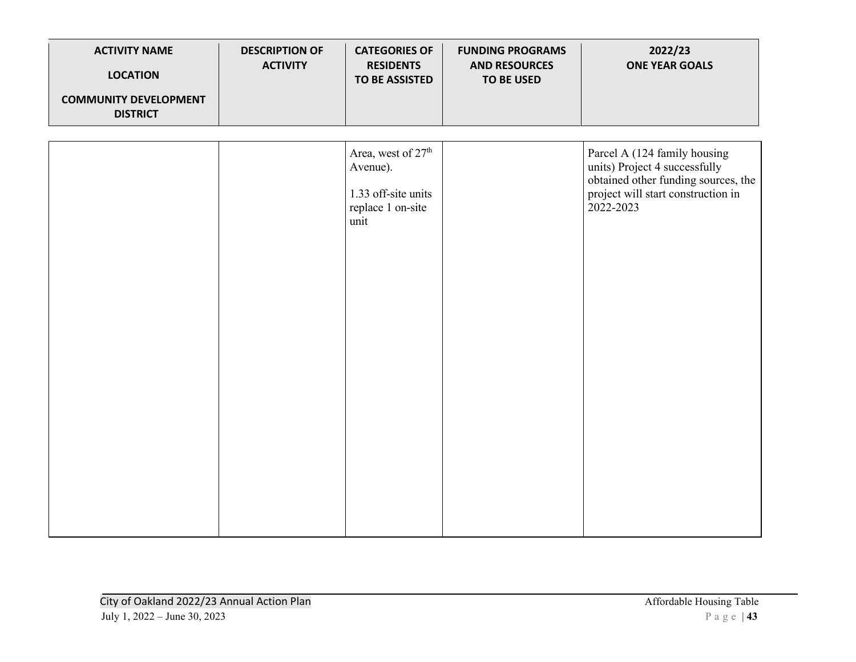| <b>ACTIVITY NAME</b><br><b>LOCATION</b>         | <b>DESCRIPTION OF</b><br><b>ACTIVITY</b> | <b>CATEGORIES OF</b><br><b>RESIDENTS</b><br><b>TO BE ASSISTED</b>                              | <b>FUNDING PROGRAMS</b><br><b>AND RESOURCES</b><br><b>TO BE USED</b> | 2022/23<br><b>ONE YEAR GOALS</b>                                                                                                                        |
|-------------------------------------------------|------------------------------------------|------------------------------------------------------------------------------------------------|----------------------------------------------------------------------|---------------------------------------------------------------------------------------------------------------------------------------------------------|
| <b>COMMUNITY DEVELOPMENT</b><br><b>DISTRICT</b> |                                          |                                                                                                |                                                                      |                                                                                                                                                         |
|                                                 |                                          | Area, west of 27 <sup>th</sup><br>Avenue).<br>1.33 off-site units<br>replace 1 on-site<br>unit |                                                                      | Parcel A (124 family housing<br>units) Project 4 successfully<br>obtained other funding sources, the<br>project will start construction in<br>2022-2023 |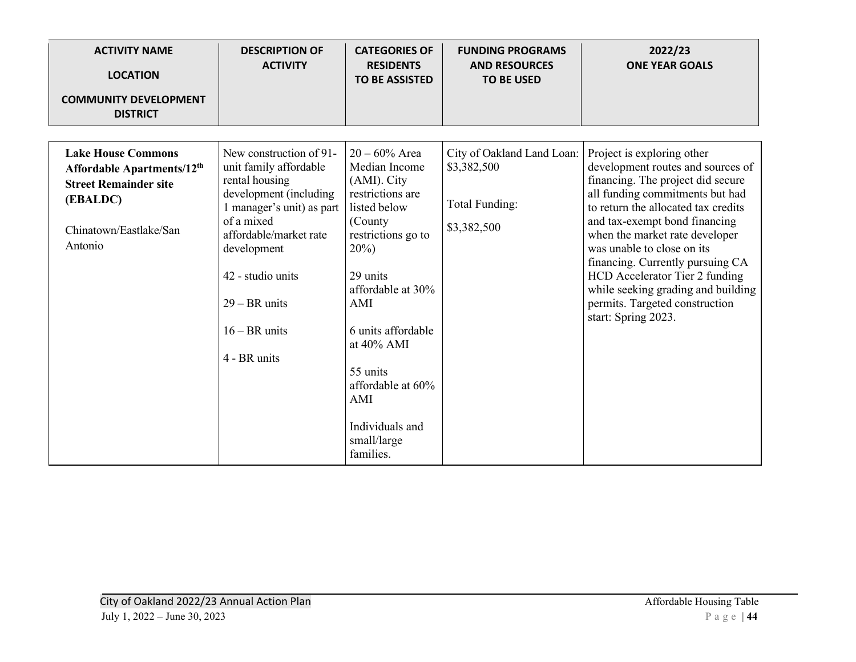| <b>ACTIVITY NAME</b><br><b>LOCATION</b><br><b>COMMUNITY DEVELOPMENT</b><br><b>DISTRICT</b>                                                           | <b>DESCRIPTION OF</b><br><b>ACTIVITY</b>                                                                                                                                                                                                                     | <b>CATEGORIES OF</b><br><b>RESIDENTS</b><br><b>TO BE ASSISTED</b>                                                                                                                                                        | <b>FUNDING PROGRAMS</b><br><b>AND RESOURCES</b><br><b>TO BE USED</b>       | 2022/23<br><b>ONE YEAR GOALS</b>                                                                                                                                                                                                                                                                                                                                                                                                                     |
|------------------------------------------------------------------------------------------------------------------------------------------------------|--------------------------------------------------------------------------------------------------------------------------------------------------------------------------------------------------------------------------------------------------------------|--------------------------------------------------------------------------------------------------------------------------------------------------------------------------------------------------------------------------|----------------------------------------------------------------------------|------------------------------------------------------------------------------------------------------------------------------------------------------------------------------------------------------------------------------------------------------------------------------------------------------------------------------------------------------------------------------------------------------------------------------------------------------|
| <b>Lake House Commons</b><br>Affordable Apartments/12 <sup>th</sup><br><b>Street Remainder site</b><br>(EBALDC)<br>Chinatown/Eastlake/San<br>Antonio | New construction of 91-<br>unit family affordable<br>rental housing<br>development (including<br>1 manager's unit) as part<br>of a mixed<br>affordable/market rate<br>development<br>42 - studio units<br>$29 - BR$ units<br>$16 - BR$ units<br>4 - BR units | $20 - 60\%$ Area<br>Median Income<br>(AMI). City<br>restrictions are<br>listed below<br>(County<br>restrictions go to<br>$20\%)$<br>29 units<br>affordable at 30%<br>AMI<br>6 units affordable<br>at 40% AMI<br>55 units | City of Oakland Land Loan:<br>\$3,382,500<br>Total Funding:<br>\$3,382,500 | Project is exploring other<br>development routes and sources of<br>financing. The project did secure<br>all funding commitments but had<br>to return the allocated tax credits<br>and tax-exempt bond financing<br>when the market rate developer<br>was unable to close on its<br>financing. Currently pursuing CA<br>HCD Accelerator Tier 2 funding<br>while seeking grading and building<br>permits. Targeted construction<br>start: Spring 2023. |
|                                                                                                                                                      |                                                                                                                                                                                                                                                              | affordable at 60%<br>AMI<br>Individuals and<br>small/large<br>families.                                                                                                                                                  |                                                                            |                                                                                                                                                                                                                                                                                                                                                                                                                                                      |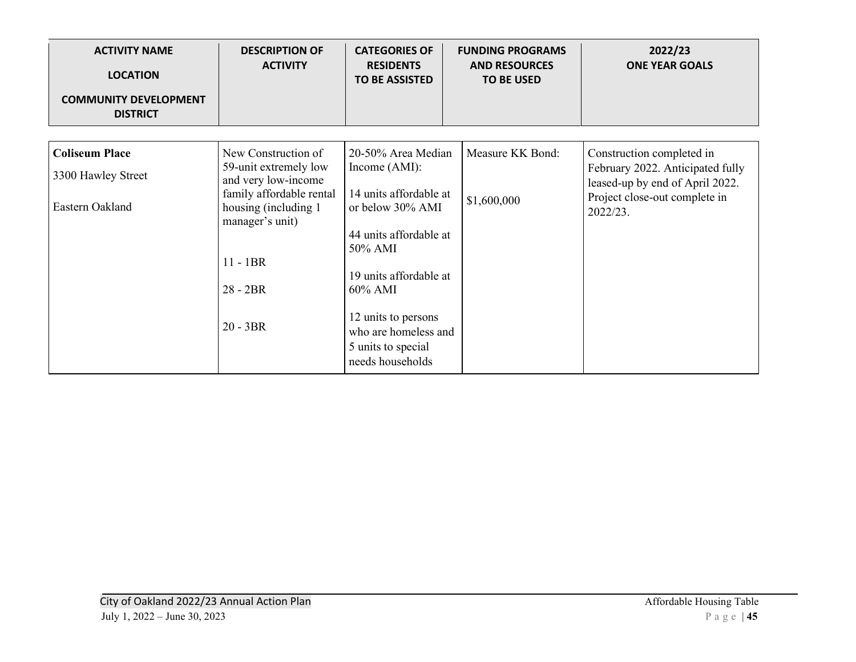| <b>ACTIVITY NAME</b><br><b>LOCATION</b><br><b>COMMUNITY DEVELOPMENT</b><br><b>DISTRICT</b> | <b>DESCRIPTION OF</b><br><b>ACTIVITY</b>                                                    | <b>CATEGORIES OF</b><br><b>RESIDENTS</b><br><b>TO BE ASSISTED</b>                     | <b>FUNDING PROGRAMS</b><br><b>AND RESOURCES</b><br><b>TO BE USED</b> | 2022/23<br><b>ONE YEAR GOALS</b>                                             |
|--------------------------------------------------------------------------------------------|---------------------------------------------------------------------------------------------|---------------------------------------------------------------------------------------|----------------------------------------------------------------------|------------------------------------------------------------------------------|
| <b>Coliseum Place</b>                                                                      | New Construction of<br>59-unit extremely low                                                | 20-50% Area Median<br>Income $(AMI)$ :                                                | Measure KK Bond:                                                     | Construction completed in<br>February 2022. Anticipated fully                |
| 3300 Hawley Street<br>Eastern Oakland                                                      | and very low-income<br>family affordable rental<br>housing (including 1)<br>manager's unit) | 14 units affordable at<br>or below 30% AMI                                            | \$1,600,000                                                          | leased-up by end of April 2022.<br>Project close-out complete in<br>2022/23. |
|                                                                                            |                                                                                             | 44 units affordable at<br>50% AMI                                                     |                                                                      |                                                                              |
|                                                                                            | $11 - 1BR$<br>$28 - 2BR$                                                                    | 19 units affordable at<br>60% AMI                                                     |                                                                      |                                                                              |
|                                                                                            | $20 - 3BR$                                                                                  | 12 units to persons<br>who are homeless and<br>5 units to special<br>needs households |                                                                      |                                                                              |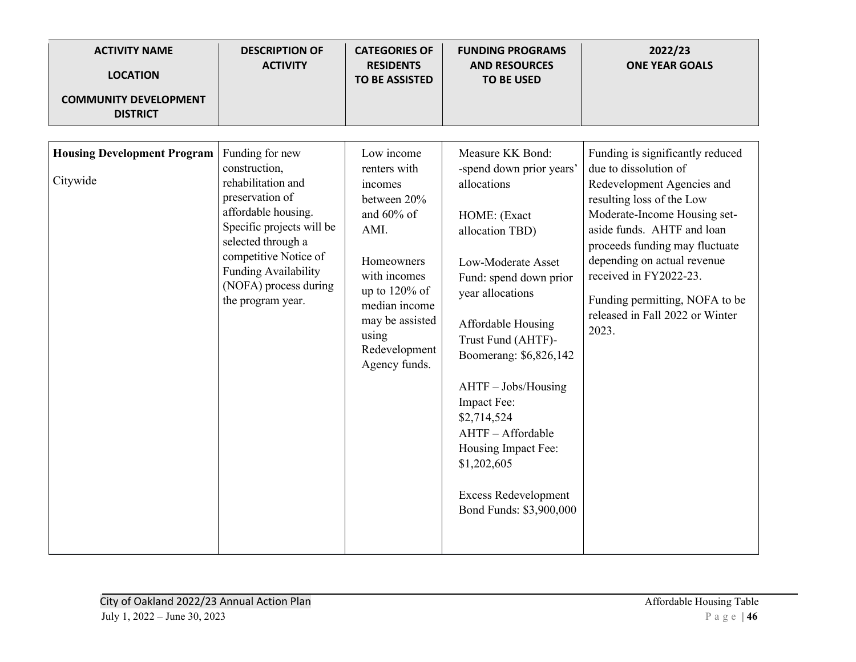| <b>ACTIVITY NAME</b><br><b>LOCATION</b><br><b>COMMUNITY DEVELOPMENT</b><br><b>DISTRICT</b> | <b>DESCRIPTION OF</b><br><b>ACTIVITY</b>                                                                                                                                                                                                           | <b>CATEGORIES OF</b><br><b>RESIDENTS</b><br><b>TO BE ASSISTED</b>                                                                                                                                           | <b>FUNDING PROGRAMS</b><br><b>AND RESOURCES</b><br><b>TO BE USED</b>                                                                                                                                                                                                                                                                                                                                             | 2022/23<br><b>ONE YEAR GOALS</b>                                                                                                                                                                                                                                                                                                                            |
|--------------------------------------------------------------------------------------------|----------------------------------------------------------------------------------------------------------------------------------------------------------------------------------------------------------------------------------------------------|-------------------------------------------------------------------------------------------------------------------------------------------------------------------------------------------------------------|------------------------------------------------------------------------------------------------------------------------------------------------------------------------------------------------------------------------------------------------------------------------------------------------------------------------------------------------------------------------------------------------------------------|-------------------------------------------------------------------------------------------------------------------------------------------------------------------------------------------------------------------------------------------------------------------------------------------------------------------------------------------------------------|
| <b>Housing Development Program</b><br>Citywide                                             | Funding for new<br>construction,<br>rehabilitation and<br>preservation of<br>affordable housing.<br>Specific projects will be<br>selected through a<br>competitive Notice of<br>Funding Availability<br>(NOFA) process during<br>the program year. | Low income<br>renters with<br>incomes<br>between 20%<br>and 60% of<br>AMI.<br>Homeowners<br>with incomes<br>up to $120\%$ of<br>median income<br>may be assisted<br>using<br>Redevelopment<br>Agency funds. | Measure KK Bond:<br>-spend down prior years'<br>allocations<br>HOME: (Exact<br>allocation TBD)<br>Low-Moderate Asset<br>Fund: spend down prior<br>year allocations<br>Affordable Housing<br>Trust Fund (AHTF)-<br>Boomerang: \$6,826,142<br>AHTF - Jobs/Housing<br>Impact Fee:<br>\$2,714,524<br>AHTF-Affordable<br>Housing Impact Fee:<br>\$1,202,605<br><b>Excess Redevelopment</b><br>Bond Funds: \$3,900,000 | Funding is significantly reduced<br>due to dissolution of<br>Redevelopment Agencies and<br>resulting loss of the Low<br>Moderate-Income Housing set-<br>aside funds. AHTF and loan<br>proceeds funding may fluctuate<br>depending on actual revenue<br>received in FY2022-23.<br>Funding permitting, NOFA to be<br>released in Fall 2022 or Winter<br>2023. |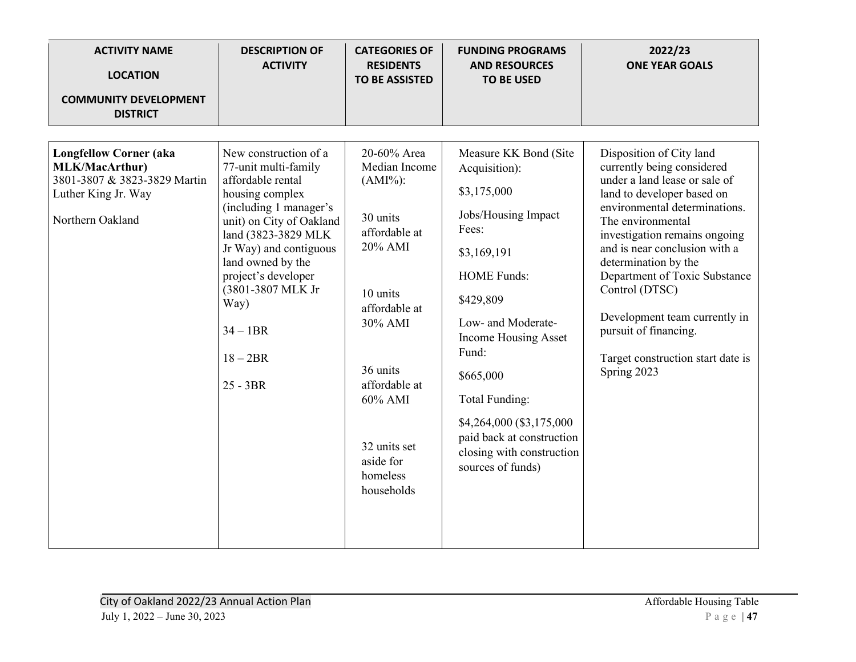| <b>ACTIVITY NAME</b><br><b>LOCATION</b><br><b>COMMUNITY DEVELOPMENT</b><br><b>DISTRICT</b>                                        | <b>DESCRIPTION OF</b><br><b>ACTIVITY</b>                                                                                                                                                                                                                                                                      | <b>CATEGORIES OF</b><br><b>RESIDENTS</b><br><b>TO BE ASSISTED</b>                                                                                                                                                          | <b>FUNDING PROGRAMS</b><br><b>AND RESOURCES</b><br><b>TO BE USED</b>                                                                                                                                                                                                                                                                            | 2022/23<br><b>ONE YEAR GOALS</b>                                                                                                                                                                                                                                                                                                                                                                                                       |
|-----------------------------------------------------------------------------------------------------------------------------------|---------------------------------------------------------------------------------------------------------------------------------------------------------------------------------------------------------------------------------------------------------------------------------------------------------------|----------------------------------------------------------------------------------------------------------------------------------------------------------------------------------------------------------------------------|-------------------------------------------------------------------------------------------------------------------------------------------------------------------------------------------------------------------------------------------------------------------------------------------------------------------------------------------------|----------------------------------------------------------------------------------------------------------------------------------------------------------------------------------------------------------------------------------------------------------------------------------------------------------------------------------------------------------------------------------------------------------------------------------------|
| <b>Longfellow Corner (aka</b><br><b>MLK/MacArthur)</b><br>3801-3807 & 3823-3829 Martin<br>Luther King Jr. Way<br>Northern Oakland | New construction of a<br>77-unit multi-family<br>affordable rental<br>housing complex<br>(including 1 manager's<br>unit) on City of Oakland<br>land (3823-3829 MLK<br>Jr Way) and contiguous<br>land owned by the<br>project's developer<br>(3801-3807 MLK Jr<br>Way)<br>$34 - 1BR$<br>$18-2BR$<br>$25 - 3BR$ | 20-60% Area<br>Median Income<br>$(AMI\%)$ :<br>30 units<br>affordable at<br>20% AMI<br>10 units<br>affordable at<br>30% AMI<br>36 units<br>affordable at<br>60% AMI<br>32 units set<br>aside for<br>homeless<br>households | Measure KK Bond (Site<br>Acquisition):<br>\$3,175,000<br>Jobs/Housing Impact<br>Fees:<br>\$3,169,191<br><b>HOME Funds:</b><br>\$429,809<br>Low- and Moderate-<br>Income Housing Asset<br>Fund:<br>\$665,000<br><b>Total Funding:</b><br>\$4,264,000 (\$3,175,000<br>paid back at construction<br>closing with construction<br>sources of funds) | Disposition of City land<br>currently being considered<br>under a land lease or sale of<br>land to developer based on<br>environmental determinations.<br>The environmental<br>investigation remains ongoing<br>and is near conclusion with a<br>determination by the<br>Department of Toxic Substance<br>Control (DTSC)<br>Development team currently in<br>pursuit of financing.<br>Target construction start date is<br>Spring 2023 |
|                                                                                                                                   |                                                                                                                                                                                                                                                                                                               |                                                                                                                                                                                                                            |                                                                                                                                                                                                                                                                                                                                                 |                                                                                                                                                                                                                                                                                                                                                                                                                                        |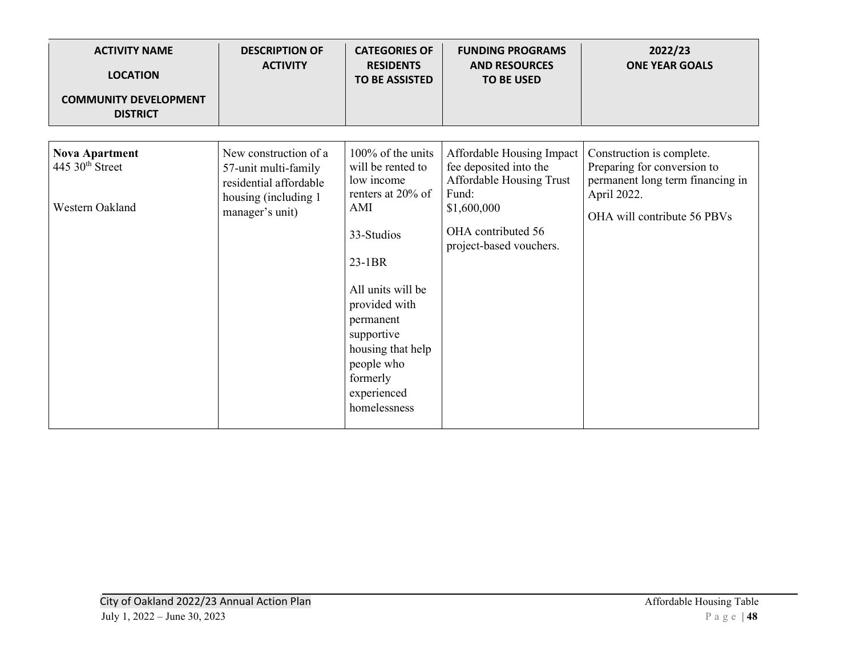| <b>ACTIVITY NAME</b><br><b>LOCATION</b><br><b>COMMUNITY DEVELOPMENT</b> | <b>DESCRIPTION OF</b><br><b>ACTIVITY</b>                                                                           | <b>CATEGORIES OF</b><br><b>RESIDENTS</b><br><b>TO BE ASSISTED</b>                                                                                                                                                                                             | <b>FUNDING PROGRAMS</b><br><b>AND RESOURCES</b><br><b>TO BE USED</b>                                                                                     | 2022/23<br><b>ONE YEAR GOALS</b>                                                                                                           |
|-------------------------------------------------------------------------|--------------------------------------------------------------------------------------------------------------------|---------------------------------------------------------------------------------------------------------------------------------------------------------------------------------------------------------------------------------------------------------------|----------------------------------------------------------------------------------------------------------------------------------------------------------|--------------------------------------------------------------------------------------------------------------------------------------------|
| <b>DISTRICT</b>                                                         |                                                                                                                    |                                                                                                                                                                                                                                                               |                                                                                                                                                          |                                                                                                                                            |
| <b>Nova Apartment</b><br>445 30 <sup>th</sup> Street<br>Western Oakland | New construction of a<br>57-unit multi-family<br>residential affordable<br>housing (including 1<br>manager's unit) | $100\%$ of the units<br>will be rented to<br>low income<br>renters at $20\%$ of<br>AMI<br>33-Studios<br>23-1BR<br>All units will be<br>provided with<br>permanent<br>supportive<br>housing that help<br>people who<br>formerly<br>experienced<br>homelessness | Affordable Housing Impact<br>fee deposited into the<br>Affordable Housing Trust<br>Fund:<br>\$1,600,000<br>OHA contributed 56<br>project-based vouchers. | Construction is complete.<br>Preparing for conversion to<br>permanent long term financing in<br>April 2022.<br>OHA will contribute 56 PBVs |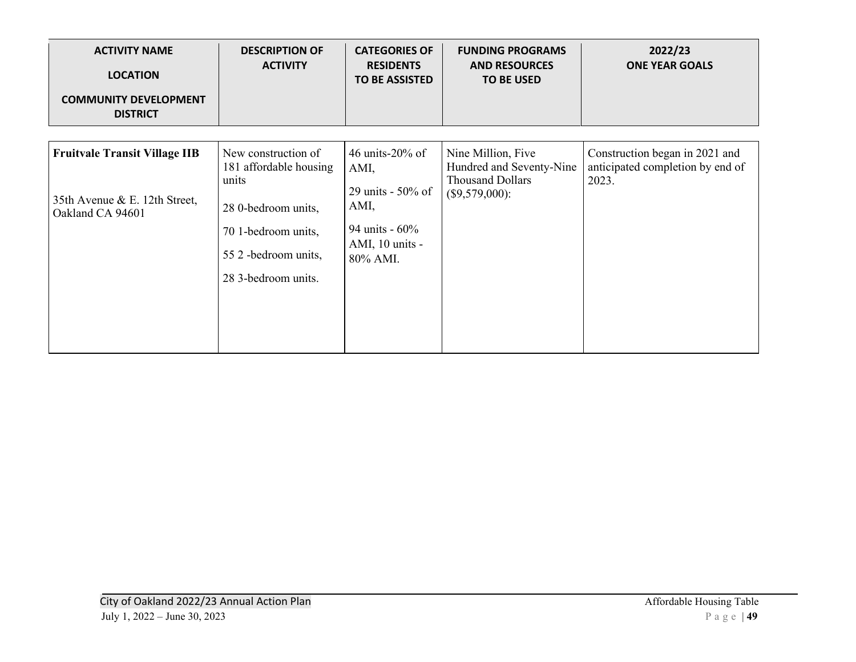| <b>ACTIVITY NAME</b><br><b>LOCATION</b><br><b>COMMUNITY DEVELOPMENT</b><br><b>DISTRICT</b> | <b>DESCRIPTION OF</b><br><b>ACTIVITY</b>                                                                                                            | <b>CATEGORIES OF</b><br><b>RESIDENTS</b><br><b>TO BE ASSISTED</b>                                         | <b>FUNDING PROGRAMS</b><br><b>AND RESOURCES</b><br><b>TO BE USED</b>                        | 2022/23<br><b>ONE YEAR GOALS</b>                                            |
|--------------------------------------------------------------------------------------------|-----------------------------------------------------------------------------------------------------------------------------------------------------|-----------------------------------------------------------------------------------------------------------|---------------------------------------------------------------------------------------------|-----------------------------------------------------------------------------|
| <b>Fruitvale Transit Village IIB</b><br>35th Avenue & E. 12th Street,<br>Oakland CA 94601  | New construction of<br>181 affordable housing<br>units<br>28 0-bedroom units,<br>70 1-bedroom units,<br>55 2 -bedroom units,<br>28 3-bedroom units. | 46 units- $20\%$ of<br>AMI,<br>29 units - 50% of<br>AMI,<br>94 units - 60%<br>AMI, 10 units -<br>80% AMI. | Nine Million, Five<br>Hundred and Seventy-Nine<br><b>Thousand Dollars</b><br>(\$9,579,000): | Construction began in 2021 and<br>anticipated completion by end of<br>2023. |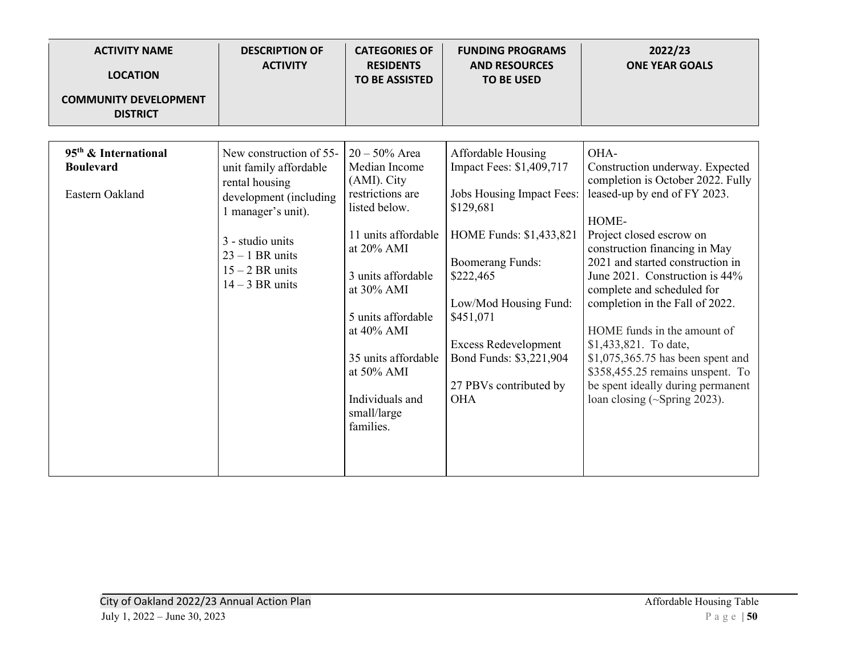| <b>ACTIVITY NAME</b><br><b>LOCATION</b>                                 | <b>DESCRIPTION OF</b><br><b>ACTIVITY</b>                                                                                                                                                               | <b>CATEGORIES OF</b><br><b>RESIDENTS</b><br><b>TO BE ASSISTED</b>                                                                                                                                                                                                                      | <b>FUNDING PROGRAMS</b><br><b>AND RESOURCES</b><br><b>TO BE USED</b>                                                                                                                                                                                                                                | 2022/23<br><b>ONE YEAR GOALS</b>                                                                                                                                                                                                                                                                                                                                                                                                                                                                                                       |
|-------------------------------------------------------------------------|--------------------------------------------------------------------------------------------------------------------------------------------------------------------------------------------------------|----------------------------------------------------------------------------------------------------------------------------------------------------------------------------------------------------------------------------------------------------------------------------------------|-----------------------------------------------------------------------------------------------------------------------------------------------------------------------------------------------------------------------------------------------------------------------------------------------------|----------------------------------------------------------------------------------------------------------------------------------------------------------------------------------------------------------------------------------------------------------------------------------------------------------------------------------------------------------------------------------------------------------------------------------------------------------------------------------------------------------------------------------------|
| <b>COMMUNITY DEVELOPMENT</b><br><b>DISTRICT</b>                         |                                                                                                                                                                                                        |                                                                                                                                                                                                                                                                                        |                                                                                                                                                                                                                                                                                                     |                                                                                                                                                                                                                                                                                                                                                                                                                                                                                                                                        |
| 95 <sup>th</sup> & International<br><b>Boulevard</b><br>Eastern Oakland | New construction of 55-<br>unit family affordable<br>rental housing<br>development (including<br>1 manager's unit).<br>3 - studio units<br>$23 - 1$ BR units<br>$15 - 2$ BR units<br>$14 - 3$ BR units | $20 - 50\%$ Area<br>Median Income<br>(AMI). City<br>restrictions are<br>listed below.<br>11 units affordable<br>at 20% AMI<br>3 units affordable<br>at 30% AMI<br>5 units affordable<br>at 40% AMI<br>35 units affordable<br>at 50% AMI<br>Individuals and<br>small/large<br>families. | Affordable Housing<br>Impact Fees: \$1,409,717<br>Jobs Housing Impact Fees:<br>\$129,681<br>HOME Funds: \$1,433,821<br><b>Boomerang Funds:</b><br>\$222,465<br>Low/Mod Housing Fund:<br>\$451,071<br><b>Excess Redevelopment</b><br>Bond Funds: \$3,221,904<br>27 PBVs contributed by<br><b>OHA</b> | OHA-<br>Construction underway. Expected<br>completion is October 2022. Fully<br>leased-up by end of FY 2023.<br>HOME-<br>Project closed escrow on<br>construction financing in May<br>2021 and started construction in<br>June 2021. Construction is 44%<br>complete and scheduled for<br>completion in the Fall of 2022.<br>HOME funds in the amount of<br>\$1,433,821. To date,<br>$$1,075,365.75$ has been spent and<br>\$358,455.25 remains unspent. To<br>be spent ideally during permanent<br>loan closing $(\sim$ Spring 2023). |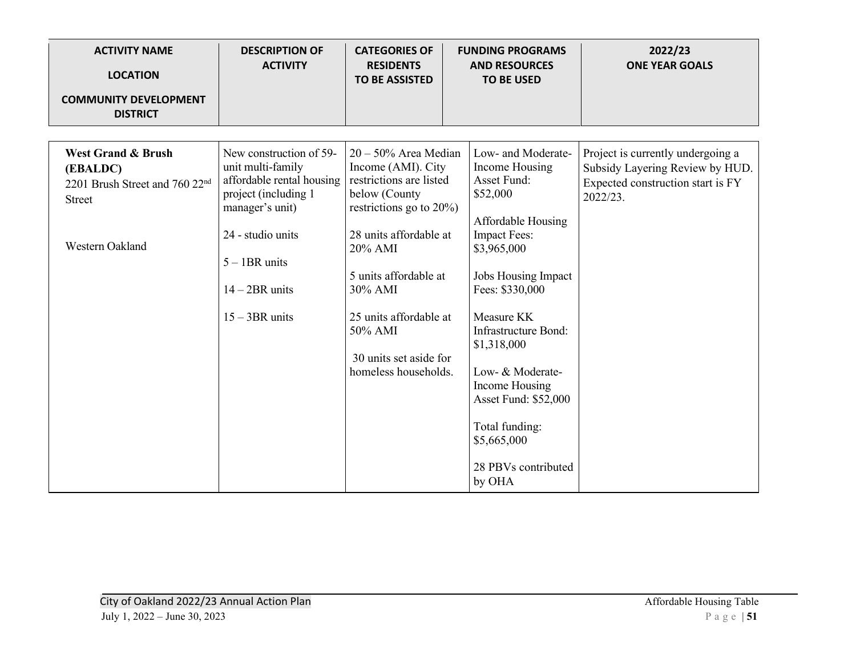| <b>ACTIVITY NAME</b><br><b>LOCATION</b>                                                                                     | <b>DESCRIPTION OF</b><br><b>ACTIVITY</b>                                                                                                                                                             | <b>CATEGORIES OF</b><br><b>RESIDENTS</b><br><b>TO BE ASSISTED</b>                                                                                                                                                                                                                        | <b>FUNDING PROGRAMS</b><br><b>AND RESOURCES</b><br><b>TO BE USED</b>                                                                                                                                                                                                                                                                                       | 2022/23<br><b>ONE YEAR GOALS</b>                                                                                      |
|-----------------------------------------------------------------------------------------------------------------------------|------------------------------------------------------------------------------------------------------------------------------------------------------------------------------------------------------|------------------------------------------------------------------------------------------------------------------------------------------------------------------------------------------------------------------------------------------------------------------------------------------|------------------------------------------------------------------------------------------------------------------------------------------------------------------------------------------------------------------------------------------------------------------------------------------------------------------------------------------------------------|-----------------------------------------------------------------------------------------------------------------------|
| <b>COMMUNITY DEVELOPMENT</b><br><b>DISTRICT</b>                                                                             |                                                                                                                                                                                                      |                                                                                                                                                                                                                                                                                          |                                                                                                                                                                                                                                                                                                                                                            |                                                                                                                       |
|                                                                                                                             |                                                                                                                                                                                                      |                                                                                                                                                                                                                                                                                          |                                                                                                                                                                                                                                                                                                                                                            |                                                                                                                       |
| <b>West Grand &amp; Brush</b><br>(EBALDC)<br>2201 Brush Street and 760 22 <sup>nd</sup><br><b>Street</b><br>Western Oakland | New construction of 59-<br>unit multi-family<br>affordable rental housing<br>project (including 1<br>manager's unit)<br>24 - studio units<br>$5 - 1BR$ units<br>$14 - 2BR$ units<br>$15 - 3BR$ units | $20 - 50\%$ Area Median<br>Income (AMI). City<br>restrictions are listed<br>below (County<br>restrictions go to $20\%$ )<br>28 units affordable at<br>20% AMI<br>5 units affordable at<br>30% AMI<br>25 units affordable at<br>50% AMI<br>30 units set aside for<br>homeless households. | Low- and Moderate-<br>Income Housing<br>Asset Fund:<br>\$52,000<br>Affordable Housing<br><b>Impact Fees:</b><br>\$3,965,000<br>Jobs Housing Impact<br>Fees: \$330,000<br>Measure KK<br>Infrastructure Bond:<br>\$1,318,000<br>Low- & Moderate-<br>Income Housing<br>Asset Fund: \$52,000<br>Total funding:<br>\$5,665,000<br>28 PBVs contributed<br>by OHA | Project is currently undergoing a<br>Subsidy Layering Review by HUD.<br>Expected construction start is FY<br>2022/23. |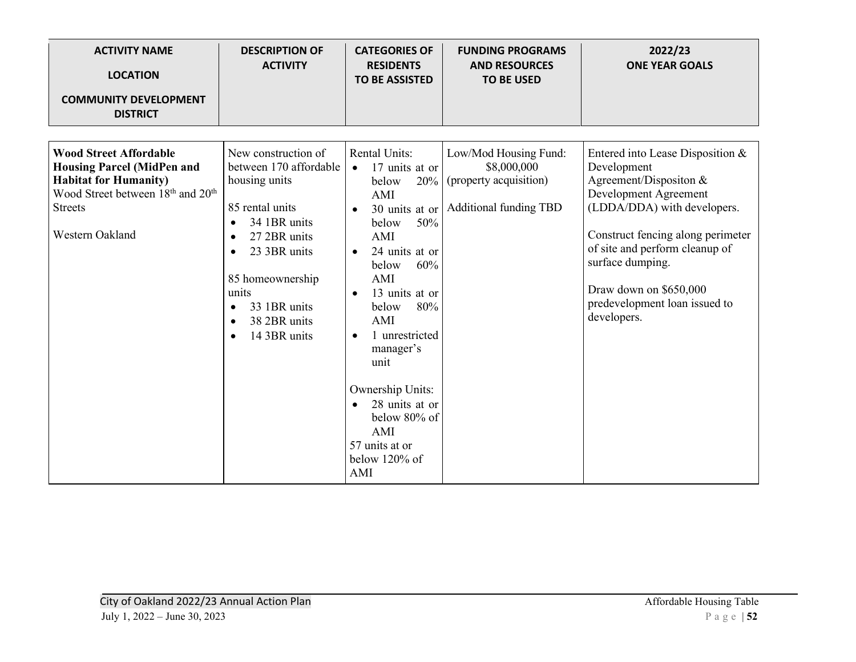| <b>ACTIVITY NAME</b><br><b>LOCATION</b><br><b>COMMUNITY DEVELOPMENT</b><br><b>DISTRICT</b>                                                                                                           | <b>DESCRIPTION OF</b><br><b>ACTIVITY</b>                                                                                                                                                                                                                                        | <b>CATEGORIES OF</b><br><b>RESIDENTS</b><br><b>TO BE ASSISTED</b>                                                                                                                                                                                                                                                                                                                     | <b>FUNDING PROGRAMS</b><br><b>AND RESOURCES</b><br><b>TO BE USED</b>                                    | 2022/23<br><b>ONE YEAR GOALS</b>                                                                                                                                                                                                                                                                       |
|------------------------------------------------------------------------------------------------------------------------------------------------------------------------------------------------------|---------------------------------------------------------------------------------------------------------------------------------------------------------------------------------------------------------------------------------------------------------------------------------|---------------------------------------------------------------------------------------------------------------------------------------------------------------------------------------------------------------------------------------------------------------------------------------------------------------------------------------------------------------------------------------|---------------------------------------------------------------------------------------------------------|--------------------------------------------------------------------------------------------------------------------------------------------------------------------------------------------------------------------------------------------------------------------------------------------------------|
| <b>Wood Street Affordable</b><br><b>Housing Parcel (MidPen and</b><br><b>Habitat for Humanity)</b><br>Wood Street between 18 <sup>th</sup> and 20 <sup>th</sup><br><b>Streets</b><br>Western Oakland | New construction of<br>between 170 affordable<br>housing units<br>85 rental units<br>34 1BR units<br>$\bullet$<br>27 2BR units<br>23 3BR units<br>$\bullet$<br>85 homeownership<br>units<br>33 1BR units<br>$\bullet$<br>38 2BR units<br>$\bullet$<br>14 3BR units<br>$\bullet$ | <b>Rental Units:</b><br>17 units at or<br>$\bullet$<br>20%<br>below<br>AMI<br>$\bullet$<br>50%<br>below<br>AMI<br>24 units at or<br>$\bullet$<br>60%<br>below<br>AMI<br>13 units at or<br>$\bullet$<br>80%<br>below<br>AMI<br>1 unrestricted<br>$\bullet$<br>manager's<br>unit<br>Ownership Units:<br>28 units at or<br>below 80% of<br>AMI<br>57 units at or<br>below 120% of<br>AMI | Low/Mod Housing Fund:<br>\$8,000,000<br>(property acquisition)<br>30 units at or Additional funding TBD | Entered into Lease Disposition &<br>Development<br>Agreement/Dispositon &<br>Development Agreement<br>(LDDA/DDA) with developers.<br>Construct fencing along perimeter<br>of site and perform cleanup of<br>surface dumping.<br>Draw down on \$650,000<br>predevelopment loan issued to<br>developers. |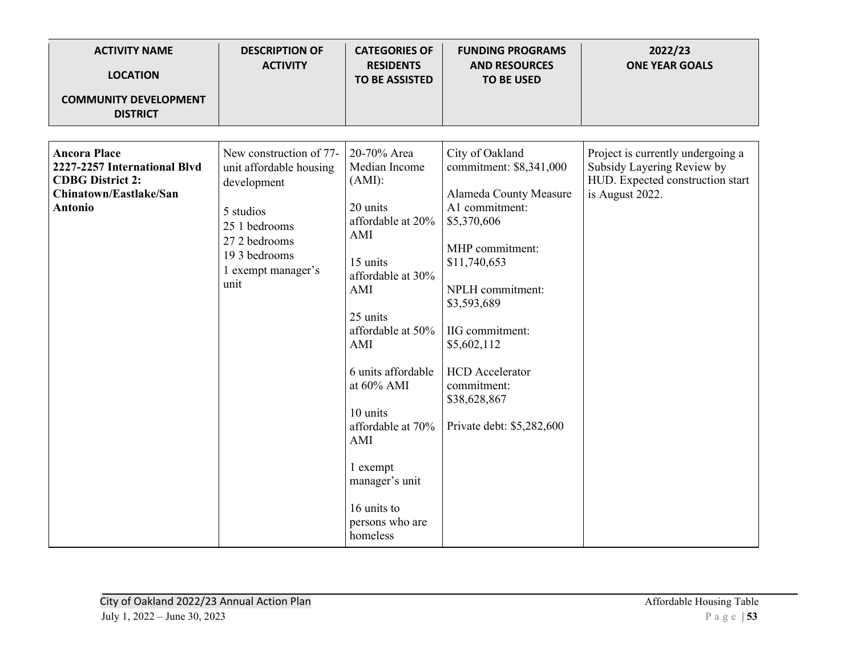| <b>ACTIVITY NAME</b><br><b>LOCATION</b><br><b>COMMUNITY DEVELOPMENT</b><br><b>DISTRICT</b>                                 | <b>DESCRIPTION OF</b><br><b>ACTIVITY</b>                                                                                                                       | <b>CATEGORIES OF</b><br><b>RESIDENTS</b><br><b>TO BE ASSISTED</b>                                                                                                                                                                                                                                                         | <b>FUNDING PROGRAMS</b><br><b>AND RESOURCES</b><br><b>TO BE USED</b>                                                                                                                                                                                                                                | 2022/23<br><b>ONE YEAR GOALS</b>                                                                                       |
|----------------------------------------------------------------------------------------------------------------------------|----------------------------------------------------------------------------------------------------------------------------------------------------------------|---------------------------------------------------------------------------------------------------------------------------------------------------------------------------------------------------------------------------------------------------------------------------------------------------------------------------|-----------------------------------------------------------------------------------------------------------------------------------------------------------------------------------------------------------------------------------------------------------------------------------------------------|------------------------------------------------------------------------------------------------------------------------|
|                                                                                                                            |                                                                                                                                                                |                                                                                                                                                                                                                                                                                                                           |                                                                                                                                                                                                                                                                                                     |                                                                                                                        |
| <b>Ancora Place</b><br>2227-2257 International Blvd<br><b>CDBG District 2:</b><br>Chinatown/Eastlake/San<br><b>Antonio</b> | New construction of 77-<br>unit affordable housing<br>development<br>5 studios<br>25 1 bedrooms<br>27 2 bedrooms<br>193 bedrooms<br>1 exempt manager's<br>unit | 20-70% Area<br>Median Income<br>$(AMI)$ :<br>20 units<br>affordable at 20%<br>AMI<br>15 units<br>affordable at 30%<br>AMI<br>25 units<br>affordable at 50%<br>AMI<br>6 units affordable<br>at 60% AMI<br>10 units<br>affordable at 70%<br>AMI<br>1 exempt<br>manager's unit<br>16 units to<br>persons who are<br>homeless | City of Oakland<br>commitment: \$8,341,000<br>Alameda County Measure<br>A1 commitment:<br>\$5,370,606<br>MHP commitment:<br>\$11,740,653<br>NPLH commitment:<br>\$3,593,689<br>IIG commitment:<br>\$5,602,112<br><b>HCD</b> Accelerator<br>commitment:<br>\$38,628,867<br>Private debt: \$5,282,600 | Project is currently undergoing a<br>Subsidy Layering Review by<br>HUD. Expected construction start<br>is August 2022. |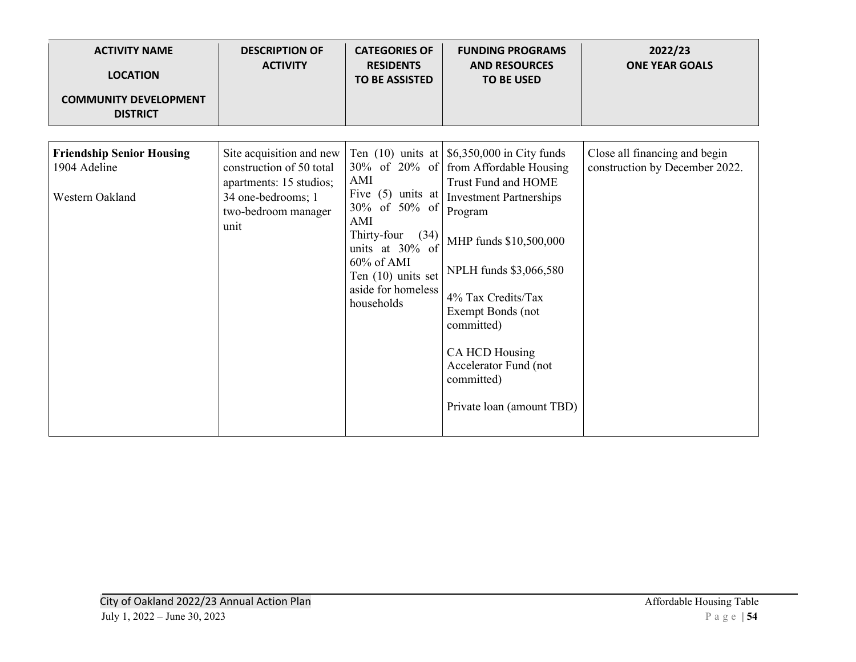| <b>ACTIVITY NAME</b><br><b>LOCATION</b><br><b>COMMUNITY DEVELOPMENT</b> | <b>DESCRIPTION OF</b><br><b>ACTIVITY</b>                                                                                             | <b>CATEGORIES OF</b><br><b>RESIDENTS</b><br><b>TO BE ASSISTED</b>                                                                                                       | <b>FUNDING PROGRAMS</b><br><b>AND RESOURCES</b><br><b>TO BE USED</b>                                                                                                                                                                                                                                                                                                  | 2022/23<br><b>ONE YEAR GOALS</b>                                |
|-------------------------------------------------------------------------|--------------------------------------------------------------------------------------------------------------------------------------|-------------------------------------------------------------------------------------------------------------------------------------------------------------------------|-----------------------------------------------------------------------------------------------------------------------------------------------------------------------------------------------------------------------------------------------------------------------------------------------------------------------------------------------------------------------|-----------------------------------------------------------------|
| <b>DISTRICT</b>                                                         |                                                                                                                                      |                                                                                                                                                                         |                                                                                                                                                                                                                                                                                                                                                                       |                                                                 |
| <b>Friendship Senior Housing</b><br>1904 Adeline<br>Western Oakland     | Site acquisition and new<br>construction of 50 total<br>apartments: 15 studios;<br>34 one-bedrooms; 1<br>two-bedroom manager<br>unit | AMI<br>Five $(5)$ units at<br>30% of 50% of<br>AMI<br>Thirty-four<br>(34)<br>units at 30% of<br>$60\%$ of AMI<br>Ten (10) units set<br>aside for homeless<br>households | Ten $(10)$ units at $\frac{6}{350,000}$ in City funds<br>30% of 20% of from Affordable Housing<br>Trust Fund and HOME<br><b>Investment Partnerships</b><br>Program<br>MHP funds \$10,500,000<br>NPLH funds \$3,066,580<br>4% Tax Credits/Tax<br>Exempt Bonds (not<br>committed)<br>CA HCD Housing<br>Accelerator Fund (not<br>committed)<br>Private loan (amount TBD) | Close all financing and begin<br>construction by December 2022. |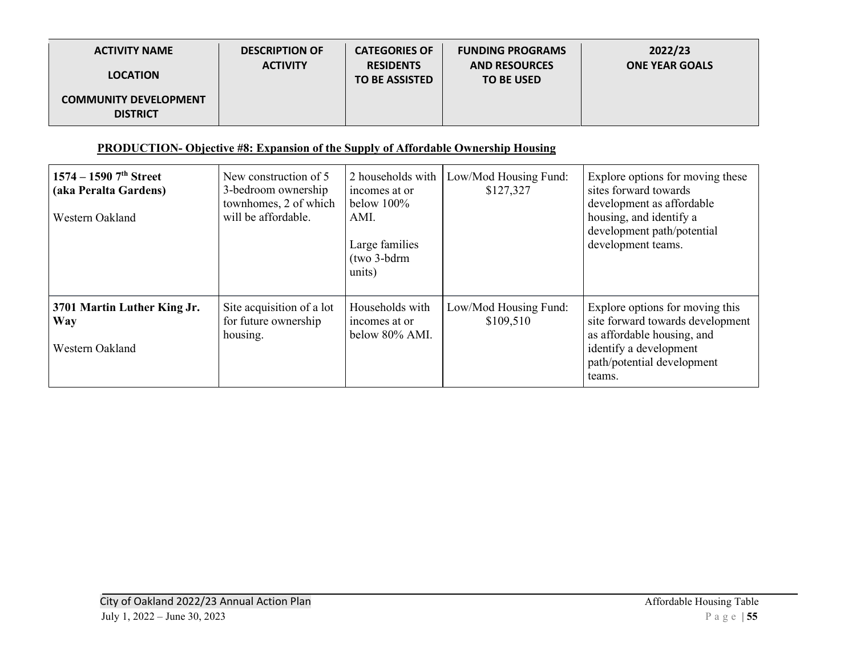| <b>ACTIVITY NAME</b>                            | <b>DESCRIPTION OF</b><br><b>ACTIVITY</b> | <b>CATEGORIES OF</b><br><b>RESIDENTS</b> | <b>FUNDING PROGRAMS</b><br><b>AND RESOURCES</b> | 2022/23<br><b>ONE YEAR GOALS</b> |
|-------------------------------------------------|------------------------------------------|------------------------------------------|-------------------------------------------------|----------------------------------|
| <b>LOCATION</b>                                 |                                          | <b>TO BE ASSISTED</b>                    | <b>TO BE USED</b>                               |                                  |
| <b>COMMUNITY DEVELOPMENT</b><br><b>DISTRICT</b> |                                          |                                          |                                                 |                                  |

#### **PRODUCTION- Objective #8: Expansion of the Supply of Affordable Ownership Housing**

| $1574 - 1590$ 7 <sup>th</sup> Street<br>(aka Peralta Gardens)<br>Western Oakland | New construction of 5<br>3-bedroom ownership<br>townhomes, 2 of which<br>will be affordable. | 2 households with<br>incomes at or<br>below $100\%$<br>AMI.<br>Large families<br>(two 3-bdrm<br>units) | Low/Mod Housing Fund:<br>\$127,327 | Explore options for moving these<br>sites forward towards<br>development as affordable<br>housing, and identify a<br>development path/potential<br>development teams. |
|----------------------------------------------------------------------------------|----------------------------------------------------------------------------------------------|--------------------------------------------------------------------------------------------------------|------------------------------------|-----------------------------------------------------------------------------------------------------------------------------------------------------------------------|
| 3701 Martin Luther King Jr.<br>Way<br>Western Oakland                            | Site acquisition of a lot<br>for future ownership<br>housing.                                | Households with<br>incomes at or<br>below 80% AMI.                                                     | Low/Mod Housing Fund:<br>\$109,510 | Explore options for moving this<br>site forward towards development<br>as affordable housing, and<br>identify a development<br>path/potential development<br>teams.   |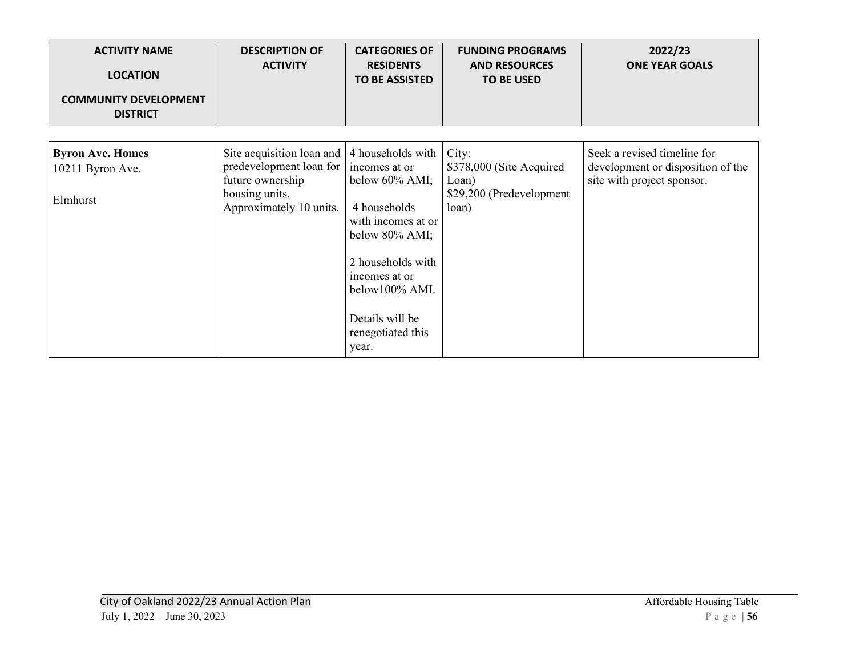| <b>ACTIVITY NAME</b><br><b>LOCATION</b><br><b>COMMUNITY DEVELOPMENT</b><br><b>DISTRICT</b> | <b>DESCRIPTION OF</b><br><b>ACTIVITY</b>                                                                              | <b>CATEGORIES OF</b><br><b>RESIDENTS</b><br><b>TO BE ASSISTED</b>                                                                                                                                                        | <b>FUNDING PROGRAMS</b><br><b>AND RESOURCES</b><br><b>TO BE USED</b>            | 2022/23<br><b>ONE YEAR GOALS</b>                                                               |
|--------------------------------------------------------------------------------------------|-----------------------------------------------------------------------------------------------------------------------|--------------------------------------------------------------------------------------------------------------------------------------------------------------------------------------------------------------------------|---------------------------------------------------------------------------------|------------------------------------------------------------------------------------------------|
| <b>Byron Ave. Homes</b><br>10211 Byron Ave.<br>Elmhurst                                    | Site acquisition loan and<br>predevelopment loan for<br>future ownership<br>housing units.<br>Approximately 10 units. | 4 households with<br>incomes at or<br>below $60\%$ AMI;<br>4 households<br>with incomes at or<br>below 80% AMI;<br>2 households with<br>incomes at or<br>below100% AMI.<br>Details will be<br>renegotiated this<br>year. | City:<br>\$378,000 (Site Acquired<br>Loan)<br>\$29,200 (Predevelopment<br>loan) | Seek a revised timeline for<br>development or disposition of the<br>site with project sponsor. |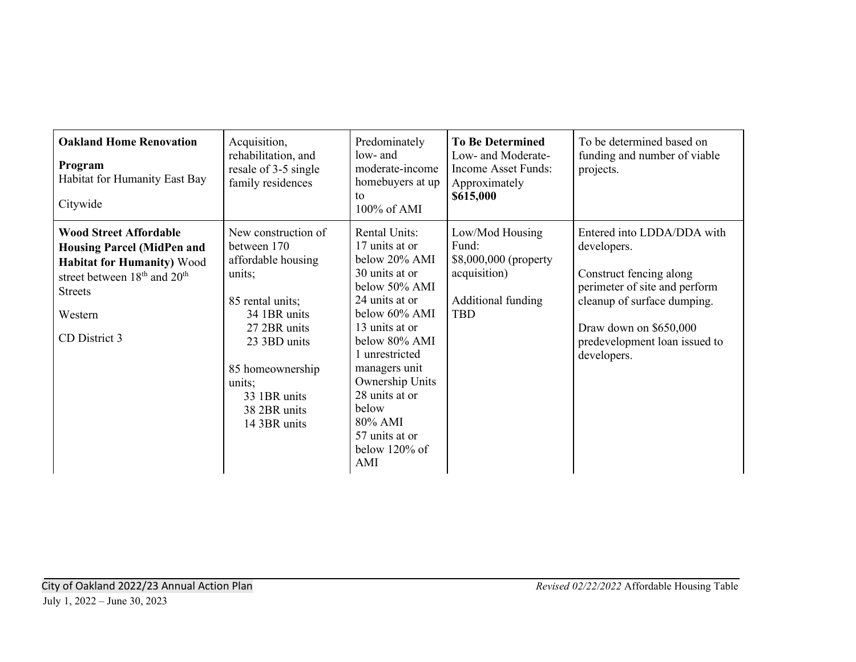| <b>Oakland Home Renovation</b><br>Program<br>Habitat for Humanity East Bay<br>Citywide                                                                                                                        | Acquisition,<br>rehabilitation, and<br>resale of 3-5 single<br>family residences                                                                                                                                     | Predominately<br>low- and<br>moderate-income<br>homebuyers at up<br>to<br>100% of AMI                                                                                                                                                                                                         | <b>To Be Determined</b><br>Low- and Moderate-<br>Income Asset Funds:<br>Approximately<br>\$615,000    | To be determined based on<br>funding and number of viable<br>projects.                                                                                                                                         |
|---------------------------------------------------------------------------------------------------------------------------------------------------------------------------------------------------------------|----------------------------------------------------------------------------------------------------------------------------------------------------------------------------------------------------------------------|-----------------------------------------------------------------------------------------------------------------------------------------------------------------------------------------------------------------------------------------------------------------------------------------------|-------------------------------------------------------------------------------------------------------|----------------------------------------------------------------------------------------------------------------------------------------------------------------------------------------------------------------|
| <b>Wood Street Affordable</b><br><b>Housing Parcel (MidPen and</b><br><b>Habitat for Humanity) Wood</b><br>street between 18 <sup>th</sup> and 20 <sup>th</sup><br><b>Streets</b><br>Western<br>CD District 3 | New construction of<br>between 170<br>affordable housing<br>units;<br>85 rental units;<br>34 1BR units<br>27 2BR units<br>23 3BD units<br>85 homeownership<br>units;<br>33 1BR units<br>38 2BR units<br>14 3BR units | Rental Units:<br>17 units at or<br>below 20% AMI<br>30 units at or<br>below 50% AMI<br>24 units at or<br>below 60% AMI<br>13 units at or<br>below 80% AMI<br>unrestricted<br>managers unit<br>Ownership Units<br>28 units at or<br>below<br>80% AMI<br>57 units at or<br>below 120% of<br>AMI | Low/Mod Housing<br>Fund:<br>\$8,000,000 (property<br>acquisition)<br>Additional funding<br><b>TBD</b> | Entered into LDDA/DDA with<br>developers.<br>Construct fencing along<br>perimeter of site and perform<br>cleanup of surface dumping.<br>Draw down on \$650,000<br>predevelopment loan issued to<br>developers. |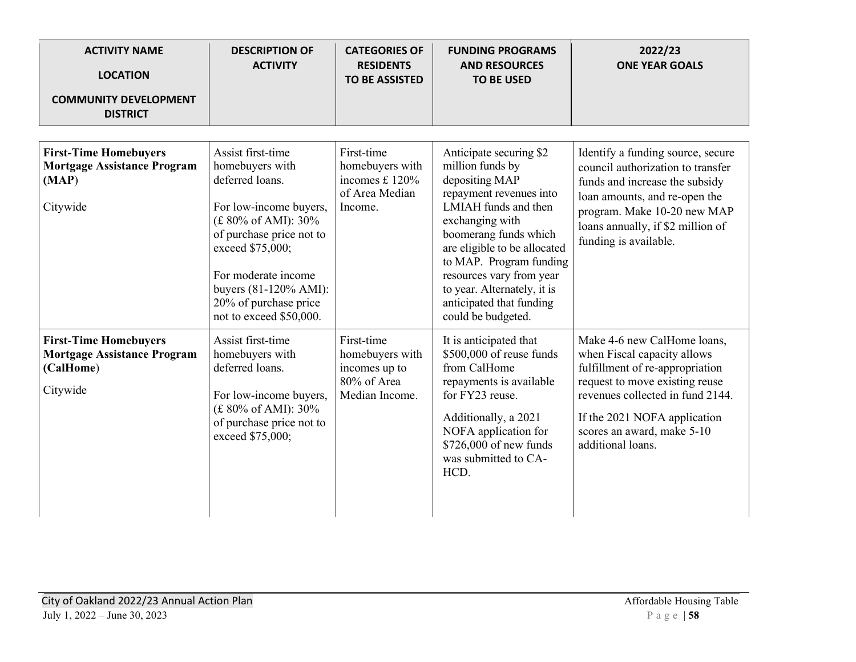| <b>ACTIVITY NAME</b><br><b>LOCATION</b><br><b>COMMUNITY DEVELOPMENT</b><br><b>DISTRICT</b>  | <b>DESCRIPTION OF</b><br><b>ACTIVITY</b>                                                                                                                 | <b>CATEGORIES OF</b><br><b>RESIDENTS</b><br><b>TO BE ASSISTED</b>               | <b>FUNDING PROGRAMS</b><br><b>AND RESOURCES</b><br><b>TO BE USED</b>                                                                                                                                                                                                                                                                 | 2022/23<br><b>ONE YEAR GOALS</b>                                                                                                                                                                                                                       |
|---------------------------------------------------------------------------------------------|----------------------------------------------------------------------------------------------------------------------------------------------------------|---------------------------------------------------------------------------------|--------------------------------------------------------------------------------------------------------------------------------------------------------------------------------------------------------------------------------------------------------------------------------------------------------------------------------------|--------------------------------------------------------------------------------------------------------------------------------------------------------------------------------------------------------------------------------------------------------|
|                                                                                             | Assist first-time                                                                                                                                        |                                                                                 |                                                                                                                                                                                                                                                                                                                                      |                                                                                                                                                                                                                                                        |
| <b>First-Time Homebuyers</b><br><b>Mortgage Assistance Program</b><br>(MAP)<br>Citywide     | homebuyers with<br>deferred loans.<br>For low-income buyers,<br>(£ 80% of AMI): 30%<br>of purchase price not to<br>exceed \$75,000;                      | First-time<br>homebuyers with<br>incomes £ 120%<br>of Area Median<br>Income.    | Anticipate securing \$2<br>million funds by<br>depositing MAP<br>repayment revenues into<br>LMIAH funds and then<br>exchanging with<br>boomerang funds which<br>are eligible to be allocated<br>to MAP. Program funding<br>resources vary from year<br>to year. Alternately, it is<br>anticipated that funding<br>could be budgeted. | Identify a funding source, secure<br>council authorization to transfer<br>funds and increase the subsidy<br>loan amounts, and re-open the<br>program. Make 10-20 new MAP<br>loans annually, if \$2 million of<br>funding is available.                 |
|                                                                                             | For moderate income<br>buyers (81-120% AMI):<br>20% of purchase price<br>not to exceed \$50,000.                                                         |                                                                                 |                                                                                                                                                                                                                                                                                                                                      |                                                                                                                                                                                                                                                        |
| <b>First-Time Homebuyers</b><br><b>Mortgage Assistance Program</b><br>(CalHome)<br>Citywide | Assist first-time<br>homebuyers with<br>deferred loans.<br>For low-income buyers,<br>(£ 80% of AMI): 30%<br>of purchase price not to<br>exceed \$75,000; | First-time<br>homebuyers with<br>incomes up to<br>80% of Area<br>Median Income. | It is anticipated that<br>\$500,000 of reuse funds<br>from CalHome<br>repayments is available<br>for FY23 reuse.<br>Additionally, a 2021<br>NOFA application for<br>\$726,000 of new funds<br>was submitted to CA-<br>HCD.                                                                                                           | Make 4-6 new CalHome loans,<br>when Fiscal capacity allows<br>fulfillment of re-appropriation<br>request to move existing reuse<br>revenues collected in fund 2144.<br>If the 2021 NOFA application<br>scores an award, make 5-10<br>additional loans. |